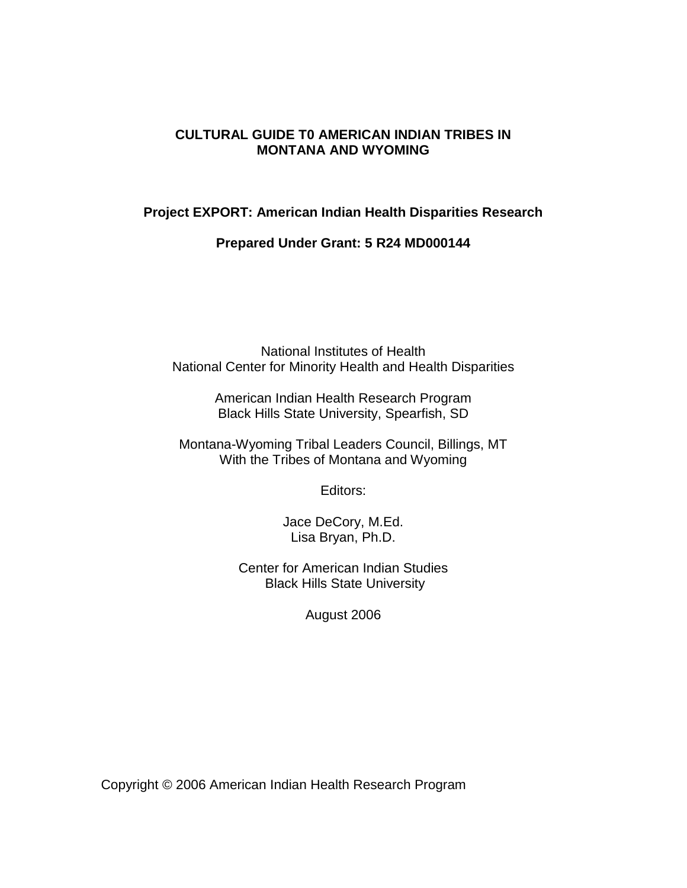#### **CULTURAL GUIDE T0 AMERICAN INDIAN TRIBES IN MONTANA AND WYOMING**

#### **Project EXPORT: American Indian Health Disparities Research**

**Prepared Under Grant: 5 R24 MD000144**

National Institutes of Health National Center for Minority Health and Health Disparities

> American Indian Health Research Program Black Hills State University, Spearfish, SD

Montana-Wyoming Tribal Leaders Council, Billings, MT With the Tribes of Montana and Wyoming

Editors:

Jace DeCory, M.Ed. Lisa Bryan, Ph.D.

Center for American Indian Studies Black Hills State University

August 2006

Copyright © 2006 American Indian Health Research Program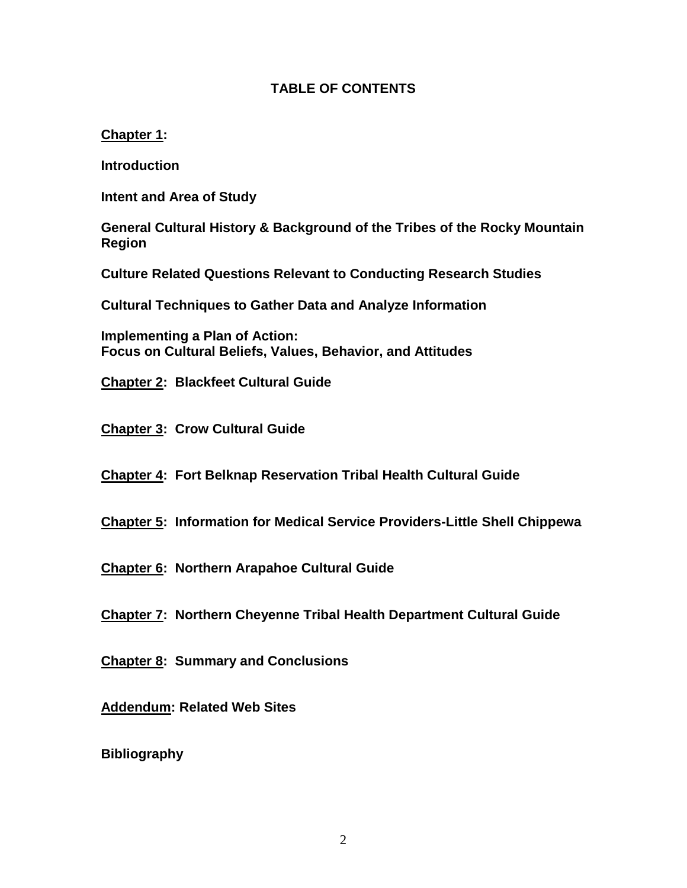#### **TABLE OF CONTENTS**

#### **Chapter 1:**

**Introduction**

**Intent and Area of Study** 

**General Cultural History & Background of the Tribes of the Rocky Mountain Region**

**Culture Related Questions Relevant to Conducting Research Studies**

**Cultural Techniques to Gather Data and Analyze Information**

**Implementing a Plan of Action: Focus on Cultural Beliefs, Values, Behavior, and Attitudes**

**Chapter 2: Blackfeet Cultural Guide**

**Chapter 3: Crow Cultural Guide**

**Chapter 4: Fort Belknap Reservation Tribal Health Cultural Guide**

**Chapter 5: Information for Medical Service Providers-Little Shell Chippewa**

**Chapter 6: Northern Arapahoe Cultural Guide**

**Chapter 7: Northern Cheyenne Tribal Health Department Cultural Guide** 

**Chapter 8: Summary and Conclusions**

**Addendum: Related Web Sites**

**Bibliography**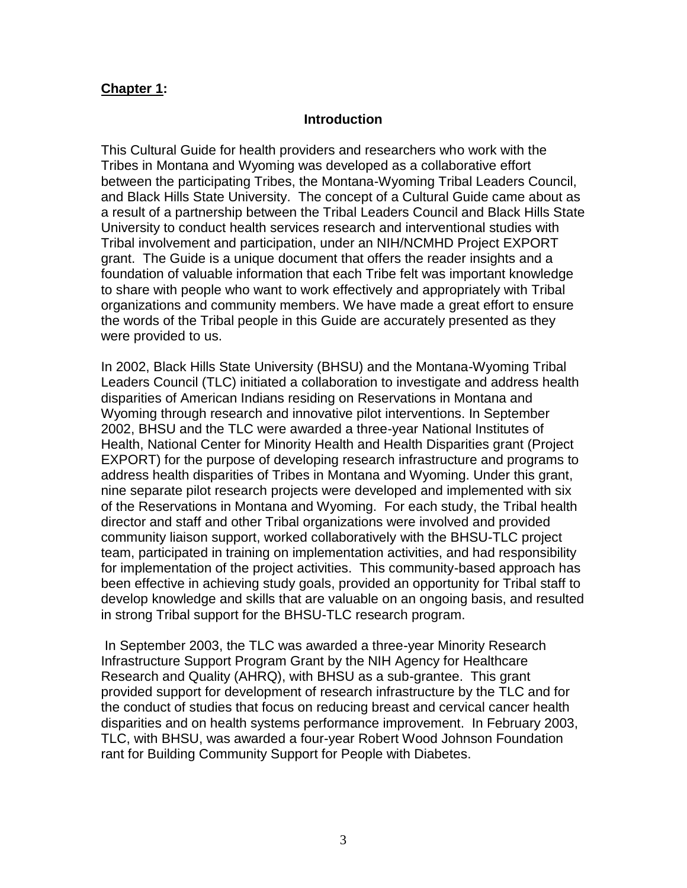#### **Chapter 1:**

#### **Introduction**

This Cultural Guide for health providers and researchers who work with the Tribes in Montana and Wyoming was developed as a collaborative effort between the participating Tribes, the Montana-Wyoming Tribal Leaders Council, and Black Hills State University. The concept of a Cultural Guide came about as a result of a partnership between the Tribal Leaders Council and Black Hills State University to conduct health services research and interventional studies with Tribal involvement and participation, under an NIH/NCMHD Project EXPORT grant. The Guide is a unique document that offers the reader insights and a foundation of valuable information that each Tribe felt was important knowledge to share with people who want to work effectively and appropriately with Tribal organizations and community members. We have made a great effort to ensure the words of the Tribal people in this Guide are accurately presented as they were provided to us.

In 2002, Black Hills State University (BHSU) and the Montana-Wyoming Tribal Leaders Council (TLC) initiated a collaboration to investigate and address health disparities of American Indians residing on Reservations in Montana and Wyoming through research and innovative pilot interventions. In September 2002, BHSU and the TLC were awarded a three-year National Institutes of Health, National Center for Minority Health and Health Disparities grant (Project EXPORT) for the purpose of developing research infrastructure and programs to address health disparities of Tribes in Montana and Wyoming. Under this grant, nine separate pilot research projects were developed and implemented with six of the Reservations in Montana and Wyoming. For each study, the Tribal health director and staff and other Tribal organizations were involved and provided community liaison support, worked collaboratively with the BHSU-TLC project team, participated in training on implementation activities, and had responsibility for implementation of the project activities. This community-based approach has been effective in achieving study goals, provided an opportunity for Tribal staff to develop knowledge and skills that are valuable on an ongoing basis, and resulted in strong Tribal support for the BHSU-TLC research program.

In September 2003, the TLC was awarded a three-year Minority Research Infrastructure Support Program Grant by the NIH Agency for Healthcare Research and Quality (AHRQ), with BHSU as a sub-grantee. This grant provided support for development of research infrastructure by the TLC and for the conduct of studies that focus on reducing breast and cervical cancer health disparities and on health systems performance improvement. In February 2003, TLC, with BHSU, was awarded a four-year Robert Wood Johnson Foundation rant for Building Community Support for People with Diabetes.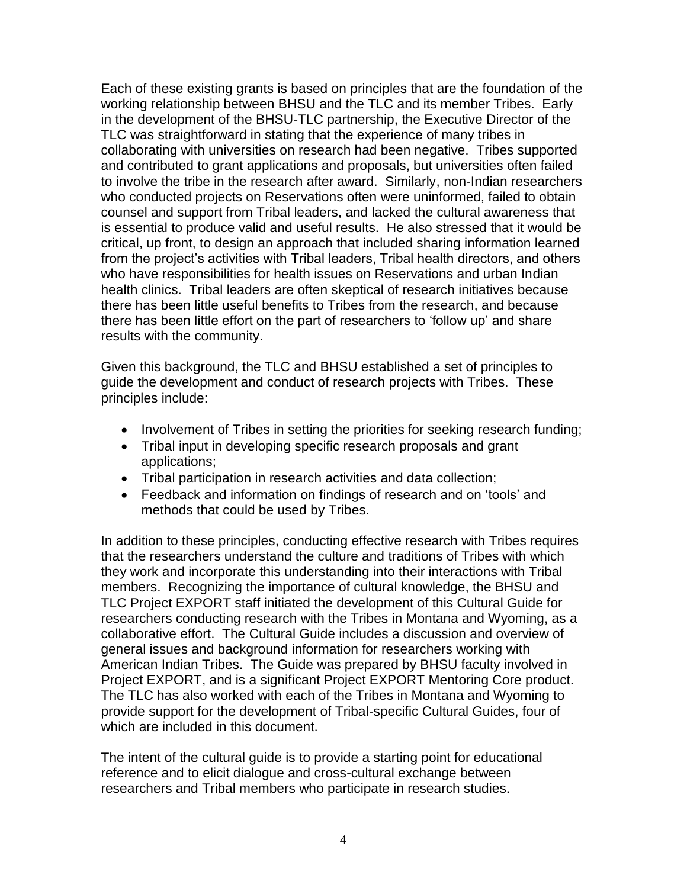Each of these existing grants is based on principles that are the foundation of the working relationship between BHSU and the TLC and its member Tribes. Early in the development of the BHSU-TLC partnership, the Executive Director of the TLC was straightforward in stating that the experience of many tribes in collaborating with universities on research had been negative. Tribes supported and contributed to grant applications and proposals, but universities often failed to involve the tribe in the research after award. Similarly, non-Indian researchers who conducted projects on Reservations often were uninformed, failed to obtain counsel and support from Tribal leaders, and lacked the cultural awareness that is essential to produce valid and useful results. He also stressed that it would be critical, up front, to design an approach that included sharing information learned from the project's activities with Tribal leaders, Tribal health directors, and others who have responsibilities for health issues on Reservations and urban Indian health clinics. Tribal leaders are often skeptical of research initiatives because there has been little useful benefits to Tribes from the research, and because there has been little effort on the part of researchers to 'follow up' and share results with the community.

Given this background, the TLC and BHSU established a set of principles to guide the development and conduct of research projects with Tribes. These principles include:

- Involvement of Tribes in setting the priorities for seeking research funding;
- Tribal input in developing specific research proposals and grant applications;
- Tribal participation in research activities and data collection;
- Feedback and information on findings of research and on 'tools' and methods that could be used by Tribes.

In addition to these principles, conducting effective research with Tribes requires that the researchers understand the culture and traditions of Tribes with which they work and incorporate this understanding into their interactions with Tribal members. Recognizing the importance of cultural knowledge, the BHSU and TLC Project EXPORT staff initiated the development of this Cultural Guide for researchers conducting research with the Tribes in Montana and Wyoming, as a collaborative effort. The Cultural Guide includes a discussion and overview of general issues and background information for researchers working with American Indian Tribes. The Guide was prepared by BHSU faculty involved in Project EXPORT, and is a significant Project EXPORT Mentoring Core product. The TLC has also worked with each of the Tribes in Montana and Wyoming to provide support for the development of Tribal-specific Cultural Guides, four of which are included in this document.

The intent of the cultural guide is to provide a starting point for educational reference and to elicit dialogue and cross-cultural exchange between researchers and Tribal members who participate in research studies.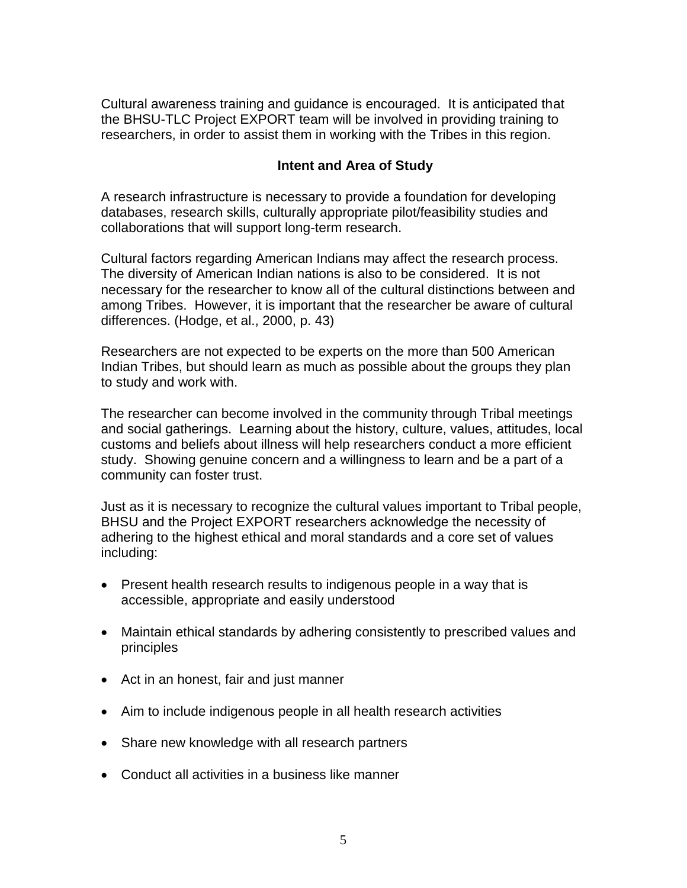Cultural awareness training and guidance is encouraged. It is anticipated that the BHSU-TLC Project EXPORT team will be involved in providing training to researchers, in order to assist them in working with the Tribes in this region.

#### **Intent and Area of Study**

A research infrastructure is necessary to provide a foundation for developing databases, research skills, culturally appropriate pilot/feasibility studies and collaborations that will support long-term research.

Cultural factors regarding American Indians may affect the research process. The diversity of American Indian nations is also to be considered. It is not necessary for the researcher to know all of the cultural distinctions between and among Tribes. However, it is important that the researcher be aware of cultural differences. (Hodge, et al., 2000, p. 43)

Researchers are not expected to be experts on the more than 500 American Indian Tribes, but should learn as much as possible about the groups they plan to study and work with.

The researcher can become involved in the community through Tribal meetings and social gatherings. Learning about the history, culture, values, attitudes, local customs and beliefs about illness will help researchers conduct a more efficient study. Showing genuine concern and a willingness to learn and be a part of a community can foster trust.

Just as it is necessary to recognize the cultural values important to Tribal people, BHSU and the Project EXPORT researchers acknowledge the necessity of adhering to the highest ethical and moral standards and a core set of values including:

- Present health research results to indigenous people in a way that is accessible, appropriate and easily understood
- Maintain ethical standards by adhering consistently to prescribed values and principles
- Act in an honest, fair and just manner
- Aim to include indigenous people in all health research activities
- Share new knowledge with all research partners
- Conduct all activities in a business like manner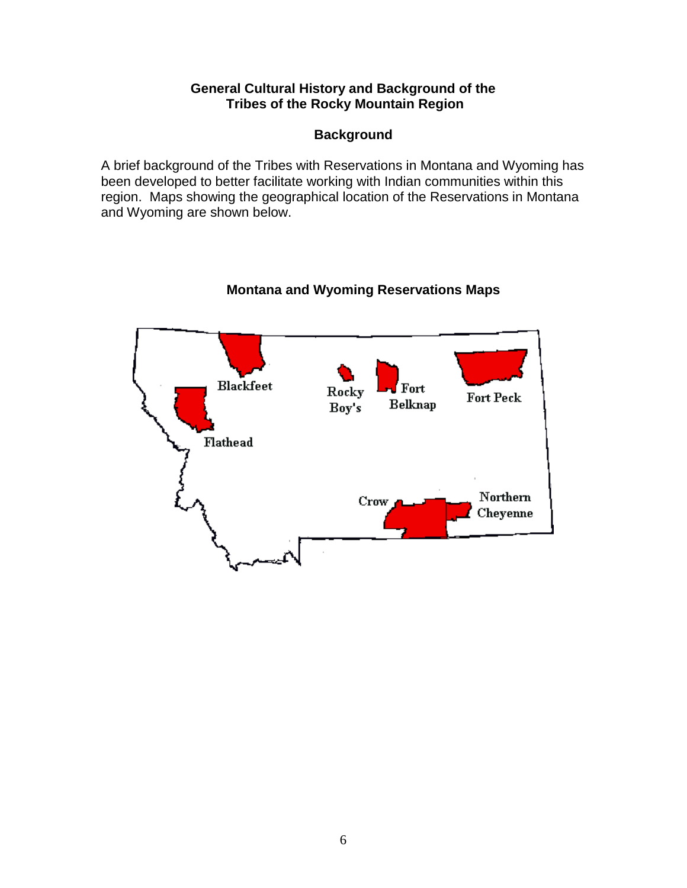#### **General Cultural History and Background of the Tribes of the Rocky Mountain Region**

## **Background**

A brief background of the Tribes with Reservations in Montana and Wyoming has been developed to better facilitate working with Indian communities within this region. Maps showing the geographical location of the Reservations in Montana and Wyoming are shown below.



# **Montana and Wyoming Reservations Maps**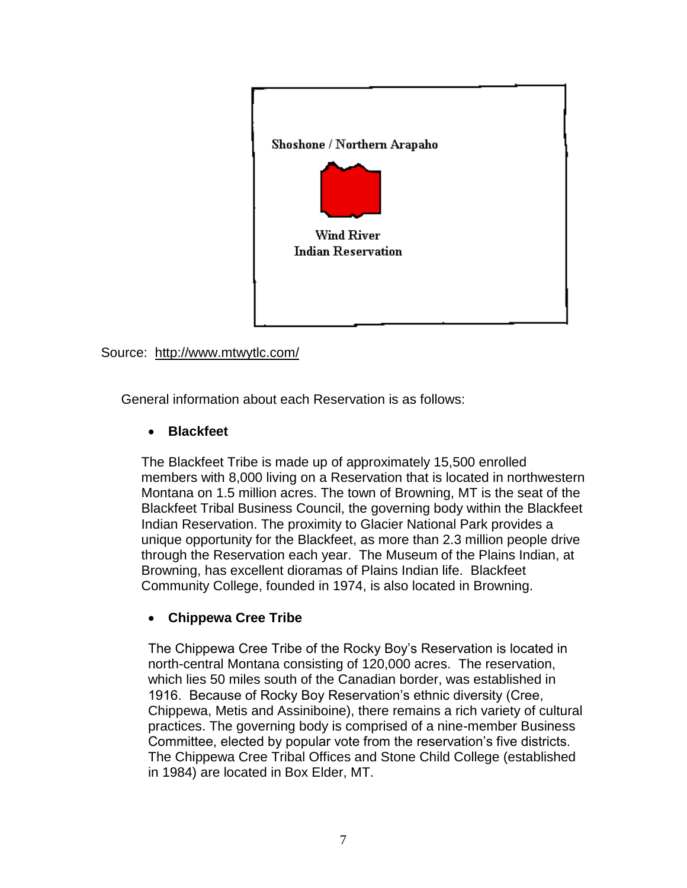

Source: http://www.mtwytlc.com/

General information about each Reservation is as follows:

## **Blackfeet**

The Blackfeet Tribe is made up of approximately 15,500 enrolled members with 8,000 living on a Reservation that is located in northwestern Montana on 1.5 million acres. The town of Browning, MT is the seat of the Blackfeet Tribal Business Council, the governing body within the Blackfeet Indian Reservation. The proximity to Glacier National Park provides a unique opportunity for the Blackfeet, as more than 2.3 million people drive through the Reservation each year. The Museum of the Plains Indian, at Browning, has excellent dioramas of Plains Indian life. Blackfeet Community College, founded in 1974, is also located in Browning.

## **Chippewa Cree Tribe**

The Chippewa Cree Tribe of the Rocky Boy's Reservation is located in north-central Montana consisting of 120,000 acres. The reservation, which lies 50 miles south of the Canadian border, was established in 1916. Because of Rocky Boy Reservation's ethnic diversity (Cree, Chippewa, Metis and Assiniboine), there remains a rich variety of cultural practices. The governing body is comprised of a nine-member Business Committee, elected by popular vote from the reservation's five districts. The Chippewa Cree Tribal Offices and Stone Child College (established in 1984) are located in Box Elder, MT.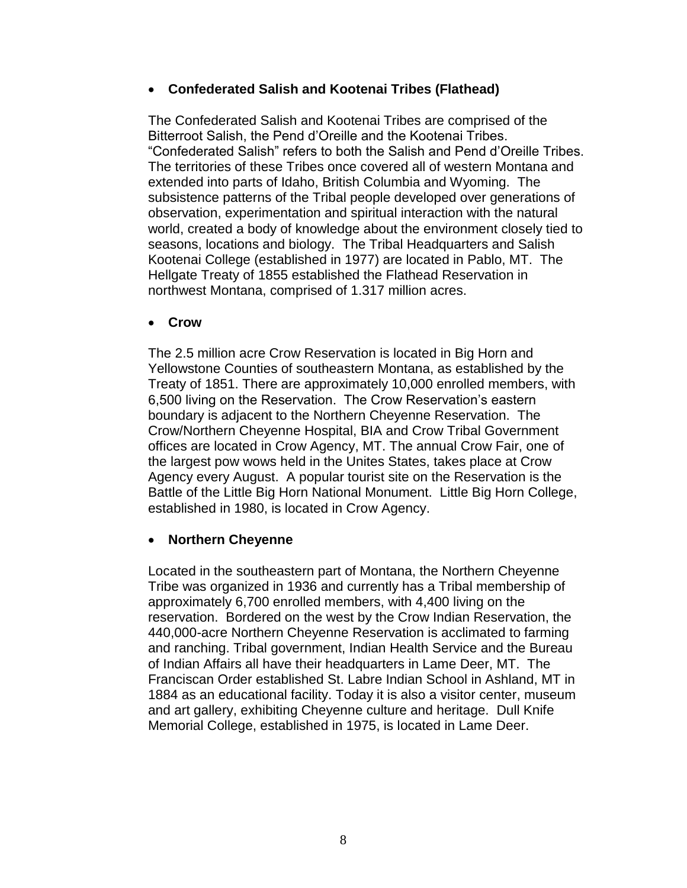#### **Confederated Salish and Kootenai Tribes (Flathead)**

The Confederated Salish and Kootenai Tribes are comprised of the Bitterroot Salish, the Pend d'Oreille and the Kootenai Tribes. "Confederated Salish" refers to both the Salish and Pend d'Oreille Tribes. The territories of these Tribes once covered all of western Montana and extended into parts of Idaho, British Columbia and Wyoming. The subsistence patterns of the Tribal people developed over generations of observation, experimentation and spiritual interaction with the natural world, created a body of knowledge about the environment closely tied to seasons, locations and biology. The Tribal Headquarters and Salish Kootenai College (established in 1977) are located in Pablo, MT. The Hellgate Treaty of 1855 established the Flathead Reservation in northwest Montana, comprised of 1.317 million acres.

#### **Crow**

The 2.5 million acre Crow Reservation is located in Big Horn and Yellowstone Counties of southeastern Montana, as established by the Treaty of 1851. There are approximately 10,000 enrolled members, with 6,500 living on the Reservation. The Crow Reservation's eastern boundary is adjacent to the Northern Cheyenne Reservation. The Crow/Northern Cheyenne Hospital, BIA and Crow Tribal Government offices are located in Crow Agency, MT. The annual Crow Fair, one of the largest pow wows held in the Unites States, takes place at Crow Agency every August. A popular tourist site on the Reservation is the Battle of the Little Big Horn National Monument. Little Big Horn College, established in 1980, is located in Crow Agency.

#### **Northern Cheyenne**

Located in the southeastern part of Montana, the Northern Cheyenne Tribe was organized in 1936 and currently has a Tribal membership of approximately 6,700 enrolled members, with 4,400 living on the reservation. Bordered on the west by the Crow Indian Reservation, the 440,000-acre Northern Cheyenne Reservation is acclimated to farming and ranching. Tribal government, Indian Health Service and the Bureau of Indian Affairs all have their headquarters in Lame Deer, MT. The Franciscan Order established St. Labre Indian School in Ashland, MT in 1884 as an educational facility. Today it is also a visitor center, museum and art gallery, exhibiting Cheyenne culture and heritage. Dull Knife Memorial College, established in 1975, is located in Lame Deer.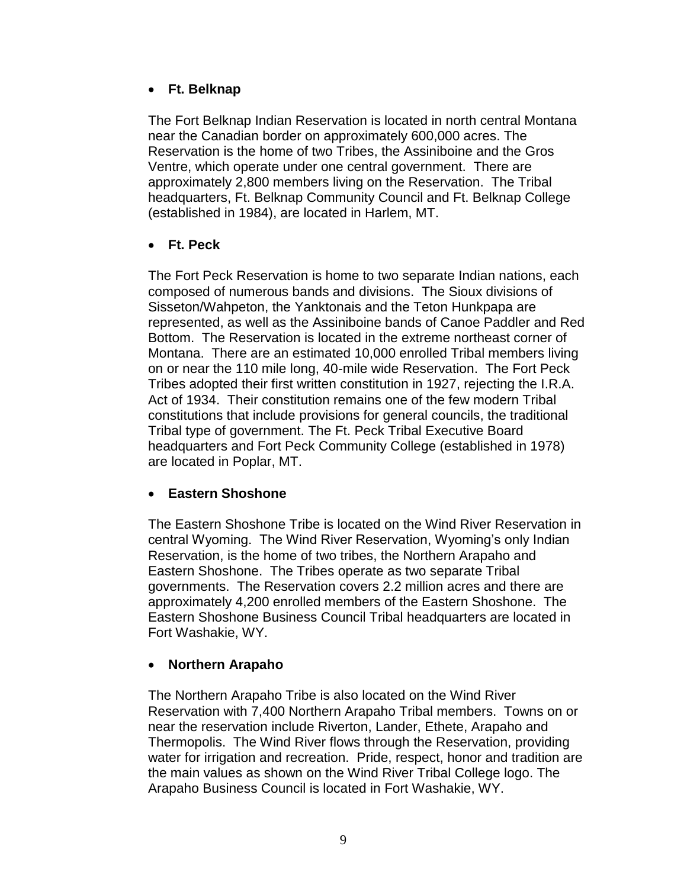## **Ft. Belknap**

The Fort Belknap Indian Reservation is located in north central Montana near the Canadian border on approximately 600,000 acres. The Reservation is the home of two Tribes, the Assiniboine and the Gros Ventre, which operate under one central government. There are approximately 2,800 members living on the Reservation. The Tribal headquarters, Ft. Belknap Community Council and Ft. Belknap College (established in 1984), are located in Harlem, MT.

## **Ft. Peck**

The Fort Peck Reservation is home to two separate Indian nations, each composed of numerous bands and divisions. The Sioux divisions of Sisseton/Wahpeton, the Yanktonais and the Teton Hunkpapa are represented, as well as the Assiniboine bands of Canoe Paddler and Red Bottom. The Reservation is located in the extreme northeast corner of Montana. There are an estimated 10,000 enrolled Tribal members living on or near the 110 mile long, 40-mile wide Reservation. The Fort Peck Tribes adopted their first written constitution in 1927, rejecting the I.R.A. Act of 1934. Their constitution remains one of the few modern Tribal constitutions that include provisions for general councils, the traditional Tribal type of government. The Ft. Peck Tribal Executive Board headquarters and Fort Peck Community College (established in 1978) are located in Poplar, MT.

## **Eastern Shoshone**

The Eastern Shoshone Tribe is located on the Wind River Reservation in central Wyoming. The Wind River Reservation, Wyoming's only Indian Reservation, is the home of two tribes, the Northern Arapaho and Eastern Shoshone. The Tribes operate as two separate Tribal governments. The Reservation covers 2.2 million acres and there are approximately 4,200 enrolled members of the Eastern Shoshone. The Eastern Shoshone Business Council Tribal headquarters are located in Fort Washakie, WY.

## **Northern Arapaho**

The Northern Arapaho Tribe is also located on the Wind River Reservation with 7,400 Northern Arapaho Tribal members. Towns on or near the reservation include Riverton, Lander, Ethete, Arapaho and Thermopolis. The Wind River flows through the Reservation, providing water for irrigation and recreation. Pride, respect, honor and tradition are the main values as shown on the Wind River Tribal College logo. The Arapaho Business Council is located in Fort Washakie, WY.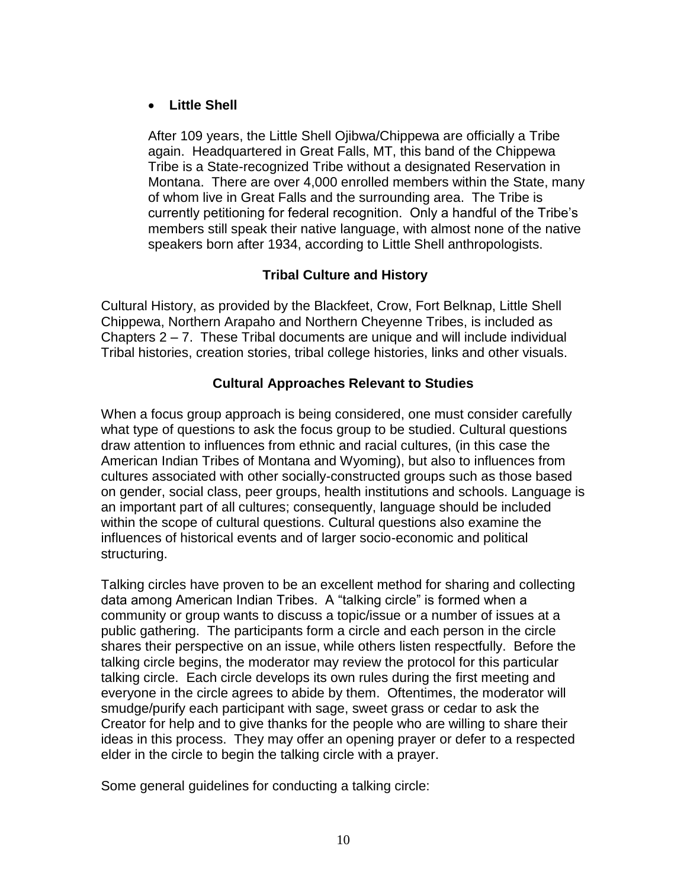## **Little Shell**

After 109 years, the Little Shell Ojibwa/Chippewa are officially a Tribe again. Headquartered in Great Falls, MT, this band of the Chippewa Tribe is a State-recognized Tribe without a designated Reservation in Montana. There are over 4,000 enrolled members within the State, many of whom live in Great Falls and the surrounding area. The Tribe is currently petitioning for federal recognition. Only a handful of the Tribe's members still speak their native language, with almost none of the native speakers born after 1934, according to Little Shell anthropologists.

## **Tribal Culture and History**

Cultural History, as provided by the Blackfeet, Crow, Fort Belknap, Little Shell Chippewa, Northern Arapaho and Northern Cheyenne Tribes, is included as Chapters 2 – 7. These Tribal documents are unique and will include individual Tribal histories, creation stories, tribal college histories, links and other visuals.

## **Cultural Approaches Relevant to Studies**

When a focus group approach is being considered, one must consider carefully what type of questions to ask the focus group to be studied. Cultural questions draw attention to influences from ethnic and racial cultures, (in this case the American Indian Tribes of Montana and Wyoming), but also to influences from cultures associated with other socially-constructed groups such as those based on gender, social class, peer groups, health institutions and schools. Language is an important part of all cultures; consequently, language should be included within the scope of cultural questions. Cultural questions also examine the influences of historical events and of larger socio-economic and political structuring.

Talking circles have proven to be an excellent method for sharing and collecting data among American Indian Tribes. A "talking circle" is formed when a community or group wants to discuss a topic/issue or a number of issues at a public gathering. The participants form a circle and each person in the circle shares their perspective on an issue, while others listen respectfully. Before the talking circle begins, the moderator may review the protocol for this particular talking circle. Each circle develops its own rules during the first meeting and everyone in the circle agrees to abide by them. Oftentimes, the moderator will smudge/purify each participant with sage, sweet grass or cedar to ask the Creator for help and to give thanks for the people who are willing to share their ideas in this process. They may offer an opening prayer or defer to a respected elder in the circle to begin the talking circle with a prayer.

Some general guidelines for conducting a talking circle: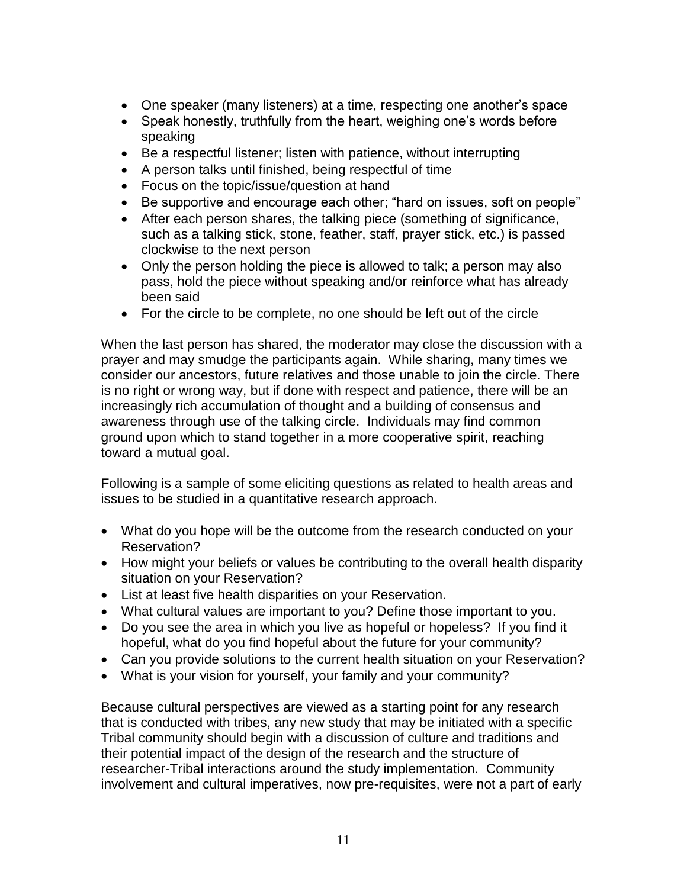- One speaker (many listeners) at a time, respecting one another's space
- Speak honestly, truthfully from the heart, weighing one's words before speaking
- Be a respectful listener; listen with patience, without interrupting
- A person talks until finished, being respectful of time
- Focus on the topic/issue/question at hand
- Be supportive and encourage each other; "hard on issues, soft on people"
- After each person shares, the talking piece (something of significance, such as a talking stick, stone, feather, staff, prayer stick, etc.) is passed clockwise to the next person
- Only the person holding the piece is allowed to talk; a person may also pass, hold the piece without speaking and/or reinforce what has already been said
- For the circle to be complete, no one should be left out of the circle

When the last person has shared, the moderator may close the discussion with a prayer and may smudge the participants again. While sharing, many times we consider our ancestors, future relatives and those unable to join the circle. There is no right or wrong way, but if done with respect and patience, there will be an increasingly rich accumulation of thought and a building of consensus and awareness through use of the talking circle. Individuals may find common ground upon which to stand together in a more cooperative spirit, reaching toward a mutual goal.

Following is a sample of some eliciting questions as related to health areas and issues to be studied in a quantitative research approach.

- What do you hope will be the outcome from the research conducted on your Reservation?
- How might your beliefs or values be contributing to the overall health disparity situation on your Reservation?
- List at least five health disparities on your Reservation.
- What cultural values are important to you? Define those important to you.
- Do you see the area in which you live as hopeful or hopeless? If you find it hopeful, what do you find hopeful about the future for your community?
- Can you provide solutions to the current health situation on your Reservation?
- What is your vision for yourself, your family and your community?

Because cultural perspectives are viewed as a starting point for any research that is conducted with tribes, any new study that may be initiated with a specific Tribal community should begin with a discussion of culture and traditions and their potential impact of the design of the research and the structure of researcher-Tribal interactions around the study implementation. Community involvement and cultural imperatives, now pre-requisites, were not a part of early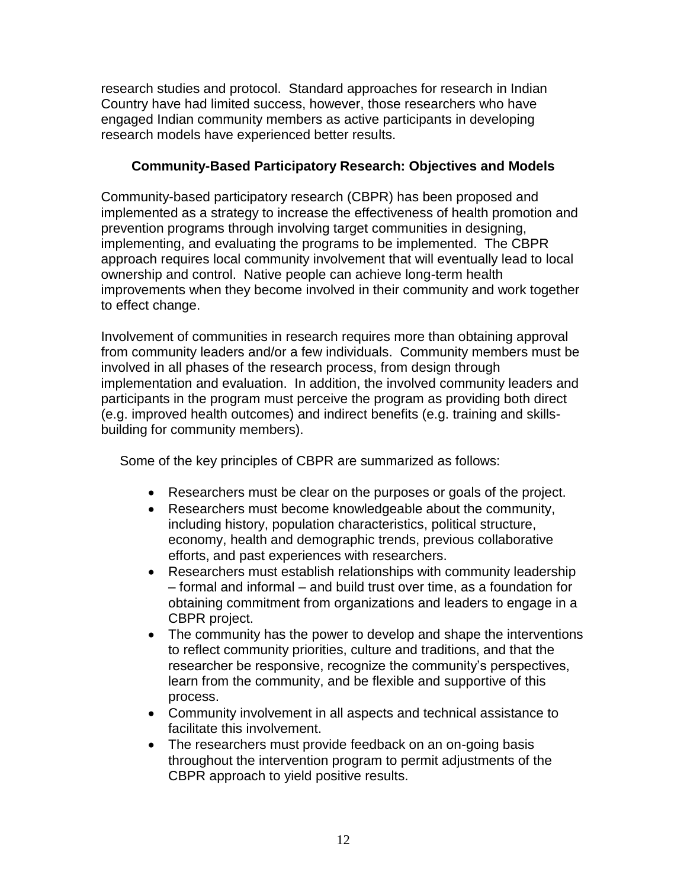research studies and protocol. Standard approaches for research in Indian Country have had limited success, however, those researchers who have engaged Indian community members as active participants in developing research models have experienced better results.

## **Community-Based Participatory Research: Objectives and Models**

Community-based participatory research (CBPR) has been proposed and implemented as a strategy to increase the effectiveness of health promotion and prevention programs through involving target communities in designing, implementing, and evaluating the programs to be implemented. The CBPR approach requires local community involvement that will eventually lead to local ownership and control. Native people can achieve long-term health improvements when they become involved in their community and work together to effect change.

Involvement of communities in research requires more than obtaining approval from community leaders and/or a few individuals. Community members must be involved in all phases of the research process, from design through implementation and evaluation. In addition, the involved community leaders and participants in the program must perceive the program as providing both direct (e.g. improved health outcomes) and indirect benefits (e.g. training and skillsbuilding for community members).

Some of the key principles of CBPR are summarized as follows:

- Researchers must be clear on the purposes or goals of the project.
- Researchers must become knowledgeable about the community, including history, population characteristics, political structure, economy, health and demographic trends, previous collaborative efforts, and past experiences with researchers.
- Researchers must establish relationships with community leadership – formal and informal – and build trust over time, as a foundation for obtaining commitment from organizations and leaders to engage in a CBPR project.
- The community has the power to develop and shape the interventions to reflect community priorities, culture and traditions, and that the researcher be responsive, recognize the community's perspectives, learn from the community, and be flexible and supportive of this process.
- Community involvement in all aspects and technical assistance to facilitate this involvement.
- The researchers must provide feedback on an on-going basis throughout the intervention program to permit adjustments of the CBPR approach to yield positive results.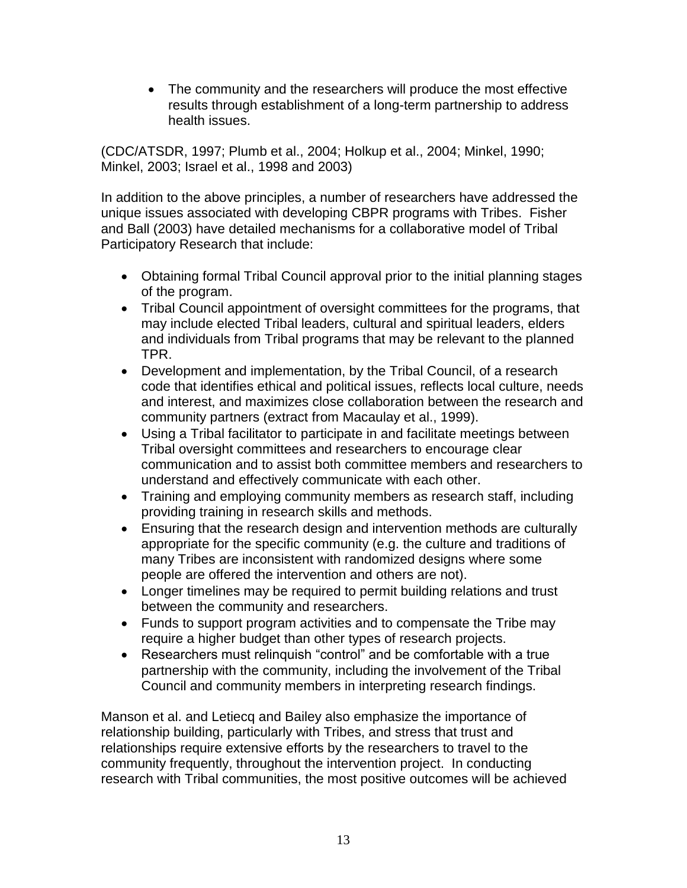• The community and the researchers will produce the most effective results through establishment of a long-term partnership to address health issues.

(CDC/ATSDR, 1997; Plumb et al., 2004; Holkup et al., 2004; Minkel, 1990; Minkel, 2003; Israel et al., 1998 and 2003)

In addition to the above principles, a number of researchers have addressed the unique issues associated with developing CBPR programs with Tribes. Fisher and Ball (2003) have detailed mechanisms for a collaborative model of Tribal Participatory Research that include:

- Obtaining formal Tribal Council approval prior to the initial planning stages of the program.
- Tribal Council appointment of oversight committees for the programs, that may include elected Tribal leaders, cultural and spiritual leaders, elders and individuals from Tribal programs that may be relevant to the planned TPR.
- Development and implementation, by the Tribal Council, of a research code that identifies ethical and political issues, reflects local culture, needs and interest, and maximizes close collaboration between the research and community partners (extract from Macaulay et al., 1999).
- Using a Tribal facilitator to participate in and facilitate meetings between Tribal oversight committees and researchers to encourage clear communication and to assist both committee members and researchers to understand and effectively communicate with each other.
- Training and employing community members as research staff, including providing training in research skills and methods.
- Ensuring that the research design and intervention methods are culturally appropriate for the specific community (e.g. the culture and traditions of many Tribes are inconsistent with randomized designs where some people are offered the intervention and others are not).
- Longer timelines may be required to permit building relations and trust between the community and researchers.
- Funds to support program activities and to compensate the Tribe may require a higher budget than other types of research projects.
- Researchers must relinquish "control" and be comfortable with a true partnership with the community, including the involvement of the Tribal Council and community members in interpreting research findings.

Manson et al. and Letiecq and Bailey also emphasize the importance of relationship building, particularly with Tribes, and stress that trust and relationships require extensive efforts by the researchers to travel to the community frequently, throughout the intervention project. In conducting research with Tribal communities, the most positive outcomes will be achieved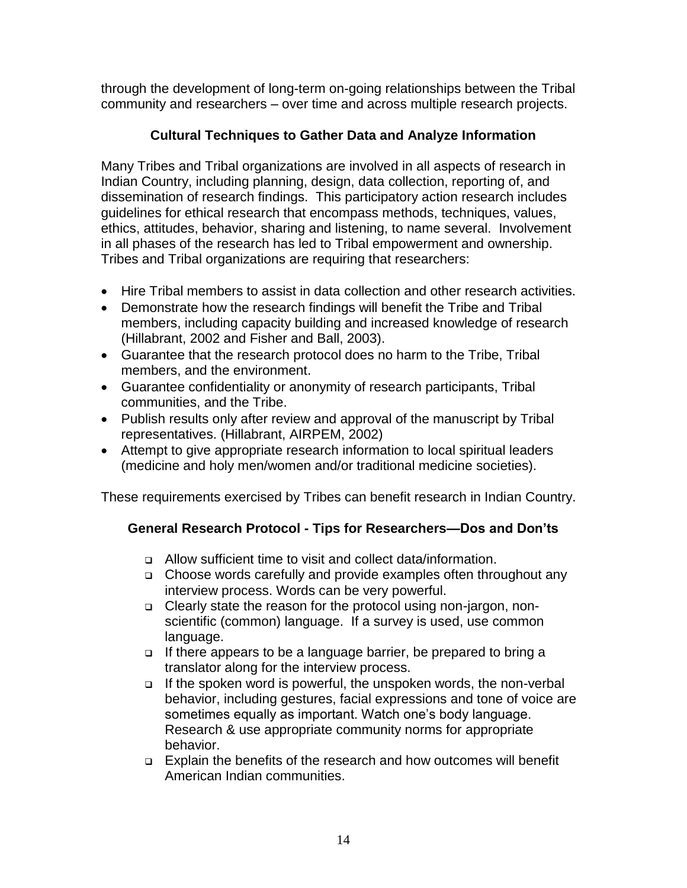through the development of long-term on-going relationships between the Tribal community and researchers – over time and across multiple research projects.

# **Cultural Techniques to Gather Data and Analyze Information**

Many Tribes and Tribal organizations are involved in all aspects of research in Indian Country, including planning, design, data collection, reporting of, and dissemination of research findings. This participatory action research includes guidelines for ethical research that encompass methods, techniques, values, ethics, attitudes, behavior, sharing and listening, to name several. Involvement in all phases of the research has led to Tribal empowerment and ownership. Tribes and Tribal organizations are requiring that researchers:

- Hire Tribal members to assist in data collection and other research activities.
- Demonstrate how the research findings will benefit the Tribe and Tribal members, including capacity building and increased knowledge of research (Hillabrant, 2002 and Fisher and Ball, 2003).
- Guarantee that the research protocol does no harm to the Tribe, Tribal members, and the environment.
- Guarantee confidentiality or anonymity of research participants, Tribal communities, and the Tribe.
- Publish results only after review and approval of the manuscript by Tribal representatives. (Hillabrant, AIRPEM, 2002)
- Attempt to give appropriate research information to local spiritual leaders (medicine and holy men/women and/or traditional medicine societies).

These requirements exercised by Tribes can benefit research in Indian Country.

# **General Research Protocol - Tips for Researchers—Dos and Don'ts**

- Allow sufficient time to visit and collect data/information.
- Choose words carefully and provide examples often throughout any interview process. Words can be very powerful.
- Clearly state the reason for the protocol using non-jargon, nonscientific (common) language. If a survey is used, use common language.
- □ If there appears to be a language barrier, be prepared to bring a translator along for the interview process.
- □ If the spoken word is powerful, the unspoken words, the non-verbal behavior, including gestures, facial expressions and tone of voice are sometimes equally as important. Watch one's body language. Research & use appropriate community norms for appropriate behavior.
- Explain the benefits of the research and how outcomes will benefit American Indian communities.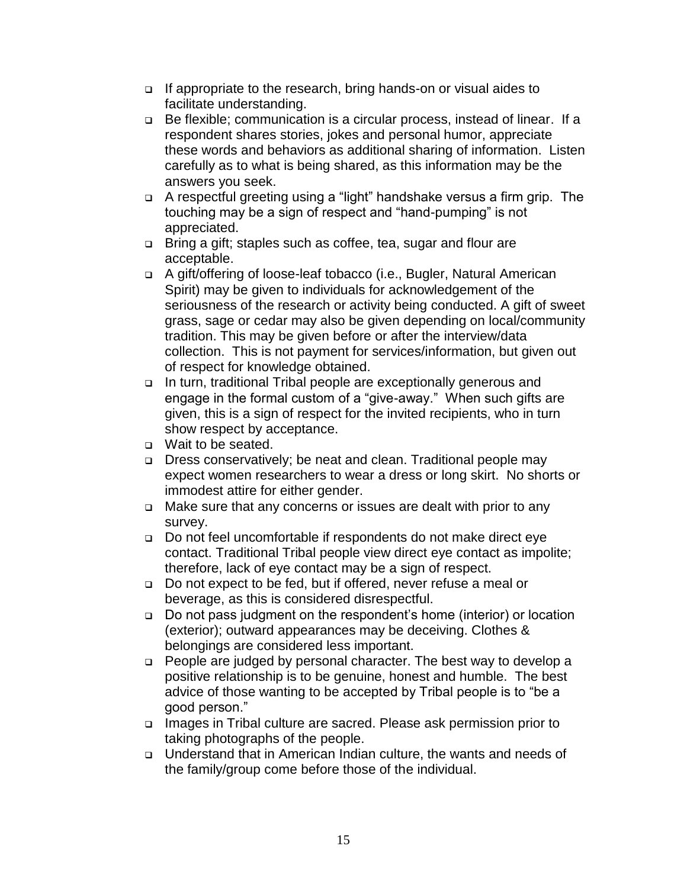- □ If appropriate to the research, bring hands-on or visual aides to facilitate understanding.
- Be flexible; communication is a circular process, instead of linear. If a respondent shares stories, jokes and personal humor, appreciate these words and behaviors as additional sharing of information. Listen carefully as to what is being shared, as this information may be the answers you seek.
- A respectful greeting using a "light" handshake versus a firm grip. The touching may be a sign of respect and "hand-pumping" is not appreciated.
- Bring a gift; staples such as coffee, tea, sugar and flour are acceptable.
- A gift/offering of loose-leaf tobacco (i.e., Bugler, Natural American Spirit) may be given to individuals for acknowledgement of the seriousness of the research or activity being conducted. A gift of sweet grass, sage or cedar may also be given depending on local/community tradition. This may be given before or after the interview/data collection. This is not payment for services/information, but given out of respect for knowledge obtained.
- □ In turn, traditional Tribal people are exceptionally generous and engage in the formal custom of a "give-away." When such gifts are given, this is a sign of respect for the invited recipients, who in turn show respect by acceptance.
- □ Wait to be seated.
- Dress conservatively; be neat and clean. Traditional people may expect women researchers to wear a dress or long skirt. No shorts or immodest attire for either gender.
- Make sure that any concerns or issues are dealt with prior to any survey.
- Do not feel uncomfortable if respondents do not make direct eye contact. Traditional Tribal people view direct eye contact as impolite; therefore, lack of eye contact may be a sign of respect.
- □ Do not expect to be fed, but if offered, never refuse a meal or beverage, as this is considered disrespectful.
- □ Do not pass judgment on the respondent's home (interior) or location (exterior); outward appearances may be deceiving. Clothes & belongings are considered less important.
- People are judged by personal character. The best way to develop a positive relationship is to be genuine, honest and humble. The best advice of those wanting to be accepted by Tribal people is to "be a good person."
- Images in Tribal culture are sacred. Please ask permission prior to taking photographs of the people.
- Understand that in American Indian culture, the wants and needs of the family/group come before those of the individual.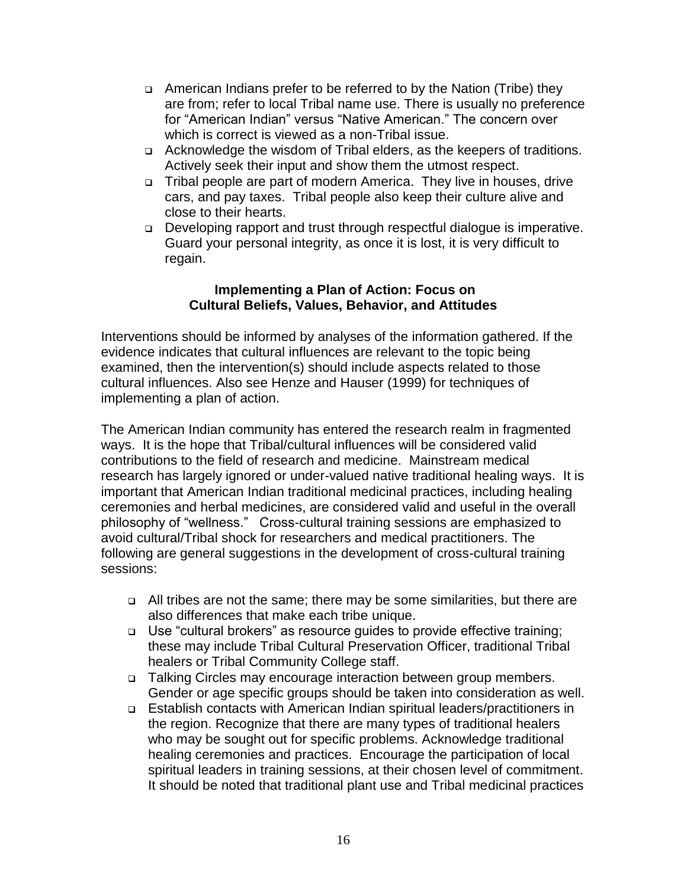- American Indians prefer to be referred to by the Nation (Tribe) they are from; refer to local Tribal name use. There is usually no preference for "American Indian" versus "Native American." The concern over which is correct is viewed as a non-Tribal issue.
- Acknowledge the wisdom of Tribal elders, as the keepers of traditions. Actively seek their input and show them the utmost respect.
- Tribal people are part of modern America. They live in houses, drive cars, and pay taxes. Tribal people also keep their culture alive and close to their hearts.
- Developing rapport and trust through respectful dialogue is imperative. Guard your personal integrity, as once it is lost, it is very difficult to regain.

#### **Implementing a Plan of Action: Focus on Cultural Beliefs, Values, Behavior, and Attitudes**

Interventions should be informed by analyses of the information gathered. If the evidence indicates that cultural influences are relevant to the topic being examined, then the intervention(s) should include aspects related to those cultural influences. Also see Henze and Hauser (1999) for techniques of implementing a plan of action.

The American Indian community has entered the research realm in fragmented ways. It is the hope that Tribal/cultural influences will be considered valid contributions to the field of research and medicine. Mainstream medical research has largely ignored or under-valued native traditional healing ways. It is important that American Indian traditional medicinal practices, including healing ceremonies and herbal medicines, are considered valid and useful in the overall philosophy of "wellness." Cross-cultural training sessions are emphasized to avoid cultural/Tribal shock for researchers and medical practitioners. The following are general suggestions in the development of cross-cultural training sessions:

- All tribes are not the same; there may be some similarities, but there are also differences that make each tribe unique.
- □ Use "cultural brokers" as resource guides to provide effective training; these may include Tribal Cultural Preservation Officer, traditional Tribal healers or Tribal Community College staff.
- □ Talking Circles may encourage interaction between group members. Gender or age specific groups should be taken into consideration as well.
- Establish contacts with American Indian spiritual leaders/practitioners in the region. Recognize that there are many types of traditional healers who may be sought out for specific problems. Acknowledge traditional healing ceremonies and practices. Encourage the participation of local spiritual leaders in training sessions, at their chosen level of commitment. It should be noted that traditional plant use and Tribal medicinal practices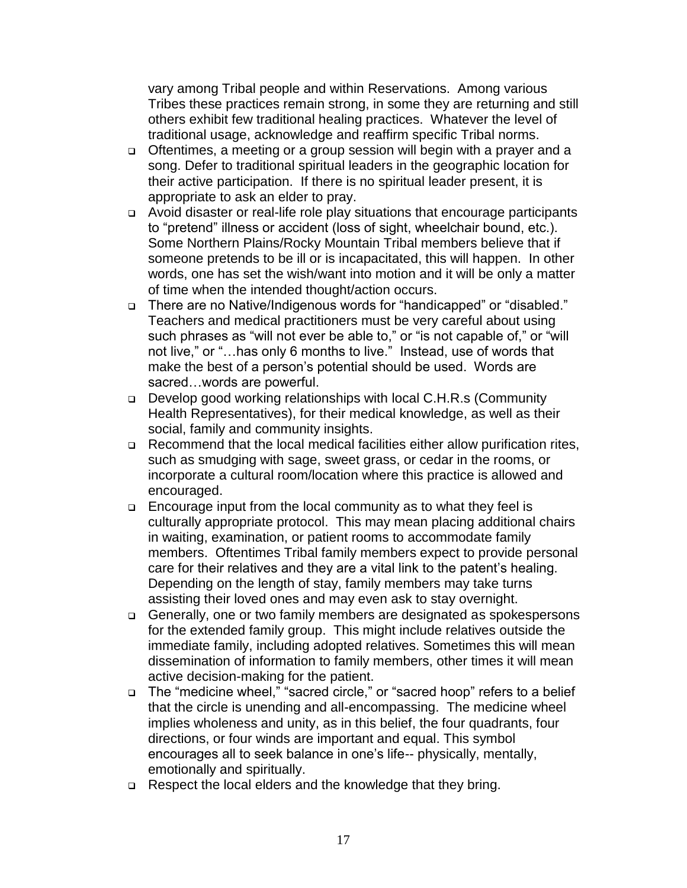vary among Tribal people and within Reservations. Among various Tribes these practices remain strong, in some they are returning and still others exhibit few traditional healing practices. Whatever the level of traditional usage, acknowledge and reaffirm specific Tribal norms.

- □ Oftentimes, a meeting or a group session will begin with a prayer and a song. Defer to traditional spiritual leaders in the geographic location for their active participation. If there is no spiritual leader present, it is appropriate to ask an elder to pray.
- Avoid disaster or real-life role play situations that encourage participants to "pretend" illness or accident (loss of sight, wheelchair bound, etc.). Some Northern Plains/Rocky Mountain Tribal members believe that if someone pretends to be ill or is incapacitated, this will happen. In other words, one has set the wish/want into motion and it will be only a matter of time when the intended thought/action occurs.
- There are no Native/Indigenous words for "handicapped" or "disabled." Teachers and medical practitioners must be very careful about using such phrases as "will not ever be able to," or "is not capable of," or "will not live," or "…has only 6 months to live." Instead, use of words that make the best of a person's potential should be used. Words are sacred…words are powerful.
- Develop good working relationships with local C.H.R.s (Community Health Representatives), for their medical knowledge, as well as their social, family and community insights.
- Recommend that the local medical facilities either allow purification rites, such as smudging with sage, sweet grass, or cedar in the rooms, or incorporate a cultural room/location where this practice is allowed and encouraged.
- Encourage input from the local community as to what they feel is culturally appropriate protocol. This may mean placing additional chairs in waiting, examination, or patient rooms to accommodate family members. Oftentimes Tribal family members expect to provide personal care for their relatives and they are a vital link to the patent's healing. Depending on the length of stay, family members may take turns assisting their loved ones and may even ask to stay overnight.
- Generally, one or two family members are designated as spokespersons for the extended family group. This might include relatives outside the immediate family, including adopted relatives. Sometimes this will mean dissemination of information to family members, other times it will mean active decision-making for the patient.
- □ The "medicine wheel," "sacred circle," or "sacred hoop" refers to a belief that the circle is unending and all-encompassing. The medicine wheel implies wholeness and unity, as in this belief, the four quadrants, four directions, or four winds are important and equal. This symbol encourages all to seek balance in one's life-- physically, mentally, emotionally and spiritually.
- □ Respect the local elders and the knowledge that they bring.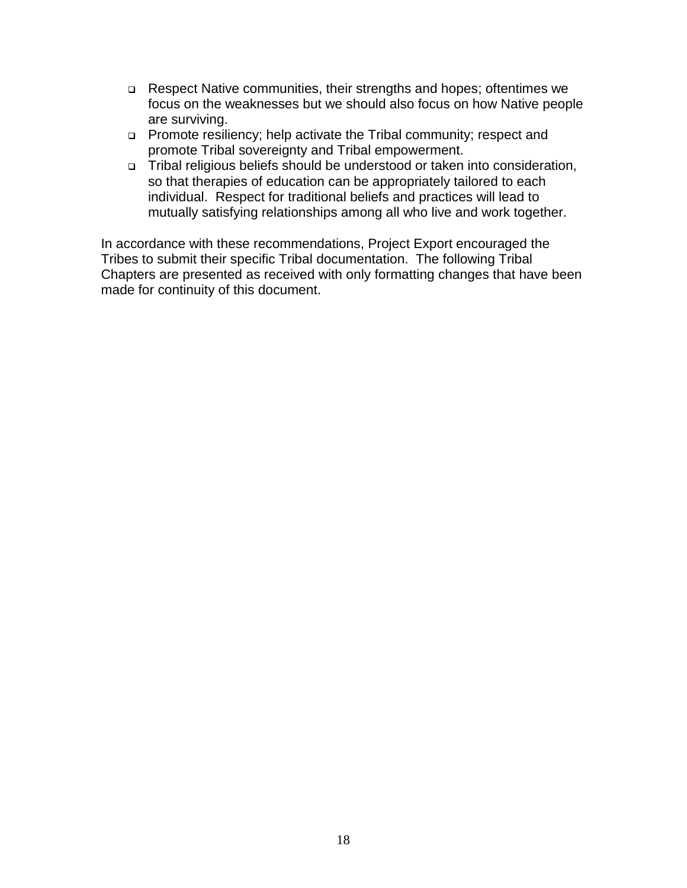- □ Respect Native communities, their strengths and hopes; oftentimes we focus on the weaknesses but we should also focus on how Native people are surviving.
- Promote resiliency; help activate the Tribal community; respect and promote Tribal sovereignty and Tribal empowerment.
- Tribal religious beliefs should be understood or taken into consideration, so that therapies of education can be appropriately tailored to each individual. Respect for traditional beliefs and practices will lead to mutually satisfying relationships among all who live and work together.

In accordance with these recommendations, Project Export encouraged the Tribes to submit their specific Tribal documentation. The following Tribal Chapters are presented as received with only formatting changes that have been made for continuity of this document.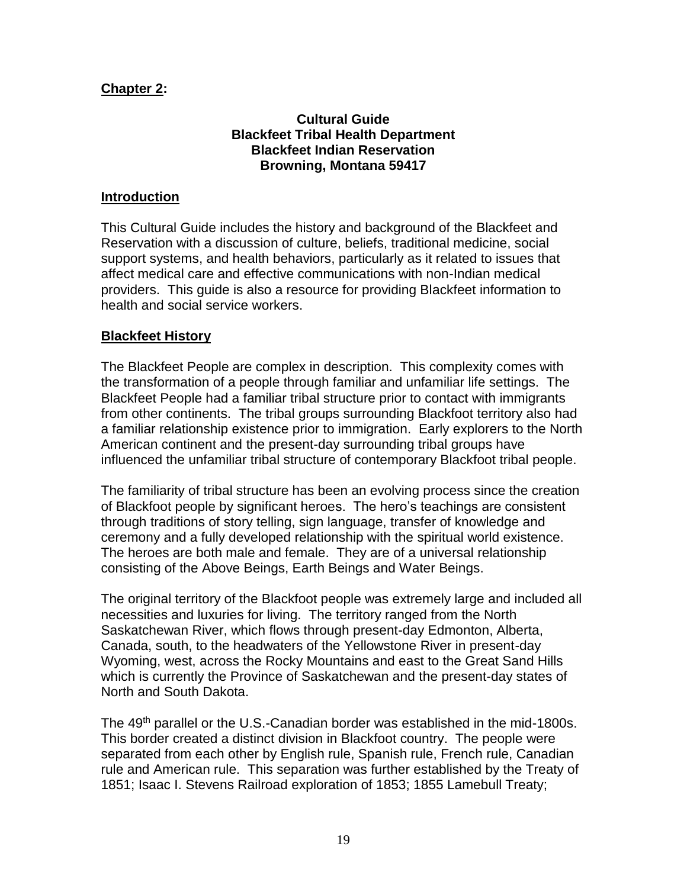## **Chapter 2:**

## **Cultural Guide Blackfeet Tribal Health Department Blackfeet Indian Reservation Browning, Montana 59417**

#### **Introduction**

This Cultural Guide includes the history and background of the Blackfeet and Reservation with a discussion of culture, beliefs, traditional medicine, social support systems, and health behaviors, particularly as it related to issues that affect medical care and effective communications with non-Indian medical providers. This guide is also a resource for providing Blackfeet information to health and social service workers.

#### **Blackfeet History**

The Blackfeet People are complex in description. This complexity comes with the transformation of a people through familiar and unfamiliar life settings. The Blackfeet People had a familiar tribal structure prior to contact with immigrants from other continents. The tribal groups surrounding Blackfoot territory also had a familiar relationship existence prior to immigration. Early explorers to the North American continent and the present-day surrounding tribal groups have influenced the unfamiliar tribal structure of contemporary Blackfoot tribal people.

The familiarity of tribal structure has been an evolving process since the creation of Blackfoot people by significant heroes. The hero's teachings are consistent through traditions of story telling, sign language, transfer of knowledge and ceremony and a fully developed relationship with the spiritual world existence. The heroes are both male and female. They are of a universal relationship consisting of the Above Beings, Earth Beings and Water Beings.

The original territory of the Blackfoot people was extremely large and included all necessities and luxuries for living. The territory ranged from the North Saskatchewan River, which flows through present-day Edmonton, Alberta, Canada, south, to the headwaters of the Yellowstone River in present-day Wyoming, west, across the Rocky Mountains and east to the Great Sand Hills which is currently the Province of Saskatchewan and the present-day states of North and South Dakota.

The 49<sup>th</sup> parallel or the U.S.-Canadian border was established in the mid-1800s. This border created a distinct division in Blackfoot country. The people were separated from each other by English rule, Spanish rule, French rule, Canadian rule and American rule. This separation was further established by the Treaty of 1851; Isaac I. Stevens Railroad exploration of 1853; 1855 Lamebull Treaty;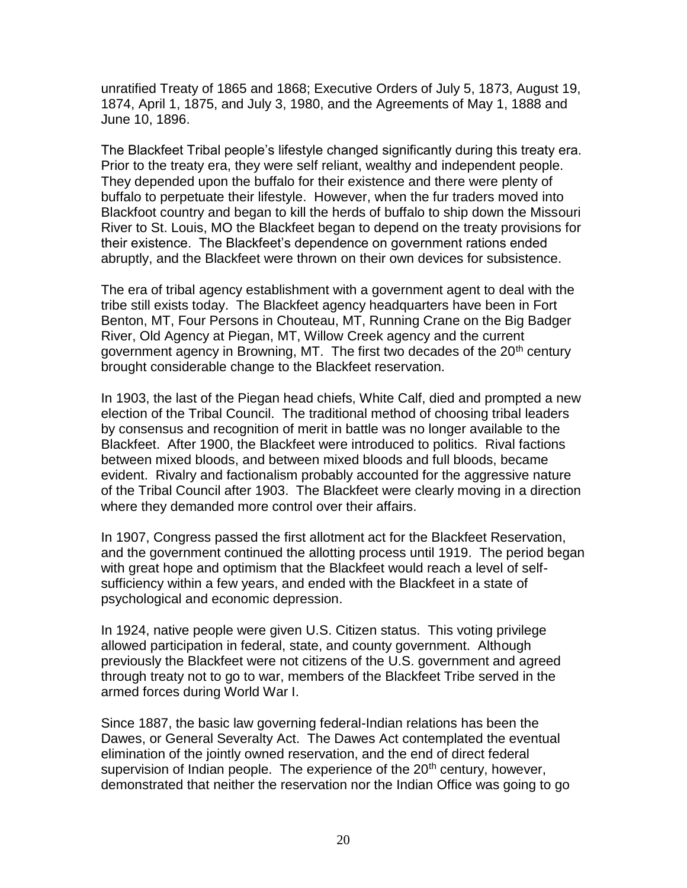unratified Treaty of 1865 and 1868; Executive Orders of July 5, 1873, August 19, 1874, April 1, 1875, and July 3, 1980, and the Agreements of May 1, 1888 and June 10, 1896.

The Blackfeet Tribal people's lifestyle changed significantly during this treaty era. Prior to the treaty era, they were self reliant, wealthy and independent people. They depended upon the buffalo for their existence and there were plenty of buffalo to perpetuate their lifestyle. However, when the fur traders moved into Blackfoot country and began to kill the herds of buffalo to ship down the Missouri River to St. Louis, MO the Blackfeet began to depend on the treaty provisions for their existence. The Blackfeet's dependence on government rations ended abruptly, and the Blackfeet were thrown on their own devices for subsistence.

The era of tribal agency establishment with a government agent to deal with the tribe still exists today. The Blackfeet agency headquarters have been in Fort Benton, MT, Four Persons in Chouteau, MT, Running Crane on the Big Badger River, Old Agency at Piegan, MT, Willow Creek agency and the current government agency in Browning, MT. The first two decades of the 20<sup>th</sup> century brought considerable change to the Blackfeet reservation.

In 1903, the last of the Piegan head chiefs, White Calf, died and prompted a new election of the Tribal Council. The traditional method of choosing tribal leaders by consensus and recognition of merit in battle was no longer available to the Blackfeet. After 1900, the Blackfeet were introduced to politics. Rival factions between mixed bloods, and between mixed bloods and full bloods, became evident. Rivalry and factionalism probably accounted for the aggressive nature of the Tribal Council after 1903. The Blackfeet were clearly moving in a direction where they demanded more control over their affairs.

In 1907, Congress passed the first allotment act for the Blackfeet Reservation, and the government continued the allotting process until 1919. The period began with great hope and optimism that the Blackfeet would reach a level of selfsufficiency within a few years, and ended with the Blackfeet in a state of psychological and economic depression.

In 1924, native people were given U.S. Citizen status. This voting privilege allowed participation in federal, state, and county government. Although previously the Blackfeet were not citizens of the U.S. government and agreed through treaty not to go to war, members of the Blackfeet Tribe served in the armed forces during World War I.

Since 1887, the basic law governing federal-Indian relations has been the Dawes, or General Severalty Act. The Dawes Act contemplated the eventual elimination of the jointly owned reservation, and the end of direct federal supervision of Indian people. The experience of the  $20<sup>th</sup>$  century, however, demonstrated that neither the reservation nor the Indian Office was going to go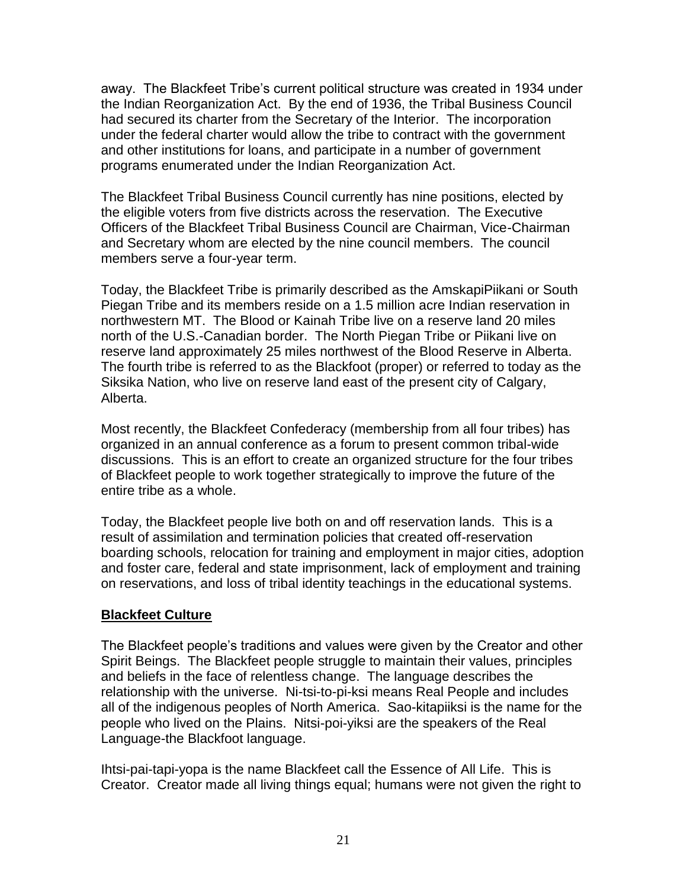away. The Blackfeet Tribe's current political structure was created in 1934 under the Indian Reorganization Act. By the end of 1936, the Tribal Business Council had secured its charter from the Secretary of the Interior. The incorporation under the federal charter would allow the tribe to contract with the government and other institutions for loans, and participate in a number of government programs enumerated under the Indian Reorganization Act.

The Blackfeet Tribal Business Council currently has nine positions, elected by the eligible voters from five districts across the reservation. The Executive Officers of the Blackfeet Tribal Business Council are Chairman, Vice-Chairman and Secretary whom are elected by the nine council members. The council members serve a four-year term.

Today, the Blackfeet Tribe is primarily described as the AmskapiPiikani or South Piegan Tribe and its members reside on a 1.5 million acre Indian reservation in northwestern MT. The Blood or Kainah Tribe live on a reserve land 20 miles north of the U.S.-Canadian border. The North Piegan Tribe or Piikani live on reserve land approximately 25 miles northwest of the Blood Reserve in Alberta. The fourth tribe is referred to as the Blackfoot (proper) or referred to today as the Siksika Nation, who live on reserve land east of the present city of Calgary, Alberta.

Most recently, the Blackfeet Confederacy (membership from all four tribes) has organized in an annual conference as a forum to present common tribal-wide discussions. This is an effort to create an organized structure for the four tribes of Blackfeet people to work together strategically to improve the future of the entire tribe as a whole.

Today, the Blackfeet people live both on and off reservation lands. This is a result of assimilation and termination policies that created off-reservation boarding schools, relocation for training and employment in major cities, adoption and foster care, federal and state imprisonment, lack of employment and training on reservations, and loss of tribal identity teachings in the educational systems.

#### **Blackfeet Culture**

The Blackfeet people's traditions and values were given by the Creator and other Spirit Beings. The Blackfeet people struggle to maintain their values, principles and beliefs in the face of relentless change. The language describes the relationship with the universe. Ni-tsi-to-pi-ksi means Real People and includes all of the indigenous peoples of North America. Sao-kitapiiksi is the name for the people who lived on the Plains. Nitsi-poi-yiksi are the speakers of the Real Language-the Blackfoot language.

Ihtsi-pai-tapi-yopa is the name Blackfeet call the Essence of All Life. This is Creator. Creator made all living things equal; humans were not given the right to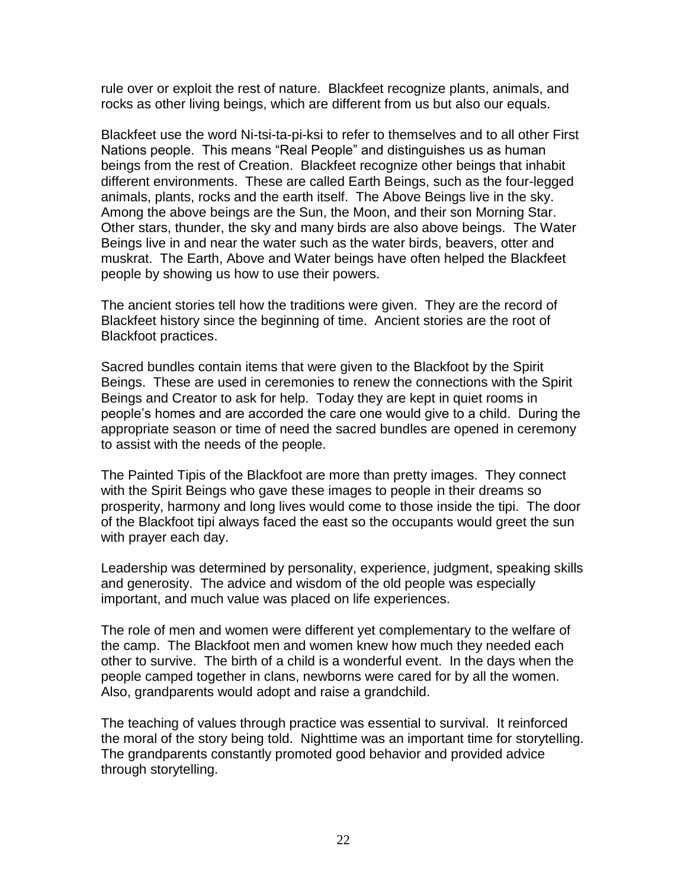rule over or exploit the rest of nature. Blackfeet recognize plants, animals, and rocks as other living beings, which are different from us but also our equals.

Blackfeet use the word Ni-tsi-ta-pi-ksi to refer to themselves and to all other First Nations people. This means "Real People" and distinguishes us as human beings from the rest of Creation. Blackfeet recognize other beings that inhabit different environments. These are called Earth Beings, such as the four-legged animals, plants, rocks and the earth itself. The Above Beings live in the sky. Among the above beings are the Sun, the Moon, and their son Morning Star. Other stars, thunder, the sky and many birds are also above beings. The Water Beings live in and near the water such as the water birds, beavers, otter and muskrat. The Earth, Above and Water beings have often helped the Blackfeet people by showing us how to use their powers.

The ancient stories tell how the traditions were given. They are the record of Blackfeet history since the beginning of time. Ancient stories are the root of Blackfoot practices.

Sacred bundles contain items that were given to the Blackfoot by the Spirit Beings. These are used in ceremonies to renew the connections with the Spirit Beings and Creator to ask for help. Today they are kept in quiet rooms in people's homes and are accorded the care one would give to a child. During the appropriate season or time of need the sacred bundles are opened in ceremony to assist with the needs of the people.

The Painted Tipis of the Blackfoot are more than pretty images. They connect with the Spirit Beings who gave these images to people in their dreams so prosperity, harmony and long lives would come to those inside the tipi. The door of the Blackfoot tipi always faced the east so the occupants would greet the sun with prayer each day.

Leadership was determined by personality, experience, judgment, speaking skills and generosity. The advice and wisdom of the old people was especially important, and much value was placed on life experiences.

The role of men and women were different yet complementary to the welfare of the camp. The Blackfoot men and women knew how much they needed each other to survive. The birth of a child is a wonderful event. In the days when the people camped together in clans, newborns were cared for by all the women. Also, grandparents would adopt and raise a grandchild.

The teaching of values through practice was essential to survival. It reinforced the moral of the story being told. Nighttime was an important time for storytelling. The grandparents constantly promoted good behavior and provided advice through storytelling.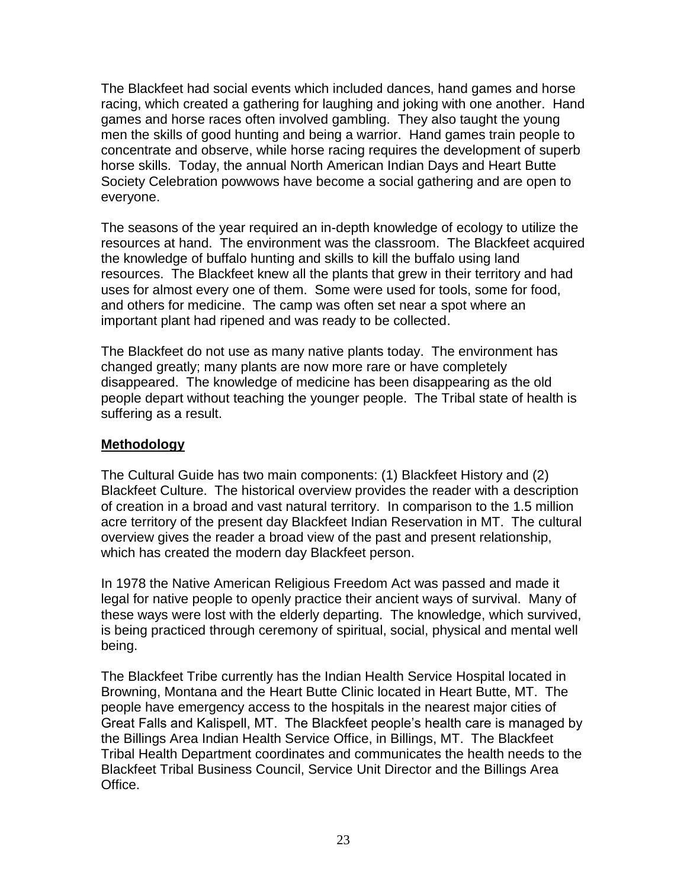The Blackfeet had social events which included dances, hand games and horse racing, which created a gathering for laughing and joking with one another. Hand games and horse races often involved gambling. They also taught the young men the skills of good hunting and being a warrior. Hand games train people to concentrate and observe, while horse racing requires the development of superb horse skills. Today, the annual North American Indian Days and Heart Butte Society Celebration powwows have become a social gathering and are open to everyone.

The seasons of the year required an in-depth knowledge of ecology to utilize the resources at hand. The environment was the classroom. The Blackfeet acquired the knowledge of buffalo hunting and skills to kill the buffalo using land resources. The Blackfeet knew all the plants that grew in their territory and had uses for almost every one of them. Some were used for tools, some for food, and others for medicine. The camp was often set near a spot where an important plant had ripened and was ready to be collected.

The Blackfeet do not use as many native plants today. The environment has changed greatly; many plants are now more rare or have completely disappeared. The knowledge of medicine has been disappearing as the old people depart without teaching the younger people. The Tribal state of health is suffering as a result.

## **Methodology**

The Cultural Guide has two main components: (1) Blackfeet History and (2) Blackfeet Culture. The historical overview provides the reader with a description of creation in a broad and vast natural territory. In comparison to the 1.5 million acre territory of the present day Blackfeet Indian Reservation in MT. The cultural overview gives the reader a broad view of the past and present relationship, which has created the modern day Blackfeet person.

In 1978 the Native American Religious Freedom Act was passed and made it legal for native people to openly practice their ancient ways of survival. Many of these ways were lost with the elderly departing. The knowledge, which survived, is being practiced through ceremony of spiritual, social, physical and mental well being.

The Blackfeet Tribe currently has the Indian Health Service Hospital located in Browning, Montana and the Heart Butte Clinic located in Heart Butte, MT. The people have emergency access to the hospitals in the nearest major cities of Great Falls and Kalispell, MT. The Blackfeet people's health care is managed by the Billings Area Indian Health Service Office, in Billings, MT. The Blackfeet Tribal Health Department coordinates and communicates the health needs to the Blackfeet Tribal Business Council, Service Unit Director and the Billings Area Office.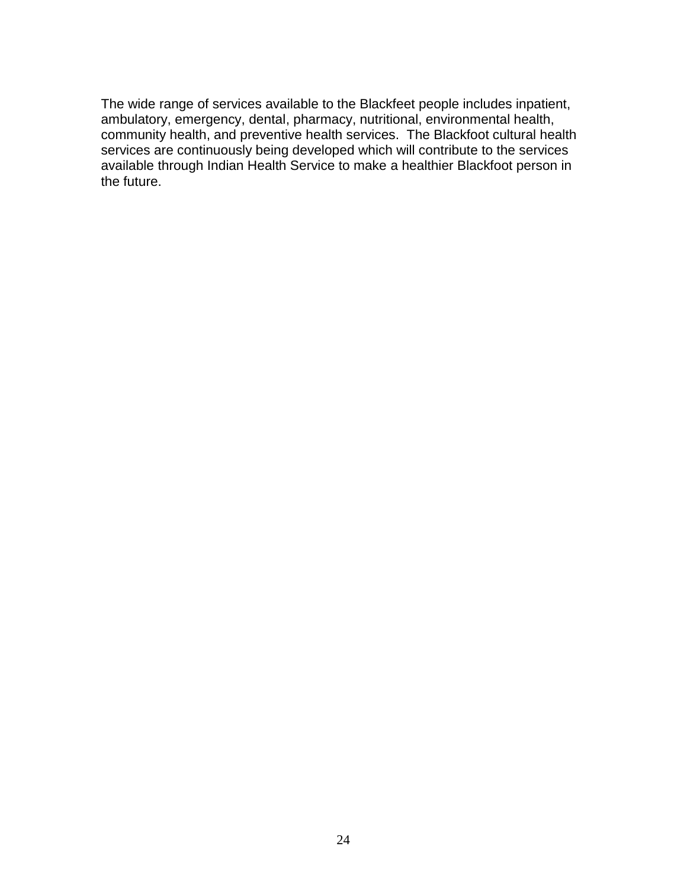The wide range of services available to the Blackfeet people includes inpatient, ambulatory, emergency, dental, pharmacy, nutritional, environmental health, community health, and preventive health services. The Blackfoot cultural health services are continuously being developed which will contribute to the services available through Indian Health Service to make a healthier Blackfoot person in the future.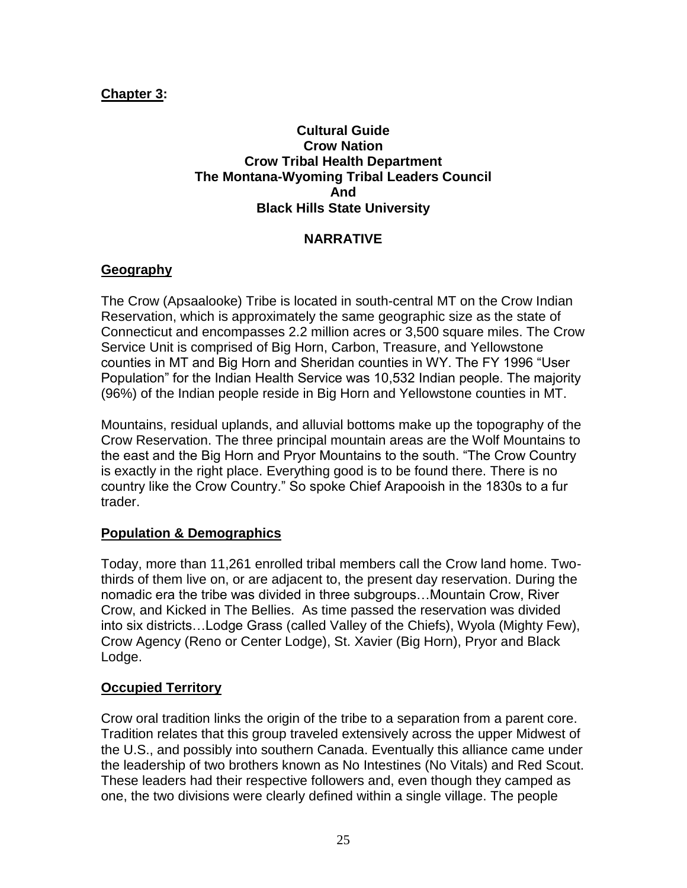## **Chapter 3:**

#### **Cultural Guide Crow Nation Crow Tribal Health Department The Montana-Wyoming Tribal Leaders Council And Black Hills State University**

#### **NARRATIVE**

## **Geography**

The Crow (Apsaalooke) Tribe is located in south-central MT on the Crow Indian Reservation, which is approximately the same geographic size as the state of Connecticut and encompasses 2.2 million acres or 3,500 square miles. The Crow Service Unit is comprised of Big Horn, Carbon, Treasure, and Yellowstone counties in MT and Big Horn and Sheridan counties in WY. The FY 1996 "User Population" for the Indian Health Service was 10,532 Indian people. The majority (96%) of the Indian people reside in Big Horn and Yellowstone counties in MT.

Mountains, residual uplands, and alluvial bottoms make up the topography of the Crow Reservation. The three principal mountain areas are the Wolf Mountains to the east and the Big Horn and Pryor Mountains to the south. "The Crow Country is exactly in the right place. Everything good is to be found there. There is no country like the Crow Country." So spoke Chief Arapooish in the 1830s to a fur trader.

#### **Population & Demographics**

Today, more than 11,261 enrolled tribal members call the Crow land home. Twothirds of them live on, or are adjacent to, the present day reservation. During the nomadic era the tribe was divided in three subgroups…Mountain Crow, River Crow, and Kicked in The Bellies. As time passed the reservation was divided into six districts…Lodge Grass (called Valley of the Chiefs), Wyola (Mighty Few), Crow Agency (Reno or Center Lodge), St. Xavier (Big Horn), Pryor and Black Lodge.

#### **Occupied Territory**

Crow oral tradition links the origin of the tribe to a separation from a parent core. Tradition relates that this group traveled extensively across the upper Midwest of the U.S., and possibly into southern Canada. Eventually this alliance came under the leadership of two brothers known as No Intestines (No Vitals) and Red Scout. These leaders had their respective followers and, even though they camped as one, the two divisions were clearly defined within a single village. The people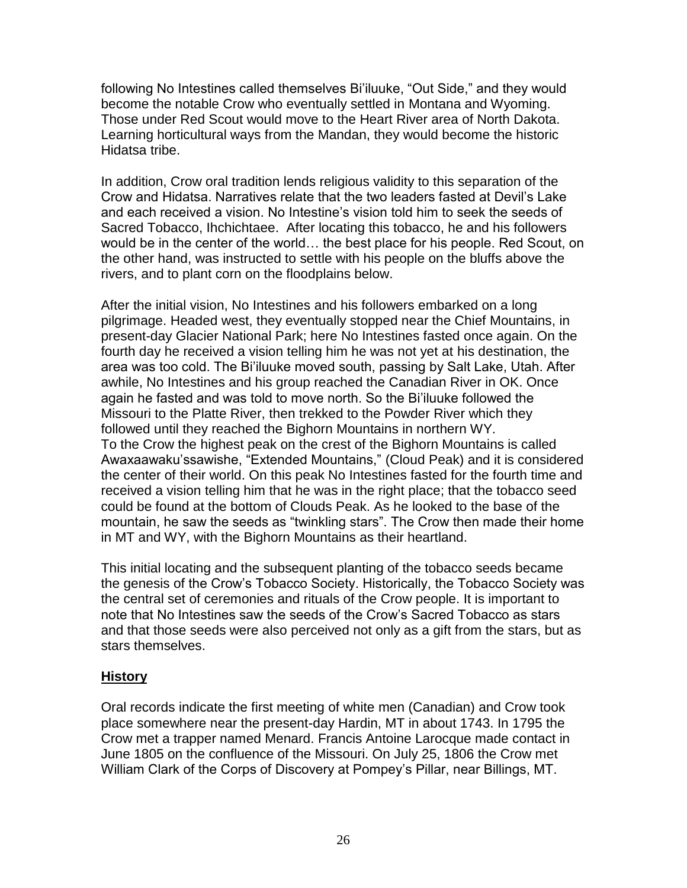following No Intestines called themselves Bi'iluuke, "Out Side," and they would become the notable Crow who eventually settled in Montana and Wyoming. Those under Red Scout would move to the Heart River area of North Dakota. Learning horticultural ways from the Mandan, they would become the historic Hidatsa tribe.

In addition, Crow oral tradition lends religious validity to this separation of the Crow and Hidatsa. Narratives relate that the two leaders fasted at Devil's Lake and each received a vision. No Intestine's vision told him to seek the seeds of Sacred Tobacco, Ihchichtaee. After locating this tobacco, he and his followers would be in the center of the world… the best place for his people. Red Scout, on the other hand, was instructed to settle with his people on the bluffs above the rivers, and to plant corn on the floodplains below.

After the initial vision, No Intestines and his followers embarked on a long pilgrimage. Headed west, they eventually stopped near the Chief Mountains, in present-day Glacier National Park; here No Intestines fasted once again. On the fourth day he received a vision telling him he was not yet at his destination, the area was too cold. The Bi'iluuke moved south, passing by Salt Lake, Utah. After awhile, No Intestines and his group reached the Canadian River in OK. Once again he fasted and was told to move north. So the Bi'iluuke followed the Missouri to the Platte River, then trekked to the Powder River which they followed until they reached the Bighorn Mountains in northern WY. To the Crow the highest peak on the crest of the Bighorn Mountains is called Awaxaawaku'ssawishe, "Extended Mountains," (Cloud Peak) and it is considered the center of their world. On this peak No Intestines fasted for the fourth time and received a vision telling him that he was in the right place; that the tobacco seed could be found at the bottom of Clouds Peak. As he looked to the base of the mountain, he saw the seeds as "twinkling stars". The Crow then made their home in MT and WY, with the Bighorn Mountains as their heartland.

This initial locating and the subsequent planting of the tobacco seeds became the genesis of the Crow's Tobacco Society. Historically, the Tobacco Society was the central set of ceremonies and rituals of the Crow people. It is important to note that No Intestines saw the seeds of the Crow's Sacred Tobacco as stars and that those seeds were also perceived not only as a gift from the stars, but as stars themselves.

## **History**

Oral records indicate the first meeting of white men (Canadian) and Crow took place somewhere near the present-day Hardin, MT in about 1743. In 1795 the Crow met a trapper named Menard. Francis Antoine Larocque made contact in June 1805 on the confluence of the Missouri. On July 25, 1806 the Crow met William Clark of the Corps of Discovery at Pompey's Pillar, near Billings, MT.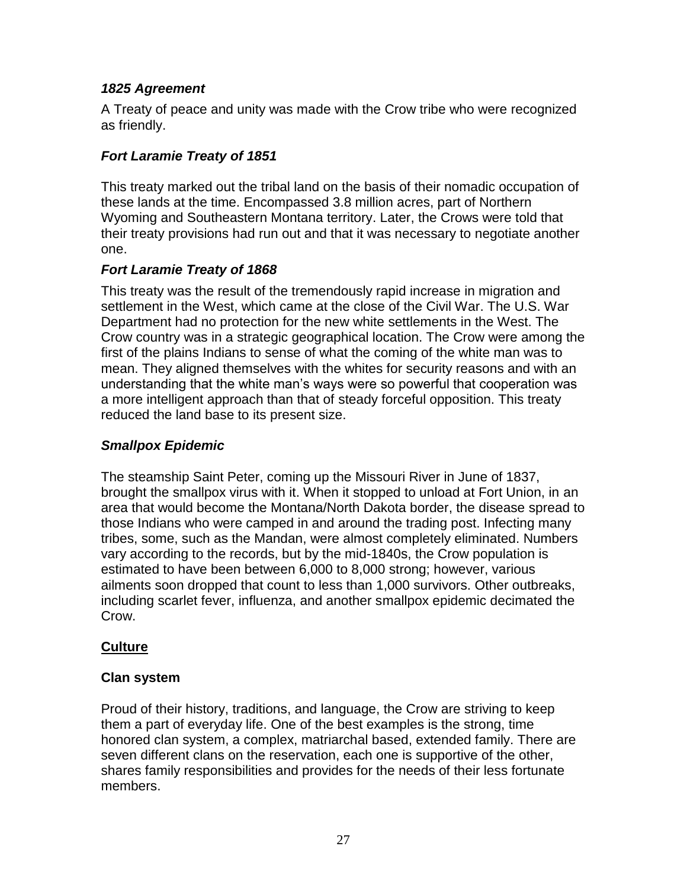## *1825 Agreement*

A Treaty of peace and unity was made with the Crow tribe who were recognized as friendly.

## *Fort Laramie Treaty of 1851*

This treaty marked out the tribal land on the basis of their nomadic occupation of these lands at the time. Encompassed 3.8 million acres, part of Northern Wyoming and Southeastern Montana territory. Later, the Crows were told that their treaty provisions had run out and that it was necessary to negotiate another one.

## *Fort Laramie Treaty of 1868*

This treaty was the result of the tremendously rapid increase in migration and settlement in the West, which came at the close of the Civil War. The U.S. War Department had no protection for the new white settlements in the West. The Crow country was in a strategic geographical location. The Crow were among the first of the plains Indians to sense of what the coming of the white man was to mean. They aligned themselves with the whites for security reasons and with an understanding that the white man's ways were so powerful that cooperation was a more intelligent approach than that of steady forceful opposition. This treaty reduced the land base to its present size.

## *Smallpox Epidemic*

The steamship Saint Peter, coming up the Missouri River in June of 1837, brought the smallpox virus with it. When it stopped to unload at Fort Union, in an area that would become the Montana/North Dakota border, the disease spread to those Indians who were camped in and around the trading post. Infecting many tribes, some, such as the Mandan, were almost completely eliminated. Numbers vary according to the records, but by the mid-1840s, the Crow population is estimated to have been between 6,000 to 8,000 strong; however, various ailments soon dropped that count to less than 1,000 survivors. Other outbreaks, including scarlet fever, influenza, and another smallpox epidemic decimated the Crow.

# **Culture**

## **Clan system**

Proud of their history, traditions, and language, the Crow are striving to keep them a part of everyday life. One of the best examples is the strong, time honored clan system, a complex, matriarchal based, extended family. There are seven different clans on the reservation, each one is supportive of the other, shares family responsibilities and provides for the needs of their less fortunate members.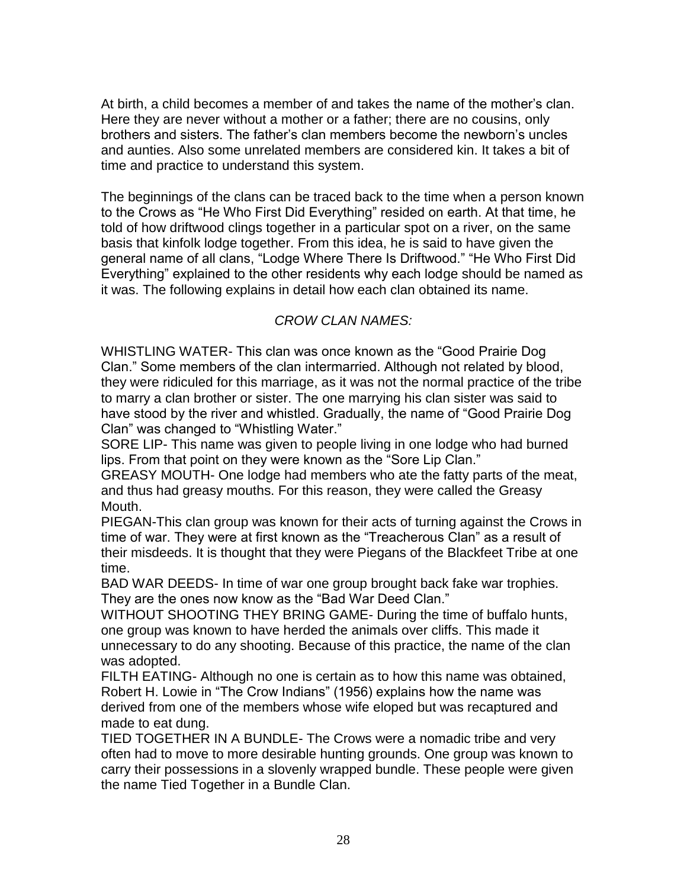At birth, a child becomes a member of and takes the name of the mother's clan. Here they are never without a mother or a father; there are no cousins, only brothers and sisters. The father's clan members become the newborn's uncles and aunties. Also some unrelated members are considered kin. It takes a bit of time and practice to understand this system.

The beginnings of the clans can be traced back to the time when a person known to the Crows as "He Who First Did Everything" resided on earth. At that time, he told of how driftwood clings together in a particular spot on a river, on the same basis that kinfolk lodge together. From this idea, he is said to have given the general name of all clans, "Lodge Where There Is Driftwood." "He Who First Did Everything" explained to the other residents why each lodge should be named as it was. The following explains in detail how each clan obtained its name.

## *CROW CLAN NAMES:*

WHISTLING WATER- This clan was once known as the "Good Prairie Dog Clan." Some members of the clan intermarried. Although not related by blood, they were ridiculed for this marriage, as it was not the normal practice of the tribe to marry a clan brother or sister. The one marrying his clan sister was said to have stood by the river and whistled. Gradually, the name of "Good Prairie Dog Clan" was changed to "Whistling Water."

SORE LIP- This name was given to people living in one lodge who had burned lips. From that point on they were known as the "Sore Lip Clan."

GREASY MOUTH- One lodge had members who ate the fatty parts of the meat, and thus had greasy mouths. For this reason, they were called the Greasy Mouth.

PIEGAN-This clan group was known for their acts of turning against the Crows in time of war. They were at first known as the "Treacherous Clan" as a result of their misdeeds. It is thought that they were Piegans of the Blackfeet Tribe at one time.

BAD WAR DEEDS- In time of war one group brought back fake war trophies. They are the ones now know as the "Bad War Deed Clan."

WITHOUT SHOOTING THEY BRING GAME- During the time of buffalo hunts, one group was known to have herded the animals over cliffs. This made it unnecessary to do any shooting. Because of this practice, the name of the clan was adopted.

FILTH EATING- Although no one is certain as to how this name was obtained, Robert H. Lowie in "The Crow Indians" (1956) explains how the name was derived from one of the members whose wife eloped but was recaptured and made to eat dung.

TIED TOGETHER IN A BUNDLE- The Crows were a nomadic tribe and very often had to move to more desirable hunting grounds. One group was known to carry their possessions in a slovenly wrapped bundle. These people were given the name Tied Together in a Bundle Clan.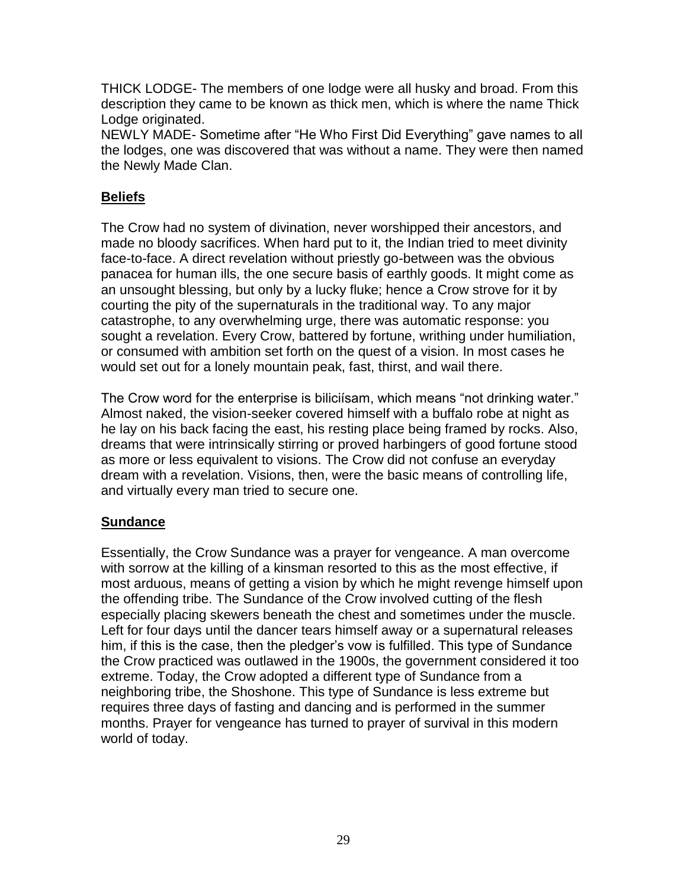THICK LODGE- The members of one lodge were all husky and broad. From this description they came to be known as thick men, which is where the name Thick Lodge originated.

NEWLY MADE- Sometime after "He Who First Did Everything" gave names to all the lodges, one was discovered that was without a name. They were then named the Newly Made Clan.

# **Beliefs**

The Crow had no system of divination, never worshipped their ancestors, and made no bloody sacrifices. When hard put to it, the Indian tried to meet divinity face-to-face. A direct revelation without priestly go-between was the obvious panacea for human ills, the one secure basis of earthly goods. It might come as an unsought blessing, but only by a lucky fluke; hence a Crow strove for it by courting the pity of the supernaturals in the traditional way. To any major catastrophe, to any overwhelming urge, there was automatic response: you sought a revelation. Every Crow, battered by fortune, writhing under humiliation, or consumed with ambition set forth on the quest of a vision. In most cases he would set out for a lonely mountain peak, fast, thirst, and wail there.

The Crow word for the enterprise is biliciísam, which means "not drinking water." Almost naked, the vision-seeker covered himself with a buffalo robe at night as he lay on his back facing the east, his resting place being framed by rocks. Also, dreams that were intrinsically stirring or proved harbingers of good fortune stood as more or less equivalent to visions. The Crow did not confuse an everyday dream with a revelation. Visions, then, were the basic means of controlling life, and virtually every man tried to secure one.

## **Sundance**

Essentially, the Crow Sundance was a prayer for vengeance. A man overcome with sorrow at the killing of a kinsman resorted to this as the most effective, if most arduous, means of getting a vision by which he might revenge himself upon the offending tribe. The Sundance of the Crow involved cutting of the flesh especially placing skewers beneath the chest and sometimes under the muscle. Left for four days until the dancer tears himself away or a supernatural releases him, if this is the case, then the pledger's vow is fulfilled. This type of Sundance the Crow practiced was outlawed in the 1900s, the government considered it too extreme. Today, the Crow adopted a different type of Sundance from a neighboring tribe, the Shoshone. This type of Sundance is less extreme but requires three days of fasting and dancing and is performed in the summer months. Prayer for vengeance has turned to prayer of survival in this modern world of today.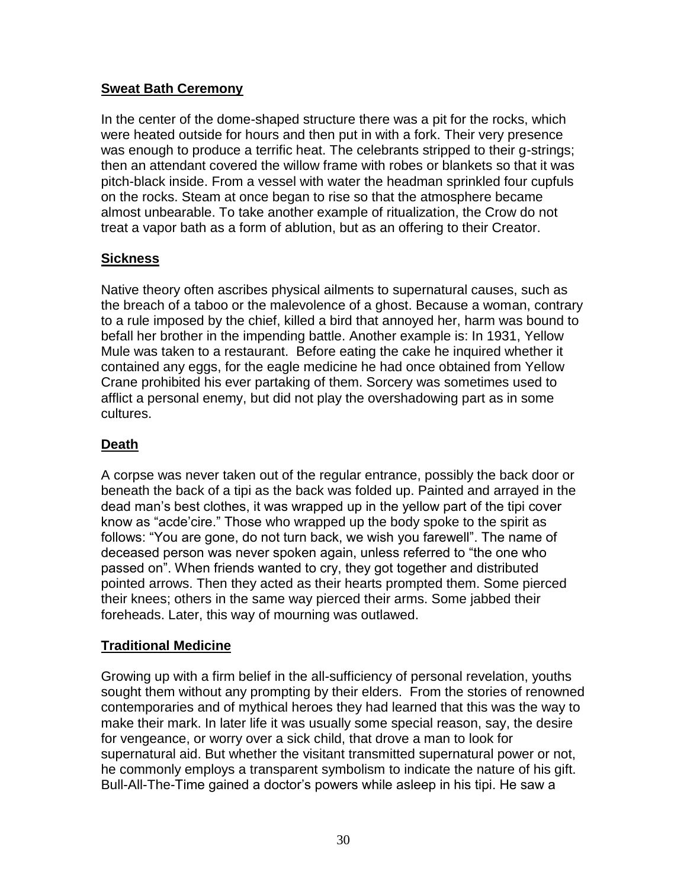## **Sweat Bath Ceremony**

In the center of the dome-shaped structure there was a pit for the rocks, which were heated outside for hours and then put in with a fork. Their very presence was enough to produce a terrific heat. The celebrants stripped to their g-strings; then an attendant covered the willow frame with robes or blankets so that it was pitch-black inside. From a vessel with water the headman sprinkled four cupfuls on the rocks. Steam at once began to rise so that the atmosphere became almost unbearable. To take another example of ritualization, the Crow do not treat a vapor bath as a form of ablution, but as an offering to their Creator.

## **Sickness**

Native theory often ascribes physical ailments to supernatural causes, such as the breach of a taboo or the malevolence of a ghost. Because a woman, contrary to a rule imposed by the chief, killed a bird that annoyed her, harm was bound to befall her brother in the impending battle. Another example is: In 1931, Yellow Mule was taken to a restaurant. Before eating the cake he inquired whether it contained any eggs, for the eagle medicine he had once obtained from Yellow Crane prohibited his ever partaking of them. Sorcery was sometimes used to afflict a personal enemy, but did not play the overshadowing part as in some cultures.

## **Death**

A corpse was never taken out of the regular entrance, possibly the back door or beneath the back of a tipi as the back was folded up. Painted and arrayed in the dead man's best clothes, it was wrapped up in the yellow part of the tipi cover know as "acde'cire." Those who wrapped up the body spoke to the spirit as follows: "You are gone, do not turn back, we wish you farewell". The name of deceased person was never spoken again, unless referred to "the one who passed on". When friends wanted to cry, they got together and distributed pointed arrows. Then they acted as their hearts prompted them. Some pierced their knees; others in the same way pierced their arms. Some jabbed their foreheads. Later, this way of mourning was outlawed.

## **Traditional Medicine**

Growing up with a firm belief in the all-sufficiency of personal revelation, youths sought them without any prompting by their elders. From the stories of renowned contemporaries and of mythical heroes they had learned that this was the way to make their mark. In later life it was usually some special reason, say, the desire for vengeance, or worry over a sick child, that drove a man to look for supernatural aid. But whether the visitant transmitted supernatural power or not, he commonly employs a transparent symbolism to indicate the nature of his gift. Bull-All-The-Time gained a doctor's powers while asleep in his tipi. He saw a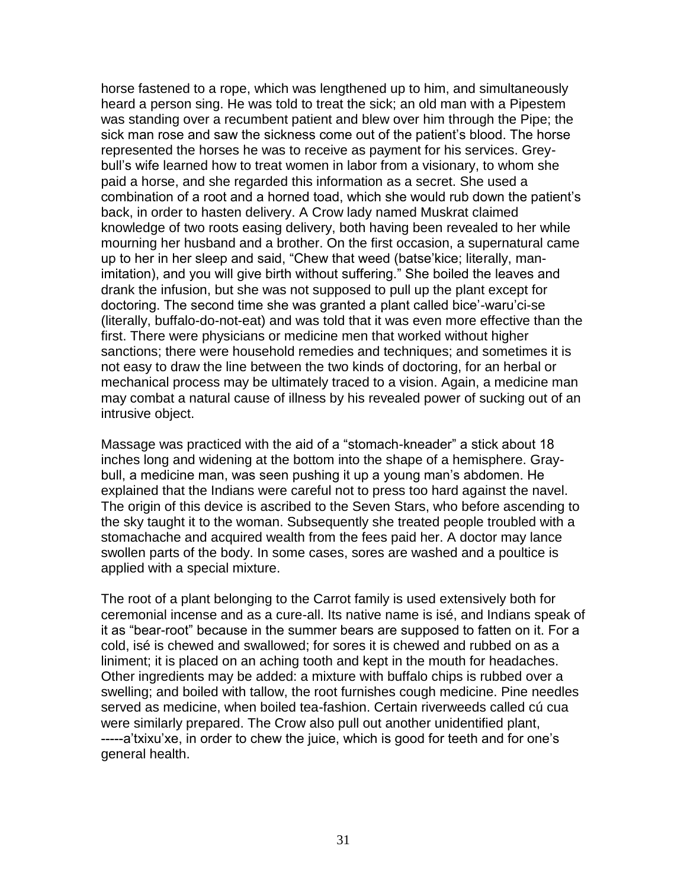horse fastened to a rope, which was lengthened up to him, and simultaneously heard a person sing. He was told to treat the sick; an old man with a Pipestem was standing over a recumbent patient and blew over him through the Pipe; the sick man rose and saw the sickness come out of the patient's blood. The horse represented the horses he was to receive as payment for his services. Greybull's wife learned how to treat women in labor from a visionary, to whom she paid a horse, and she regarded this information as a secret. She used a combination of a root and a horned toad, which she would rub down the patient's back, in order to hasten delivery. A Crow lady named Muskrat claimed knowledge of two roots easing delivery, both having been revealed to her while mourning her husband and a brother. On the first occasion, a supernatural came up to her in her sleep and said, "Chew that weed (batse'kice; literally, manimitation), and you will give birth without suffering." She boiled the leaves and drank the infusion, but she was not supposed to pull up the plant except for doctoring. The second time she was granted a plant called bice'-waru'ci-se (literally, buffalo-do-not-eat) and was told that it was even more effective than the first. There were physicians or medicine men that worked without higher sanctions; there were household remedies and techniques; and sometimes it is not easy to draw the line between the two kinds of doctoring, for an herbal or mechanical process may be ultimately traced to a vision. Again, a medicine man may combat a natural cause of illness by his revealed power of sucking out of an intrusive object.

Massage was practiced with the aid of a "stomach-kneader" a stick about 18 inches long and widening at the bottom into the shape of a hemisphere. Graybull, a medicine man, was seen pushing it up a young man's abdomen. He explained that the Indians were careful not to press too hard against the navel. The origin of this device is ascribed to the Seven Stars, who before ascending to the sky taught it to the woman. Subsequently she treated people troubled with a stomachache and acquired wealth from the fees paid her. A doctor may lance swollen parts of the body. In some cases, sores are washed and a poultice is applied with a special mixture.

The root of a plant belonging to the Carrot family is used extensively both for ceremonial incense and as a cure-all. Its native name is isé, and Indians speak of it as "bear-root" because in the summer bears are supposed to fatten on it. For a cold, isé is chewed and swallowed; for sores it is chewed and rubbed on as a liniment; it is placed on an aching tooth and kept in the mouth for headaches. Other ingredients may be added: a mixture with buffalo chips is rubbed over a swelling; and boiled with tallow, the root furnishes cough medicine. Pine needles served as medicine, when boiled tea-fashion. Certain riverweeds called cú cua were similarly prepared. The Crow also pull out another unidentified plant, -----a'txixu'xe, in order to chew the juice, which is good for teeth and for one's general health.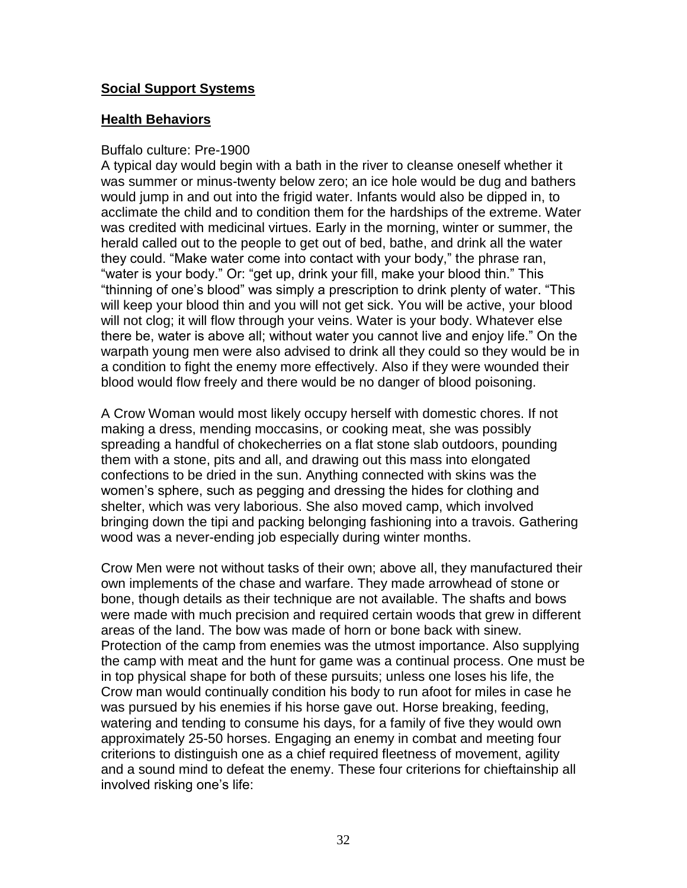## **Social Support Systems**

#### **Health Behaviors**

#### Buffalo culture: Pre-1900

A typical day would begin with a bath in the river to cleanse oneself whether it was summer or minus-twenty below zero; an ice hole would be dug and bathers would jump in and out into the frigid water. Infants would also be dipped in, to acclimate the child and to condition them for the hardships of the extreme. Water was credited with medicinal virtues. Early in the morning, winter or summer, the herald called out to the people to get out of bed, bathe, and drink all the water they could. "Make water come into contact with your body," the phrase ran, "water is your body." Or: "get up, drink your fill, make your blood thin." This "thinning of one's blood" was simply a prescription to drink plenty of water. "This will keep your blood thin and you will not get sick. You will be active, your blood will not clog; it will flow through your veins. Water is your body. Whatever else there be, water is above all; without water you cannot live and enjoy life." On the warpath young men were also advised to drink all they could so they would be in a condition to fight the enemy more effectively. Also if they were wounded their blood would flow freely and there would be no danger of blood poisoning.

A Crow Woman would most likely occupy herself with domestic chores. If not making a dress, mending moccasins, or cooking meat, she was possibly spreading a handful of chokecherries on a flat stone slab outdoors, pounding them with a stone, pits and all, and drawing out this mass into elongated confections to be dried in the sun. Anything connected with skins was the women's sphere, such as pegging and dressing the hides for clothing and shelter, which was very laborious. She also moved camp, which involved bringing down the tipi and packing belonging fashioning into a travois. Gathering wood was a never-ending job especially during winter months.

Crow Men were not without tasks of their own; above all, they manufactured their own implements of the chase and warfare. They made arrowhead of stone or bone, though details as their technique are not available. The shafts and bows were made with much precision and required certain woods that grew in different areas of the land. The bow was made of horn or bone back with sinew. Protection of the camp from enemies was the utmost importance. Also supplying the camp with meat and the hunt for game was a continual process. One must be in top physical shape for both of these pursuits; unless one loses his life, the Crow man would continually condition his body to run afoot for miles in case he was pursued by his enemies if his horse gave out. Horse breaking, feeding, watering and tending to consume his days, for a family of five they would own approximately 25-50 horses. Engaging an enemy in combat and meeting four criterions to distinguish one as a chief required fleetness of movement, agility and a sound mind to defeat the enemy. These four criterions for chieftainship all involved risking one's life: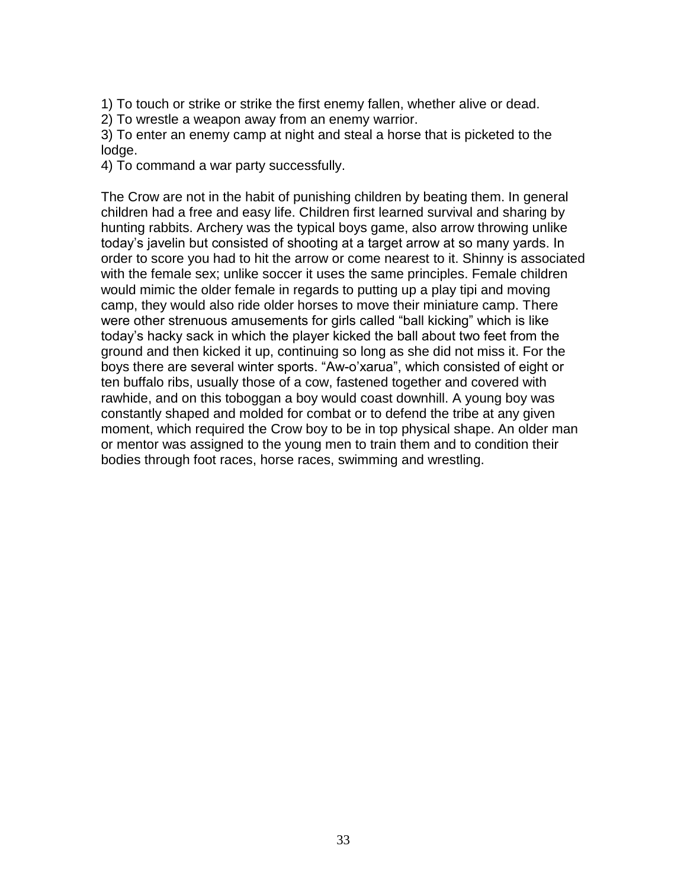1) To touch or strike or strike the first enemy fallen, whether alive or dead.

2) To wrestle a weapon away from an enemy warrior.

3) To enter an enemy camp at night and steal a horse that is picketed to the lodge.

4) To command a war party successfully.

The Crow are not in the habit of punishing children by beating them. In general children had a free and easy life. Children first learned survival and sharing by hunting rabbits. Archery was the typical boys game, also arrow throwing unlike today's javelin but consisted of shooting at a target arrow at so many yards. In order to score you had to hit the arrow or come nearest to it. Shinny is associated with the female sex; unlike soccer it uses the same principles. Female children would mimic the older female in regards to putting up a play tipi and moving camp, they would also ride older horses to move their miniature camp. There were other strenuous amusements for girls called "ball kicking" which is like today's hacky sack in which the player kicked the ball about two feet from the ground and then kicked it up, continuing so long as she did not miss it. For the boys there are several winter sports. "Aw-o'xarua", which consisted of eight or ten buffalo ribs, usually those of a cow, fastened together and covered with rawhide, and on this toboggan a boy would coast downhill. A young boy was constantly shaped and molded for combat or to defend the tribe at any given moment, which required the Crow boy to be in top physical shape. An older man or mentor was assigned to the young men to train them and to condition their bodies through foot races, horse races, swimming and wrestling.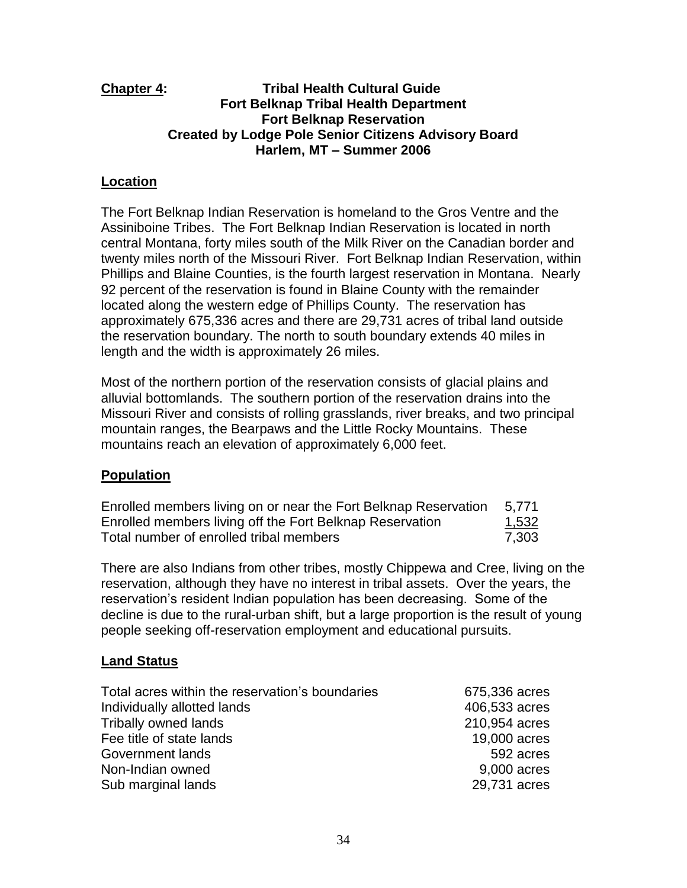#### **Chapter 4: Tribal Health Cultural Guide Fort Belknap Tribal Health Department Fort Belknap Reservation Created by Lodge Pole Senior Citizens Advisory Board Harlem, MT – Summer 2006**

#### **Location**

The Fort Belknap Indian Reservation is homeland to the Gros Ventre and the Assiniboine Tribes. The Fort Belknap Indian Reservation is located in north central Montana, forty miles south of the Milk River on the Canadian border and twenty miles north of the Missouri River. Fort Belknap Indian Reservation, within Phillips and Blaine Counties, is the fourth largest reservation in Montana. Nearly 92 percent of the reservation is found in Blaine County with the remainder located along the western edge of Phillips County. The reservation has approximately 675,336 acres and there are 29,731 acres of tribal land outside the reservation boundary. The north to south boundary extends 40 miles in length and the width is approximately 26 miles.

Most of the northern portion of the reservation consists of glacial plains and alluvial bottomlands. The southern portion of the reservation drains into the Missouri River and consists of rolling grasslands, river breaks, and two principal mountain ranges, the Bearpaws and the Little Rocky Mountains. These mountains reach an elevation of approximately 6,000 feet.

#### **Population**

| Enrolled members living on or near the Fort Belknap Reservation | 5.771        |
|-----------------------------------------------------------------|--------------|
| Enrolled members living off the Fort Belknap Reservation        | <u>1,532</u> |
| Total number of enrolled tribal members                         | 7.303        |

There are also Indians from other tribes, mostly Chippewa and Cree, living on the reservation, although they have no interest in tribal assets. Over the years, the reservation's resident Indian population has been decreasing. Some of the decline is due to the rural-urban shift, but a large proportion is the result of young people seeking off-reservation employment and educational pursuits.

#### **Land Status**

| Total acres within the reservation's boundaries | 675,336 acres |
|-------------------------------------------------|---------------|
| Individually allotted lands                     | 406,533 acres |
| <b>Tribally owned lands</b>                     | 210,954 acres |
| Fee title of state lands                        | 19,000 acres  |
| Government lands                                | 592 acres     |
| Non-Indian owned                                | 9,000 acres   |
| Sub marginal lands                              | 29,731 acres  |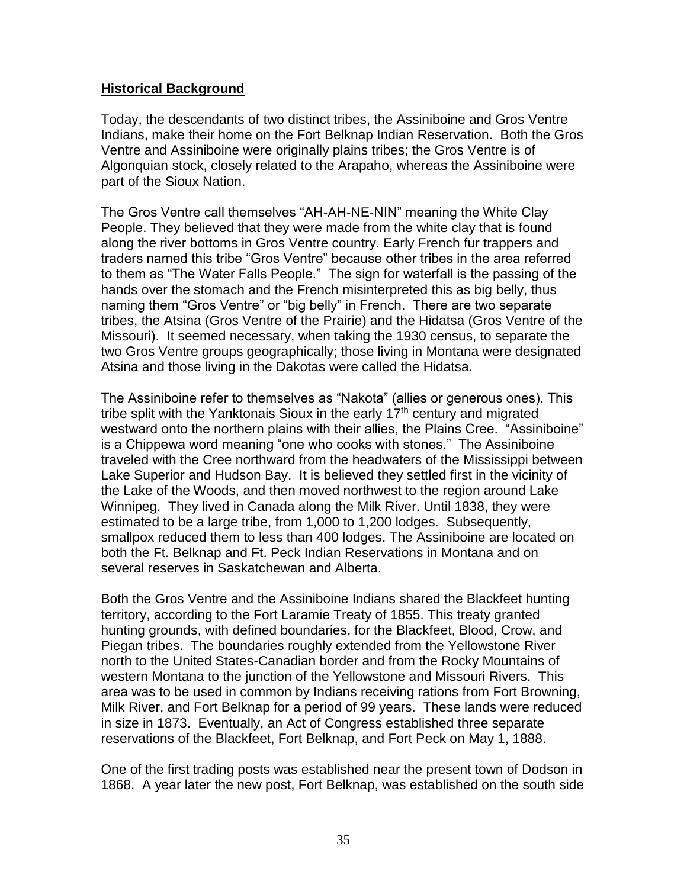#### **Historical Background**

Today, the descendants of two distinct tribes, the Assiniboine and Gros Ventre Indians, make their home on the Fort Belknap Indian Reservation. Both the Gros Ventre and Assiniboine were originally plains tribes; the Gros Ventre is of Algonquian stock, closely related to the Arapaho, whereas the Assiniboine were part of the Sioux Nation.

The Gros Ventre call themselves "AH-AH-NE-NIN" meaning the White Clay People. They believed that they were made from the white clay that is found along the river bottoms in Gros Ventre country. Early French fur trappers and traders named this tribe "Gros Ventre" because other tribes in the area referred to them as "The Water Falls People." The sign for waterfall is the passing of the hands over the stomach and the French misinterpreted this as big belly, thus naming them "Gros Ventre" or "big belly" in French. There are two separate tribes, the Atsina (Gros Ventre of the Prairie) and the Hidatsa (Gros Ventre of the Missouri). It seemed necessary, when taking the 1930 census, to separate the two Gros Ventre groups geographically; those living in Montana were designated Atsina and those living in the Dakotas were called the Hidatsa.

The Assiniboine refer to themselves as "Nakota" (allies or generous ones). This tribe split with the Yanktonais Sioux in the early  $17<sup>th</sup>$  century and migrated westward onto the northern plains with their allies, the Plains Cree. "Assiniboine" is a Chippewa word meaning "one who cooks with stones." The Assiniboine traveled with the Cree northward from the headwaters of the Mississippi between Lake Superior and Hudson Bay. It is believed they settled first in the vicinity of the Lake of the Woods, and then moved northwest to the region around Lake Winnipeg. They lived in Canada along the Milk River. Until 1838, they were estimated to be a large tribe, from 1,000 to 1,200 lodges. Subsequently, smallpox reduced them to less than 400 lodges. The Assiniboine are located on both the Ft. Belknap and Ft. Peck Indian Reservations in Montana and on several reserves in Saskatchewan and Alberta.

Both the Gros Ventre and the Assiniboine Indians shared the Blackfeet hunting territory, according to the Fort Laramie Treaty of 1855. This treaty granted hunting grounds, with defined boundaries, for the Blackfeet, Blood, Crow, and Piegan tribes. The boundaries roughly extended from the Yellowstone River north to the United States-Canadian border and from the Rocky Mountains of western Montana to the junction of the Yellowstone and Missouri Rivers. This area was to be used in common by Indians receiving rations from Fort Browning, Milk River, and Fort Belknap for a period of 99 years. These lands were reduced in size in 1873. Eventually, an Act of Congress established three separate reservations of the Blackfeet, Fort Belknap, and Fort Peck on May 1, 1888.

One of the first trading posts was established near the present town of Dodson in 1868. A year later the new post, Fort Belknap, was established on the south side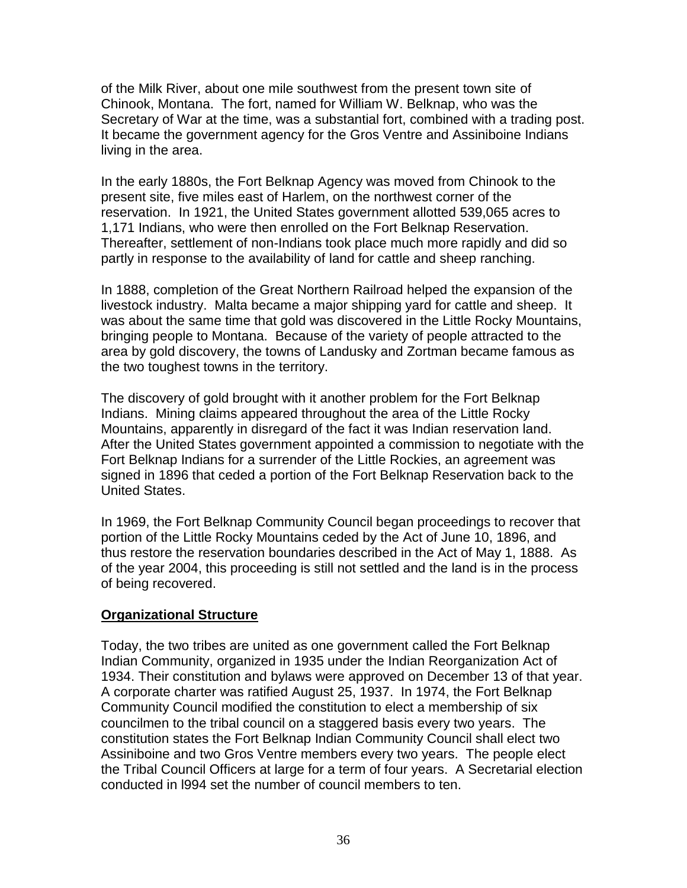of the Milk River, about one mile southwest from the present town site of Chinook, Montana. The fort, named for William W. Belknap, who was the Secretary of War at the time, was a substantial fort, combined with a trading post. It became the government agency for the Gros Ventre and Assiniboine Indians living in the area.

In the early 1880s, the Fort Belknap Agency was moved from Chinook to the present site, five miles east of Harlem, on the northwest corner of the reservation. In 1921, the United States government allotted 539,065 acres to 1,171 Indians, who were then enrolled on the Fort Belknap Reservation. Thereafter, settlement of non-Indians took place much more rapidly and did so partly in response to the availability of land for cattle and sheep ranching.

In 1888, completion of the Great Northern Railroad helped the expansion of the livestock industry. Malta became a major shipping yard for cattle and sheep. It was about the same time that gold was discovered in the Little Rocky Mountains, bringing people to Montana. Because of the variety of people attracted to the area by gold discovery, the towns of Landusky and Zortman became famous as the two toughest towns in the territory.

The discovery of gold brought with it another problem for the Fort Belknap Indians. Mining claims appeared throughout the area of the Little Rocky Mountains, apparently in disregard of the fact it was Indian reservation land. After the United States government appointed a commission to negotiate with the Fort Belknap Indians for a surrender of the Little Rockies, an agreement was signed in 1896 that ceded a portion of the Fort Belknap Reservation back to the United States.

In 1969, the Fort Belknap Community Council began proceedings to recover that portion of the Little Rocky Mountains ceded by the Act of June 10, 1896, and thus restore the reservation boundaries described in the Act of May 1, 1888. As of the year 2004, this proceeding is still not settled and the land is in the process of being recovered.

## **Organizational Structure**

Today, the two tribes are united as one government called the Fort Belknap Indian Community, organized in 1935 under the Indian Reorganization Act of 1934. Their constitution and bylaws were approved on December 13 of that year. A corporate charter was ratified August 25, 1937. In 1974, the Fort Belknap Community Council modified the constitution to elect a membership of six councilmen to the tribal council on a staggered basis every two years. The constitution states the Fort Belknap Indian Community Council shall elect two Assiniboine and two Gros Ventre members every two years. The people elect the Tribal Council Officers at large for a term of four years. A Secretarial election conducted in l994 set the number of council members to ten.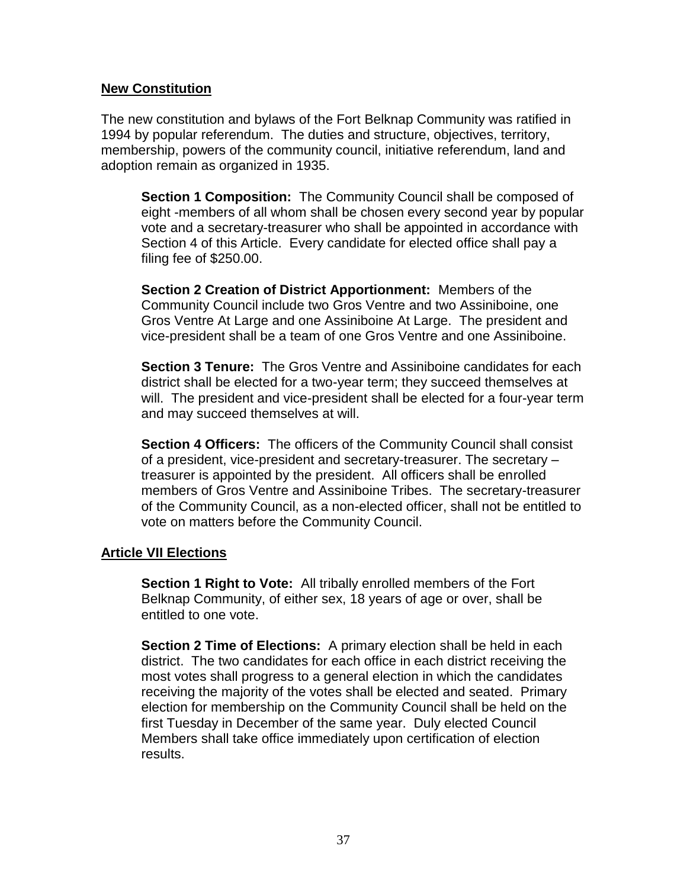#### **New Constitution**

The new constitution and bylaws of the Fort Belknap Community was ratified in 1994 by popular referendum. The duties and structure, objectives, territory, membership, powers of the community council, initiative referendum, land and adoption remain as organized in 1935.

**Section 1 Composition:** The Community Council shall be composed of eight -members of all whom shall be chosen every second year by popular vote and a secretary-treasurer who shall be appointed in accordance with Section 4 of this Article. Every candidate for elected office shall pay a filing fee of \$250.00.

**Section 2 Creation of District Apportionment:** Members of the Community Council include two Gros Ventre and two Assiniboine, one Gros Ventre At Large and one Assiniboine At Large. The president and vice-president shall be a team of one Gros Ventre and one Assiniboine.

**Section 3 Tenure:** The Gros Ventre and Assiniboine candidates for each district shall be elected for a two-year term; they succeed themselves at will. The president and vice-president shall be elected for a four-year term and may succeed themselves at will.

**Section 4 Officers:** The officers of the Community Council shall consist of a president, vice-president and secretary-treasurer. The secretary – treasurer is appointed by the president. All officers shall be enrolled members of Gros Ventre and Assiniboine Tribes. The secretary-treasurer of the Community Council, as a non-elected officer, shall not be entitled to vote on matters before the Community Council.

#### **Article VII Elections**

**Section 1 Right to Vote:** All tribally enrolled members of the Fort Belknap Community, of either sex, 18 years of age or over, shall be entitled to one vote.

**Section 2 Time of Elections:** A primary election shall be held in each district. The two candidates for each office in each district receiving the most votes shall progress to a general election in which the candidates receiving the majority of the votes shall be elected and seated. Primary election for membership on the Community Council shall be held on the first Tuesday in December of the same year. Duly elected Council Members shall take office immediately upon certification of election results.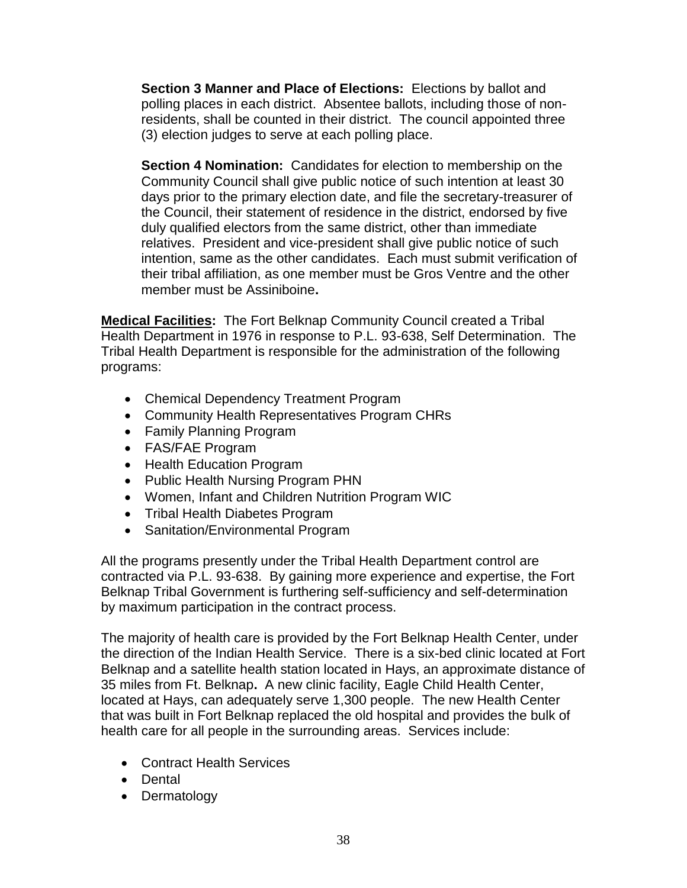**Section 3 Manner and Place of Elections:** Elections by ballot and polling places in each district. Absentee ballots, including those of nonresidents, shall be counted in their district. The council appointed three (3) election judges to serve at each polling place.

**Section 4 Nomination:** Candidates for election to membership on the Community Council shall give public notice of such intention at least 30 days prior to the primary election date, and file the secretary-treasurer of the Council, their statement of residence in the district, endorsed by five duly qualified electors from the same district, other than immediate relatives. President and vice-president shall give public notice of such intention, same as the other candidates. Each must submit verification of their tribal affiliation, as one member must be Gros Ventre and the other member must be Assiniboine**.** 

**Medical Facilities:** The Fort Belknap Community Council created a Tribal Health Department in 1976 in response to P.L. 93-638, Self Determination. The Tribal Health Department is responsible for the administration of the following programs:

- Chemical Dependency Treatment Program
- Community Health Representatives Program CHRs
- Family Planning Program
- FAS/FAE Program
- Health Education Program
- Public Health Nursing Program PHN
- Women, Infant and Children Nutrition Program WIC
- Tribal Health Diabetes Program
- Sanitation/Environmental Program

All the programs presently under the Tribal Health Department control are contracted via P.L. 93-638. By gaining more experience and expertise, the Fort Belknap Tribal Government is furthering self-sufficiency and self-determination by maximum participation in the contract process.

The majority of health care is provided by the Fort Belknap Health Center, under the direction of the Indian Health Service. There is a six-bed clinic located at Fort Belknap and a satellite health station located in Hays, an approximate distance of 35 miles from Ft. Belknap**.** A new clinic facility, Eagle Child Health Center, located at Hays, can adequately serve 1,300 people. The new Health Center that was built in Fort Belknap replaced the old hospital and provides the bulk of health care for all people in the surrounding areas. Services include:

- Contract Health Services
- Dental
- Dermatology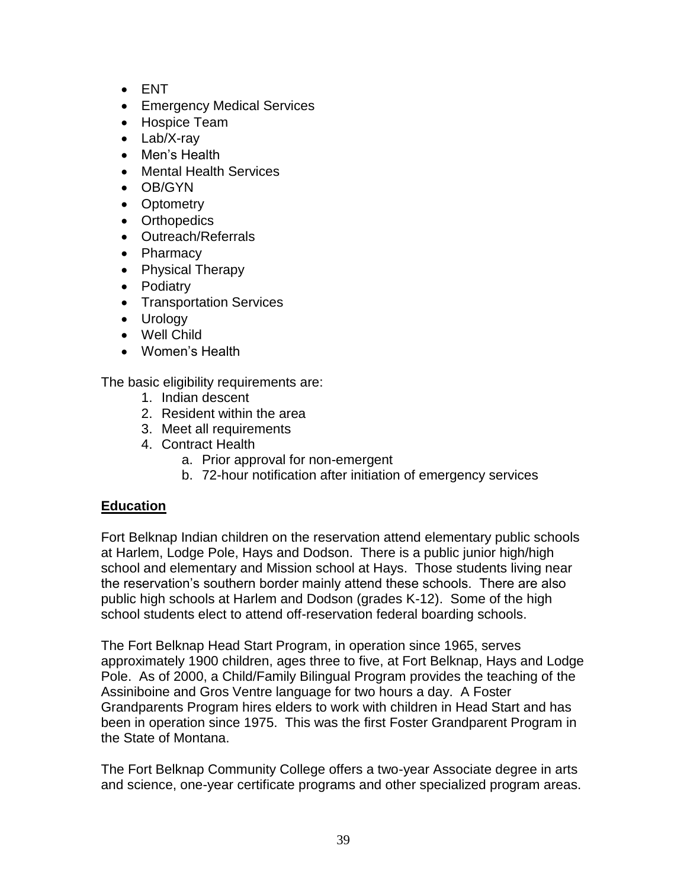- ENT
- **Emergency Medical Services**
- Hospice Team
- Lab/X-rav
- Men's Health
- Mental Health Services
- OB/GYN
- Optometry
- Orthopedics
- Outreach/Referrals
- Pharmacy
- Physical Therapy
- Podiatry
- Transportation Services
- Urology
- Well Child
- Women's Health

The basic eligibility requirements are:

- 1. Indian descent
- 2. Resident within the area
- 3. Meet all requirements
- 4. Contract Health
	- a. Prior approval for non-emergent
	- b. 72-hour notification after initiation of emergency services

## **Education**

Fort Belknap Indian children on the reservation attend elementary public schools at Harlem, Lodge Pole, Hays and Dodson. There is a public junior high/high school and elementary and Mission school at Hays. Those students living near the reservation's southern border mainly attend these schools. There are also public high schools at Harlem and Dodson (grades K-12). Some of the high school students elect to attend off-reservation federal boarding schools.

The Fort Belknap Head Start Program, in operation since 1965, serves approximately 1900 children, ages three to five, at Fort Belknap, Hays and Lodge Pole. As of 2000, a Child/Family Bilingual Program provides the teaching of the Assiniboine and Gros Ventre language for two hours a day. A Foster Grandparents Program hires elders to work with children in Head Start and has been in operation since 1975. This was the first Foster Grandparent Program in the State of Montana.

The Fort Belknap Community College offers a two-year Associate degree in arts and science, one-year certificate programs and other specialized program areas.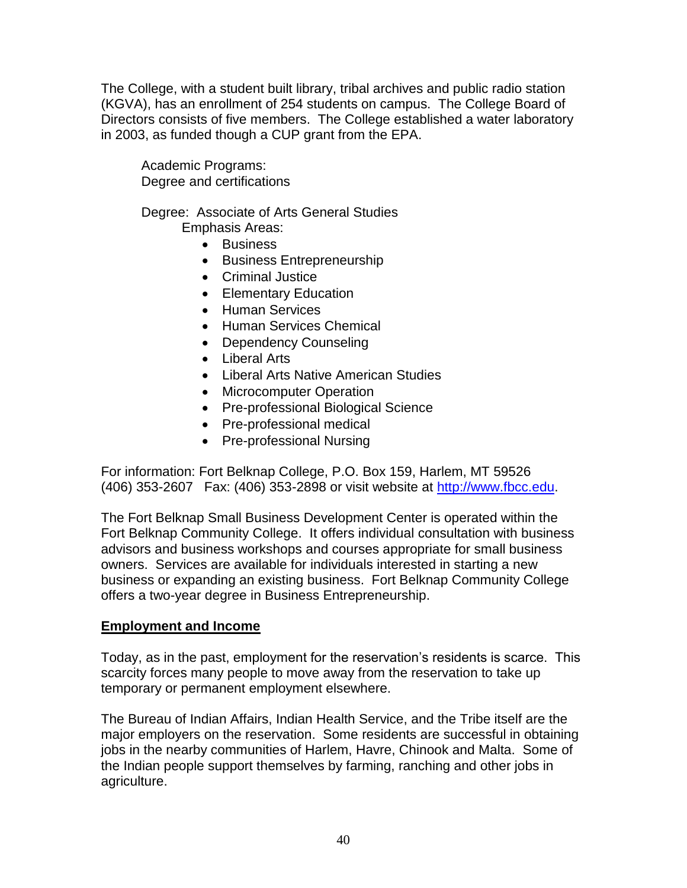The College, with a student built library, tribal archives and public radio station (KGVA), has an enrollment of 254 students on campus. The College Board of Directors consists of five members. The College established a water laboratory in 2003, as funded though a CUP grant from the EPA.

Academic Programs: Degree and certifications

Degree: Associate of Arts General Studies Emphasis Areas:

- Business
- Business Entrepreneurship
- Criminal Justice
- Elementary Education
- Human Services
- Human Services Chemical
- Dependency Counseling
- Liberal Arts
- Liberal Arts Native American Studies
- Microcomputer Operation
- Pre-professional Biological Science
- Pre-professional medical
- Pre-professional Nursing

For information: Fort Belknap College, P.O. Box 159, Harlem, MT 59526 (406) 353-2607 Fax: (406) 353-2898 or visit website at [http://www.fbcc.edu.](http://www.fbcc.edu/)

The Fort Belknap Small Business Development Center is operated within the Fort Belknap Community College. It offers individual consultation with business advisors and business workshops and courses appropriate for small business owners. Services are available for individuals interested in starting a new business or expanding an existing business. Fort Belknap Community College offers a two-year degree in Business Entrepreneurship.

#### **Employment and Income**

Today, as in the past, employment for the reservation's residents is scarce. This scarcity forces many people to move away from the reservation to take up temporary or permanent employment elsewhere.

The Bureau of Indian Affairs, Indian Health Service, and the Tribe itself are the major employers on the reservation. Some residents are successful in obtaining jobs in the nearby communities of Harlem, Havre, Chinook and Malta. Some of the Indian people support themselves by farming, ranching and other jobs in agriculture.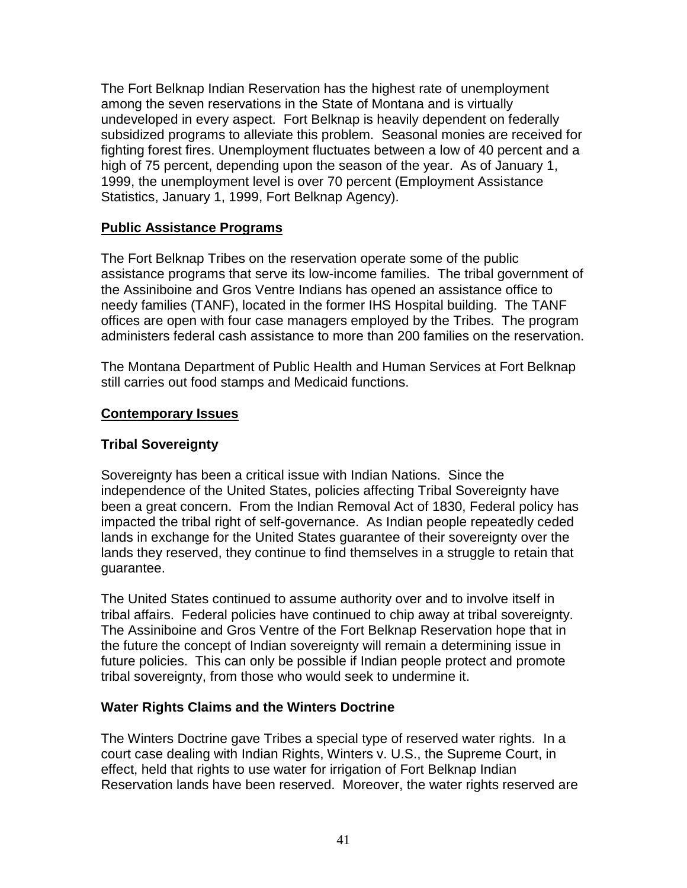The Fort Belknap Indian Reservation has the highest rate of unemployment among the seven reservations in the State of Montana and is virtually undeveloped in every aspect. Fort Belknap is heavily dependent on federally subsidized programs to alleviate this problem. Seasonal monies are received for fighting forest fires. Unemployment fluctuates between a low of 40 percent and a high of 75 percent, depending upon the season of the year. As of January 1, 1999, the unemployment level is over 70 percent (Employment Assistance Statistics, January 1, 1999, Fort Belknap Agency).

## **Public Assistance Programs**

The Fort Belknap Tribes on the reservation operate some of the public assistance programs that serve its low-income families. The tribal government of the Assiniboine and Gros Ventre Indians has opened an assistance office to needy families (TANF), located in the former IHS Hospital building. The TANF offices are open with four case managers employed by the Tribes. The program administers federal cash assistance to more than 200 families on the reservation.

The Montana Department of Public Health and Human Services at Fort Belknap still carries out food stamps and Medicaid functions.

#### **Contemporary Issues**

#### **Tribal Sovereignty**

Sovereignty has been a critical issue with Indian Nations. Since the independence of the United States, policies affecting Tribal Sovereignty have been a great concern. From the Indian Removal Act of 1830, Federal policy has impacted the tribal right of self-governance. As Indian people repeatedly ceded lands in exchange for the United States guarantee of their sovereignty over the lands they reserved, they continue to find themselves in a struggle to retain that guarantee.

The United States continued to assume authority over and to involve itself in tribal affairs. Federal policies have continued to chip away at tribal sovereignty. The Assiniboine and Gros Ventre of the Fort Belknap Reservation hope that in the future the concept of Indian sovereignty will remain a determining issue in future policies. This can only be possible if Indian people protect and promote tribal sovereignty, from those who would seek to undermine it.

#### **Water Rights Claims and the Winters Doctrine**

The Winters Doctrine gave Tribes a special type of reserved water rights. In a court case dealing with Indian Rights, Winters v. U.S., the Supreme Court, in effect, held that rights to use water for irrigation of Fort Belknap Indian Reservation lands have been reserved. Moreover, the water rights reserved are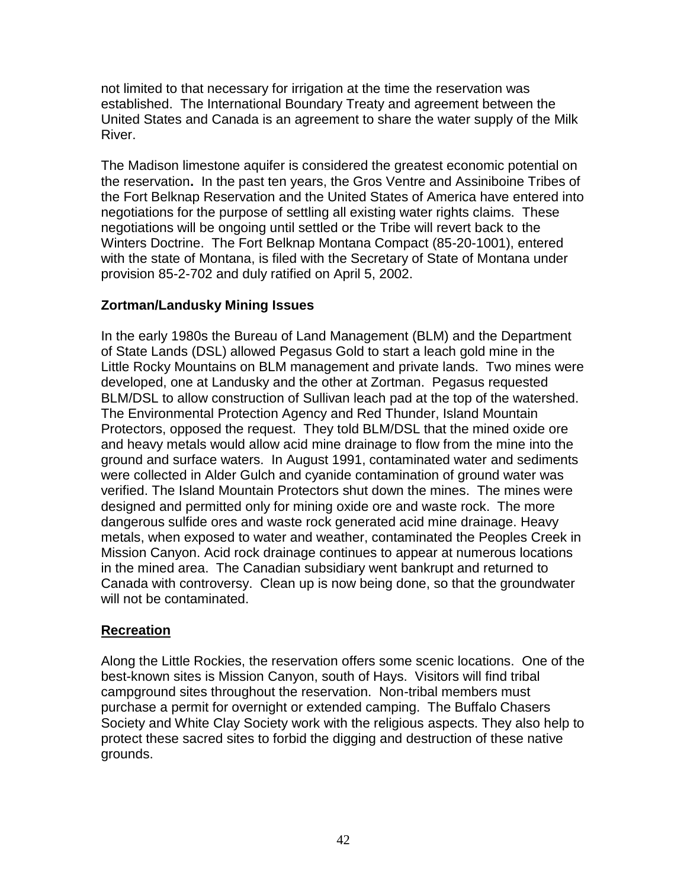not limited to that necessary for irrigation at the time the reservation was established. The International Boundary Treaty and agreement between the United States and Canada is an agreement to share the water supply of the Milk River.

The Madison limestone aquifer is considered the greatest economic potential on the reservation**.** In the past ten years, the Gros Ventre and Assiniboine Tribes of the Fort Belknap Reservation and the United States of America have entered into negotiations for the purpose of settling all existing water rights claims. These negotiations will be ongoing until settled or the Tribe will revert back to the Winters Doctrine. The Fort Belknap Montana Compact (85-20-1001), entered with the state of Montana, is filed with the Secretary of State of Montana under provision 85-2-702 and duly ratified on April 5, 2002.

## **Zortman/Landusky Mining Issues**

In the early 1980s the Bureau of Land Management (BLM) and the Department of State Lands (DSL) allowed Pegasus Gold to start a leach gold mine in the Little Rocky Mountains on BLM management and private lands. Two mines were developed, one at Landusky and the other at Zortman. Pegasus requested BLM/DSL to allow construction of Sullivan leach pad at the top of the watershed. The Environmental Protection Agency and Red Thunder, Island Mountain Protectors, opposed the request. They told BLM/DSL that the mined oxide ore and heavy metals would allow acid mine drainage to flow from the mine into the ground and surface waters. In August 1991, contaminated water and sediments were collected in Alder Gulch and cyanide contamination of ground water was verified. The Island Mountain Protectors shut down the mines. The mines were designed and permitted only for mining oxide ore and waste rock. The more dangerous sulfide ores and waste rock generated acid mine drainage. Heavy metals, when exposed to water and weather, contaminated the Peoples Creek in Mission Canyon. Acid rock drainage continues to appear at numerous locations in the mined area. The Canadian subsidiary went bankrupt and returned to Canada with controversy. Clean up is now being done, so that the groundwater will not be contaminated.

## **Recreation**

Along the Little Rockies, the reservation offers some scenic locations. One of the best-known sites is Mission Canyon, south of Hays. Visitors will find tribal campground sites throughout the reservation. Non-tribal members must purchase a permit for overnight or extended camping. The Buffalo Chasers Society and White Clay Society work with the religious aspects. They also help to protect these sacred sites to forbid the digging and destruction of these native grounds.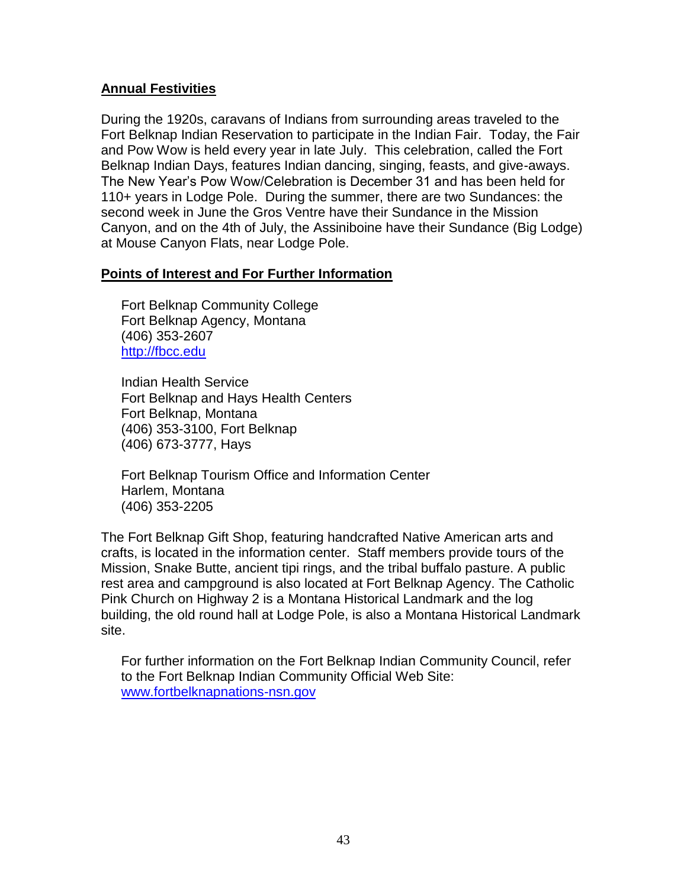## **Annual Festivities**

During the 1920s, caravans of Indians from surrounding areas traveled to the Fort Belknap Indian Reservation to participate in the Indian Fair. Today, the Fair and Pow Wow is held every year in late July. This celebration, called the Fort Belknap Indian Days, features Indian dancing, singing, feasts, and give-aways. The New Year's Pow Wow/Celebration is December 31 and has been held for 110+ years in Lodge Pole. During the summer, there are two Sundances: the second week in June the Gros Ventre have their Sundance in the Mission Canyon, and on the 4th of July, the Assiniboine have their Sundance (Big Lodge) at Mouse Canyon Flats, near Lodge Pole.

#### **Points of Interest and For Further Information**

Fort Belknap Community College Fort Belknap Agency, Montana (406) 353-2607 [http://fbcc.edu](http://fbcc.edu/)

Indian Health Service Fort Belknap and Hays Health Centers Fort Belknap, Montana (406) 353-3100, Fort Belknap (406) 673-3777, Hays

Fort Belknap Tourism Office and Information Center Harlem, Montana (406) 353-2205

The Fort Belknap Gift Shop, featuring handcrafted Native American arts and crafts, is located in the information center. Staff members provide tours of the Mission, Snake Butte, ancient tipi rings, and the tribal buffalo pasture. A public rest area and campground is also located at Fort Belknap Agency. The Catholic Pink Church on Highway 2 is a Montana Historical Landmark and the log building, the old round hall at Lodge Pole, is also a Montana Historical Landmark site.

For further information on the Fort Belknap Indian Community Council, refer to the Fort Belknap Indian Community Official Web Site: [www.fortbelknapnations-nsn.gov](http://www.fortbelknapnations-nsn.gov/)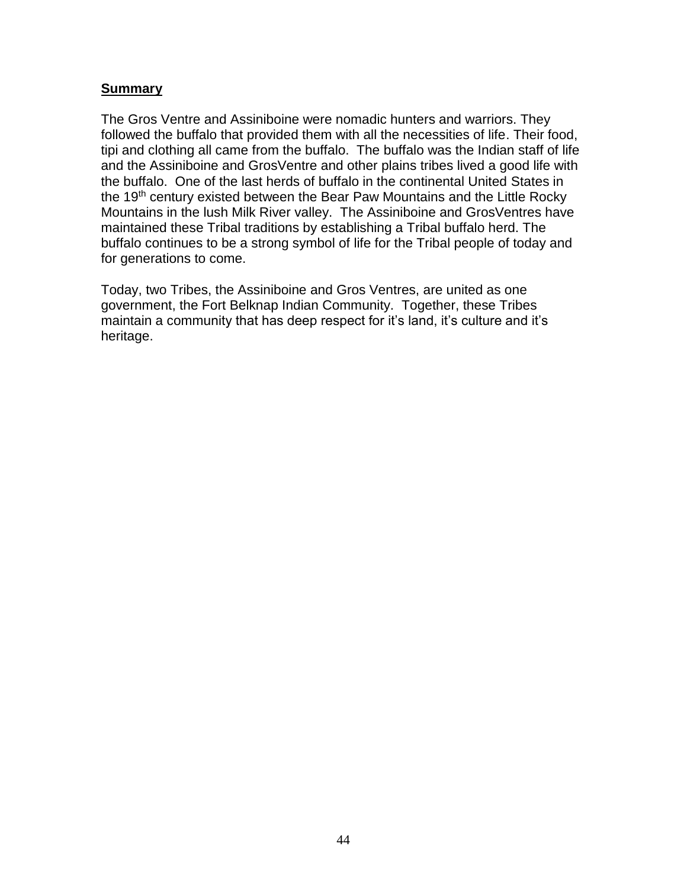#### **Summary**

The Gros Ventre and Assiniboine were nomadic hunters and warriors. They followed the buffalo that provided them with all the necessities of life. Their food, tipi and clothing all came from the buffalo. The buffalo was the Indian staff of life and the Assiniboine and GrosVentre and other plains tribes lived a good life with the buffalo. One of the last herds of buffalo in the continental United States in the 19<sup>th</sup> century existed between the Bear Paw Mountains and the Little Rocky Mountains in the lush Milk River valley. The Assiniboine and GrosVentres have maintained these Tribal traditions by establishing a Tribal buffalo herd. The buffalo continues to be a strong symbol of life for the Tribal people of today and for generations to come.

Today, two Tribes, the Assiniboine and Gros Ventres, are united as one government, the Fort Belknap Indian Community. Together, these Tribes maintain a community that has deep respect for it's land, it's culture and it's heritage.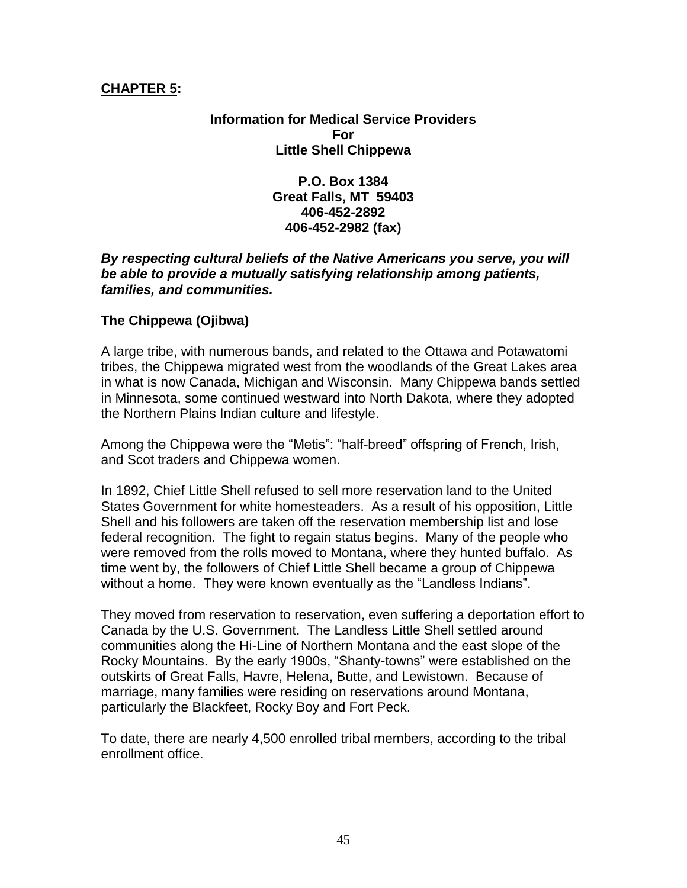#### **CHAPTER 5:**

**Information for Medical Service Providers For Little Shell Chippewa**

> **P.O. Box 1384 Great Falls, MT 59403 406-452-2892 406-452-2982 (fax)**

#### *By respecting cultural beliefs of the Native Americans you serve, you will be able to provide a mutually satisfying relationship among patients, families, and communities.*

#### **The Chippewa (Ojibwa)**

A large tribe, with numerous bands, and related to the Ottawa and Potawatomi tribes, the Chippewa migrated west from the woodlands of the Great Lakes area in what is now Canada, Michigan and Wisconsin. Many Chippewa bands settled in Minnesota, some continued westward into North Dakota, where they adopted the Northern Plains Indian culture and lifestyle.

Among the Chippewa were the "Metis": "half-breed" offspring of French, Irish, and Scot traders and Chippewa women.

In 1892, Chief Little Shell refused to sell more reservation land to the United States Government for white homesteaders. As a result of his opposition, Little Shell and his followers are taken off the reservation membership list and lose federal recognition. The fight to regain status begins. Many of the people who were removed from the rolls moved to Montana, where they hunted buffalo. As time went by, the followers of Chief Little Shell became a group of Chippewa without a home. They were known eventually as the "Landless Indians".

They moved from reservation to reservation, even suffering a deportation effort to Canada by the U.S. Government. The Landless Little Shell settled around communities along the Hi-Line of Northern Montana and the east slope of the Rocky Mountains. By the early 1900s, "Shanty-towns" were established on the outskirts of Great Falls, Havre, Helena, Butte, and Lewistown. Because of marriage, many families were residing on reservations around Montana, particularly the Blackfeet, Rocky Boy and Fort Peck.

To date, there are nearly 4,500 enrolled tribal members, according to the tribal enrollment office.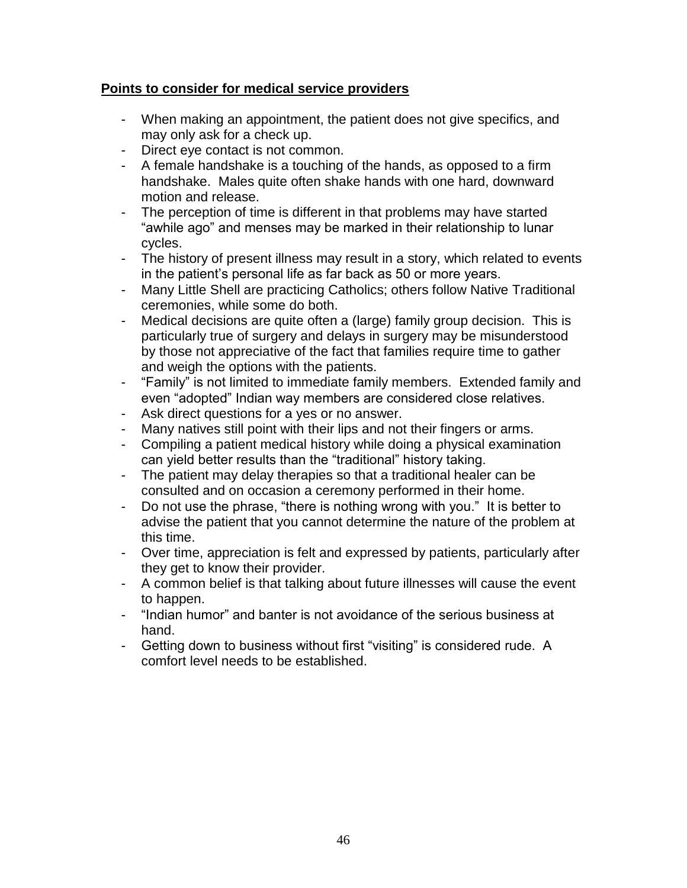## **Points to consider for medical service providers**

- When making an appointment, the patient does not give specifics, and may only ask for a check up.
- Direct eye contact is not common.
- A female handshake is a touching of the hands, as opposed to a firm handshake. Males quite often shake hands with one hard, downward motion and release.
- The perception of time is different in that problems may have started "awhile ago" and menses may be marked in their relationship to lunar cycles.
- The history of present illness may result in a story, which related to events in the patient's personal life as far back as 50 or more years.
- Many Little Shell are practicing Catholics; others follow Native Traditional ceremonies, while some do both.
- Medical decisions are quite often a (large) family group decision. This is particularly true of surgery and delays in surgery may be misunderstood by those not appreciative of the fact that families require time to gather and weigh the options with the patients.
- "Family" is not limited to immediate family members. Extended family and even "adopted" Indian way members are considered close relatives.
- Ask direct questions for a yes or no answer.
- Many natives still point with their lips and not their fingers or arms.
- Compiling a patient medical history while doing a physical examination can yield better results than the "traditional" history taking.
- The patient may delay therapies so that a traditional healer can be consulted and on occasion a ceremony performed in their home.
- Do not use the phrase, "there is nothing wrong with you." It is better to advise the patient that you cannot determine the nature of the problem at this time.
- Over time, appreciation is felt and expressed by patients, particularly after they get to know their provider.
- A common belief is that talking about future illnesses will cause the event to happen.
- "Indian humor" and banter is not avoidance of the serious business at hand.
- Getting down to business without first "visiting" is considered rude. A comfort level needs to be established.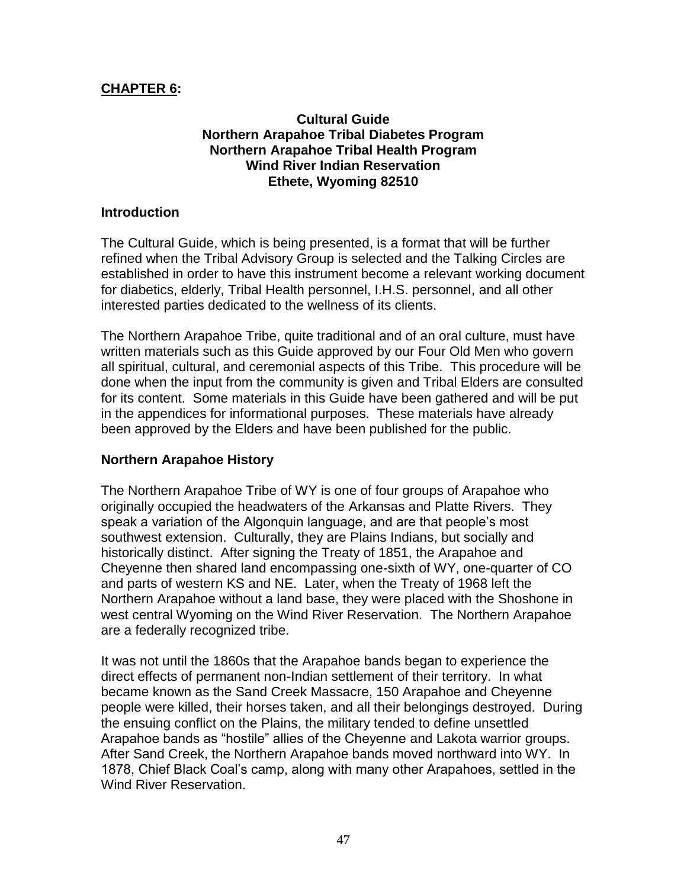## **CHAPTER 6:**

#### **Cultural Guide Northern Arapahoe Tribal Diabetes Program Northern Arapahoe Tribal Health Program Wind River Indian Reservation Ethete, Wyoming 82510**

#### **Introduction**

The Cultural Guide, which is being presented, is a format that will be further refined when the Tribal Advisory Group is selected and the Talking Circles are established in order to have this instrument become a relevant working document for diabetics, elderly, Tribal Health personnel, I.H.S. personnel, and all other interested parties dedicated to the wellness of its clients.

The Northern Arapahoe Tribe, quite traditional and of an oral culture, must have written materials such as this Guide approved by our Four Old Men who govern all spiritual, cultural, and ceremonial aspects of this Tribe. This procedure will be done when the input from the community is given and Tribal Elders are consulted for its content. Some materials in this Guide have been gathered and will be put in the appendices for informational purposes. These materials have already been approved by the Elders and have been published for the public.

#### **Northern Arapahoe History**

The Northern Arapahoe Tribe of WY is one of four groups of Arapahoe who originally occupied the headwaters of the Arkansas and Platte Rivers. They speak a variation of the Algonquin language, and are that people's most southwest extension. Culturally, they are Plains Indians, but socially and historically distinct. After signing the Treaty of 1851, the Arapahoe and Cheyenne then shared land encompassing one-sixth of WY, one-quarter of CO and parts of western KS and NE. Later, when the Treaty of 1968 left the Northern Arapahoe without a land base, they were placed with the Shoshone in west central Wyoming on the Wind River Reservation. The Northern Arapahoe are a federally recognized tribe.

It was not until the 1860s that the Arapahoe bands began to experience the direct effects of permanent non-Indian settlement of their territory. In what became known as the Sand Creek Massacre, 150 Arapahoe and Cheyenne people were killed, their horses taken, and all their belongings destroyed. During the ensuing conflict on the Plains, the military tended to define unsettled Arapahoe bands as "hostile" allies of the Cheyenne and Lakota warrior groups. After Sand Creek, the Northern Arapahoe bands moved northward into WY. In 1878, Chief Black Coal's camp, along with many other Arapahoes, settled in the Wind River Reservation.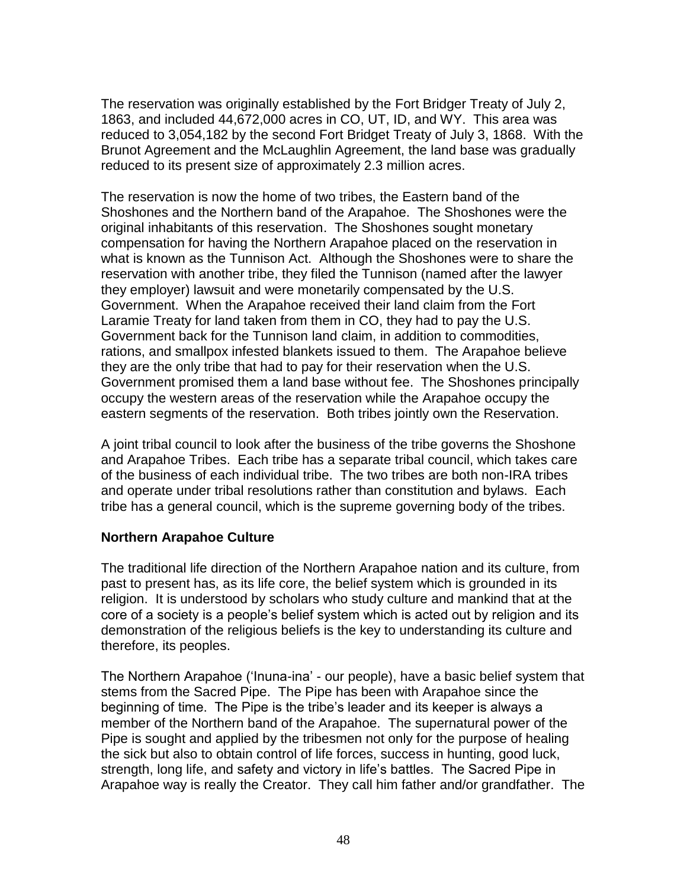The reservation was originally established by the Fort Bridger Treaty of July 2, 1863, and included 44,672,000 acres in CO, UT, ID, and WY. This area was reduced to 3,054,182 by the second Fort Bridget Treaty of July 3, 1868. With the Brunot Agreement and the McLaughlin Agreement, the land base was gradually reduced to its present size of approximately 2.3 million acres.

The reservation is now the home of two tribes, the Eastern band of the Shoshones and the Northern band of the Arapahoe. The Shoshones were the original inhabitants of this reservation. The Shoshones sought monetary compensation for having the Northern Arapahoe placed on the reservation in what is known as the Tunnison Act. Although the Shoshones were to share the reservation with another tribe, they filed the Tunnison (named after the lawyer they employer) lawsuit and were monetarily compensated by the U.S. Government. When the Arapahoe received their land claim from the Fort Laramie Treaty for land taken from them in CO, they had to pay the U.S. Government back for the Tunnison land claim, in addition to commodities, rations, and smallpox infested blankets issued to them. The Arapahoe believe they are the only tribe that had to pay for their reservation when the U.S. Government promised them a land base without fee. The Shoshones principally occupy the western areas of the reservation while the Arapahoe occupy the eastern segments of the reservation. Both tribes jointly own the Reservation.

A joint tribal council to look after the business of the tribe governs the Shoshone and Arapahoe Tribes. Each tribe has a separate tribal council, which takes care of the business of each individual tribe. The two tribes are both non-IRA tribes and operate under tribal resolutions rather than constitution and bylaws. Each tribe has a general council, which is the supreme governing body of the tribes.

#### **Northern Arapahoe Culture**

The traditional life direction of the Northern Arapahoe nation and its culture, from past to present has, as its life core, the belief system which is grounded in its religion. It is understood by scholars who study culture and mankind that at the core of a society is a people's belief system which is acted out by religion and its demonstration of the religious beliefs is the key to understanding its culture and therefore, its peoples.

The Northern Arapahoe ('Inuna-ina' - our people), have a basic belief system that stems from the Sacred Pipe. The Pipe has been with Arapahoe since the beginning of time. The Pipe is the tribe's leader and its keeper is always a member of the Northern band of the Arapahoe. The supernatural power of the Pipe is sought and applied by the tribesmen not only for the purpose of healing the sick but also to obtain control of life forces, success in hunting, good luck, strength, long life, and safety and victory in life's battles. The Sacred Pipe in Arapahoe way is really the Creator. They call him father and/or grandfather. The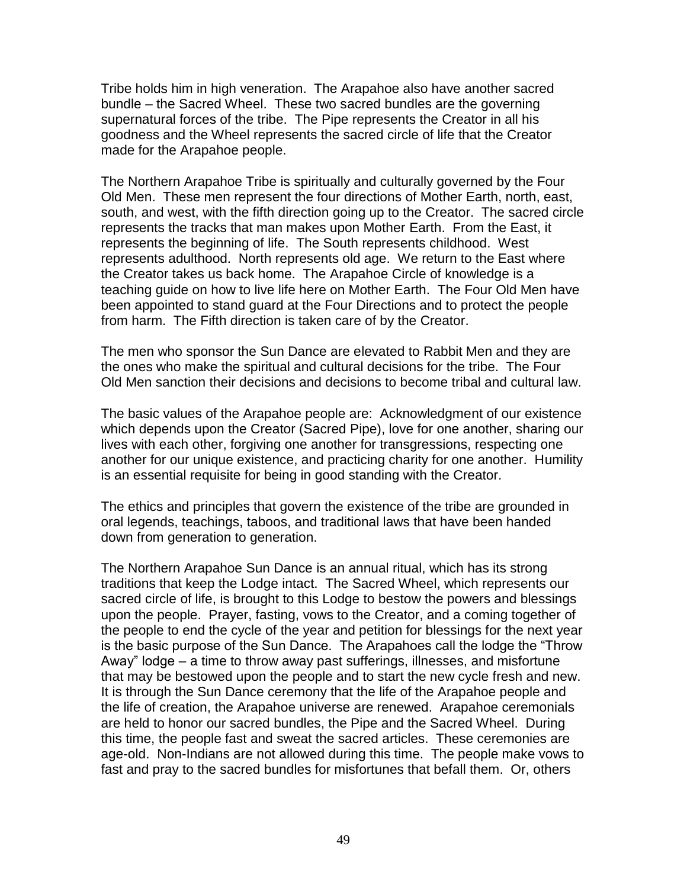Tribe holds him in high veneration. The Arapahoe also have another sacred bundle – the Sacred Wheel. These two sacred bundles are the governing supernatural forces of the tribe. The Pipe represents the Creator in all his goodness and the Wheel represents the sacred circle of life that the Creator made for the Arapahoe people.

The Northern Arapahoe Tribe is spiritually and culturally governed by the Four Old Men. These men represent the four directions of Mother Earth, north, east, south, and west, with the fifth direction going up to the Creator. The sacred circle represents the tracks that man makes upon Mother Earth. From the East, it represents the beginning of life. The South represents childhood. West represents adulthood. North represents old age. We return to the East where the Creator takes us back home. The Arapahoe Circle of knowledge is a teaching guide on how to live life here on Mother Earth. The Four Old Men have been appointed to stand guard at the Four Directions and to protect the people from harm. The Fifth direction is taken care of by the Creator.

The men who sponsor the Sun Dance are elevated to Rabbit Men and they are the ones who make the spiritual and cultural decisions for the tribe. The Four Old Men sanction their decisions and decisions to become tribal and cultural law.

The basic values of the Arapahoe people are: Acknowledgment of our existence which depends upon the Creator (Sacred Pipe), love for one another, sharing our lives with each other, forgiving one another for transgressions, respecting one another for our unique existence, and practicing charity for one another. Humility is an essential requisite for being in good standing with the Creator.

The ethics and principles that govern the existence of the tribe are grounded in oral legends, teachings, taboos, and traditional laws that have been handed down from generation to generation.

The Northern Arapahoe Sun Dance is an annual ritual, which has its strong traditions that keep the Lodge intact. The Sacred Wheel, which represents our sacred circle of life, is brought to this Lodge to bestow the powers and blessings upon the people. Prayer, fasting, vows to the Creator, and a coming together of the people to end the cycle of the year and petition for blessings for the next year is the basic purpose of the Sun Dance. The Arapahoes call the lodge the "Throw Away" lodge – a time to throw away past sufferings, illnesses, and misfortune that may be bestowed upon the people and to start the new cycle fresh and new. It is through the Sun Dance ceremony that the life of the Arapahoe people and the life of creation, the Arapahoe universe are renewed. Arapahoe ceremonials are held to honor our sacred bundles, the Pipe and the Sacred Wheel. During this time, the people fast and sweat the sacred articles. These ceremonies are age-old. Non-Indians are not allowed during this time. The people make vows to fast and pray to the sacred bundles for misfortunes that befall them. Or, others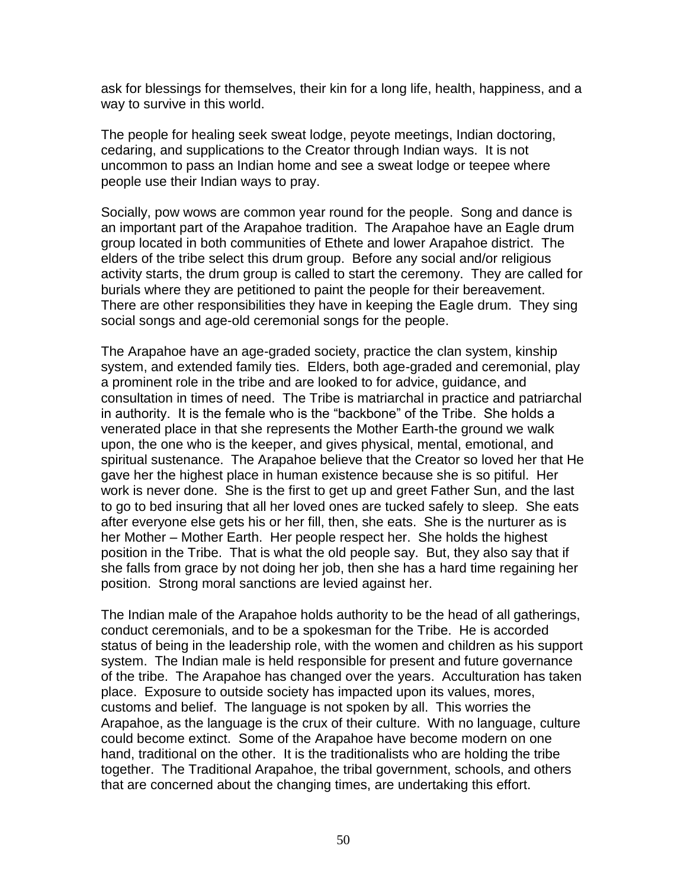ask for blessings for themselves, their kin for a long life, health, happiness, and a way to survive in this world.

The people for healing seek sweat lodge, peyote meetings, Indian doctoring, cedaring, and supplications to the Creator through Indian ways. It is not uncommon to pass an Indian home and see a sweat lodge or teepee where people use their Indian ways to pray.

Socially, pow wows are common year round for the people. Song and dance is an important part of the Arapahoe tradition. The Arapahoe have an Eagle drum group located in both communities of Ethete and lower Arapahoe district. The elders of the tribe select this drum group. Before any social and/or religious activity starts, the drum group is called to start the ceremony. They are called for burials where they are petitioned to paint the people for their bereavement. There are other responsibilities they have in keeping the Eagle drum. They sing social songs and age-old ceremonial songs for the people.

The Arapahoe have an age-graded society, practice the clan system, kinship system, and extended family ties. Elders, both age-graded and ceremonial, play a prominent role in the tribe and are looked to for advice, guidance, and consultation in times of need. The Tribe is matriarchal in practice and patriarchal in authority. It is the female who is the "backbone" of the Tribe. She holds a venerated place in that she represents the Mother Earth-the ground we walk upon, the one who is the keeper, and gives physical, mental, emotional, and spiritual sustenance. The Arapahoe believe that the Creator so loved her that He gave her the highest place in human existence because she is so pitiful. Her work is never done. She is the first to get up and greet Father Sun, and the last to go to bed insuring that all her loved ones are tucked safely to sleep. She eats after everyone else gets his or her fill, then, she eats. She is the nurturer as is her Mother – Mother Earth. Her people respect her. She holds the highest position in the Tribe. That is what the old people say. But, they also say that if she falls from grace by not doing her job, then she has a hard time regaining her position. Strong moral sanctions are levied against her.

The Indian male of the Arapahoe holds authority to be the head of all gatherings, conduct ceremonials, and to be a spokesman for the Tribe. He is accorded status of being in the leadership role, with the women and children as his support system. The Indian male is held responsible for present and future governance of the tribe. The Arapahoe has changed over the years. Acculturation has taken place. Exposure to outside society has impacted upon its values, mores, customs and belief. The language is not spoken by all. This worries the Arapahoe, as the language is the crux of their culture. With no language, culture could become extinct. Some of the Arapahoe have become modern on one hand, traditional on the other. It is the traditionalists who are holding the tribe together. The Traditional Arapahoe, the tribal government, schools, and others that are concerned about the changing times, are undertaking this effort.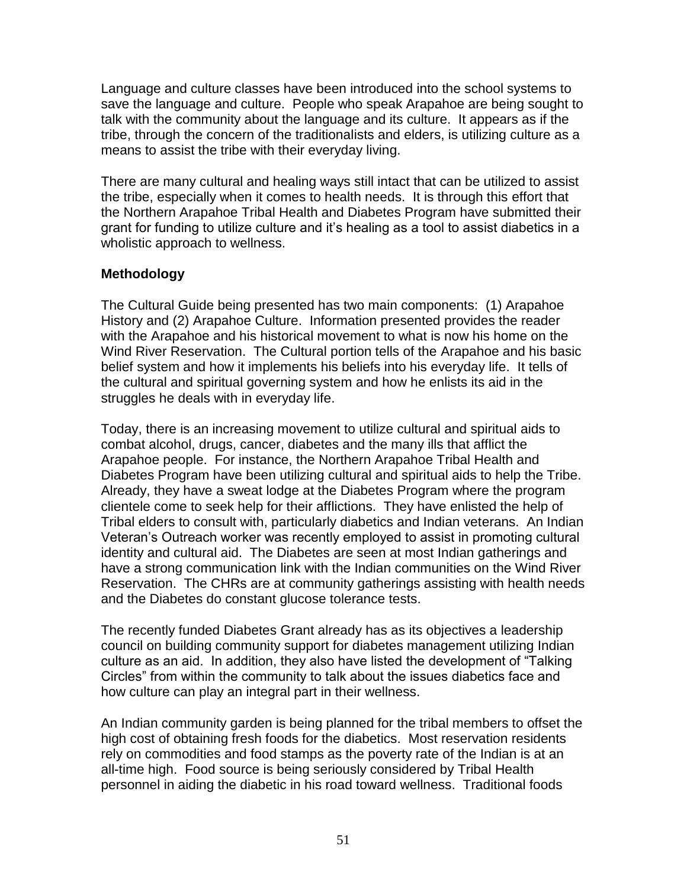Language and culture classes have been introduced into the school systems to save the language and culture. People who speak Arapahoe are being sought to talk with the community about the language and its culture. It appears as if the tribe, through the concern of the traditionalists and elders, is utilizing culture as a means to assist the tribe with their everyday living.

There are many cultural and healing ways still intact that can be utilized to assist the tribe, especially when it comes to health needs. It is through this effort that the Northern Arapahoe Tribal Health and Diabetes Program have submitted their grant for funding to utilize culture and it's healing as a tool to assist diabetics in a wholistic approach to wellness.

## **Methodology**

The Cultural Guide being presented has two main components: (1) Arapahoe History and (2) Arapahoe Culture. Information presented provides the reader with the Arapahoe and his historical movement to what is now his home on the Wind River Reservation. The Cultural portion tells of the Arapahoe and his basic belief system and how it implements his beliefs into his everyday life. It tells of the cultural and spiritual governing system and how he enlists its aid in the struggles he deals with in everyday life.

Today, there is an increasing movement to utilize cultural and spiritual aids to combat alcohol, drugs, cancer, diabetes and the many ills that afflict the Arapahoe people. For instance, the Northern Arapahoe Tribal Health and Diabetes Program have been utilizing cultural and spiritual aids to help the Tribe. Already, they have a sweat lodge at the Diabetes Program where the program clientele come to seek help for their afflictions. They have enlisted the help of Tribal elders to consult with, particularly diabetics and Indian veterans. An Indian Veteran's Outreach worker was recently employed to assist in promoting cultural identity and cultural aid. The Diabetes are seen at most Indian gatherings and have a strong communication link with the Indian communities on the Wind River Reservation. The CHRs are at community gatherings assisting with health needs and the Diabetes do constant glucose tolerance tests.

The recently funded Diabetes Grant already has as its objectives a leadership council on building community support for diabetes management utilizing Indian culture as an aid. In addition, they also have listed the development of "Talking Circles" from within the community to talk about the issues diabetics face and how culture can play an integral part in their wellness.

An Indian community garden is being planned for the tribal members to offset the high cost of obtaining fresh foods for the diabetics. Most reservation residents rely on commodities and food stamps as the poverty rate of the Indian is at an all-time high. Food source is being seriously considered by Tribal Health personnel in aiding the diabetic in his road toward wellness. Traditional foods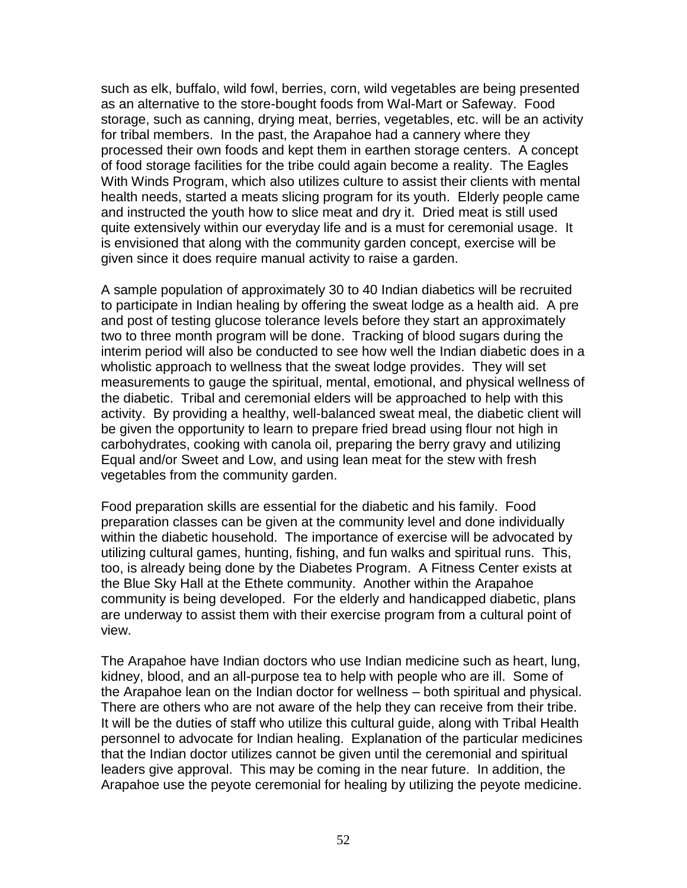such as elk, buffalo, wild fowl, berries, corn, wild vegetables are being presented as an alternative to the store-bought foods from Wal-Mart or Safeway. Food storage, such as canning, drying meat, berries, vegetables, etc. will be an activity for tribal members. In the past, the Arapahoe had a cannery where they processed their own foods and kept them in earthen storage centers. A concept of food storage facilities for the tribe could again become a reality. The Eagles With Winds Program, which also utilizes culture to assist their clients with mental health needs, started a meats slicing program for its youth. Elderly people came and instructed the youth how to slice meat and dry it. Dried meat is still used quite extensively within our everyday life and is a must for ceremonial usage. It is envisioned that along with the community garden concept, exercise will be given since it does require manual activity to raise a garden.

A sample population of approximately 30 to 40 Indian diabetics will be recruited to participate in Indian healing by offering the sweat lodge as a health aid. A pre and post of testing glucose tolerance levels before they start an approximately two to three month program will be done. Tracking of blood sugars during the interim period will also be conducted to see how well the Indian diabetic does in a wholistic approach to wellness that the sweat lodge provides. They will set measurements to gauge the spiritual, mental, emotional, and physical wellness of the diabetic. Tribal and ceremonial elders will be approached to help with this activity. By providing a healthy, well-balanced sweat meal, the diabetic client will be given the opportunity to learn to prepare fried bread using flour not high in carbohydrates, cooking with canola oil, preparing the berry gravy and utilizing Equal and/or Sweet and Low, and using lean meat for the stew with fresh vegetables from the community garden.

Food preparation skills are essential for the diabetic and his family. Food preparation classes can be given at the community level and done individually within the diabetic household. The importance of exercise will be advocated by utilizing cultural games, hunting, fishing, and fun walks and spiritual runs. This, too, is already being done by the Diabetes Program. A Fitness Center exists at the Blue Sky Hall at the Ethete community. Another within the Arapahoe community is being developed. For the elderly and handicapped diabetic, plans are underway to assist them with their exercise program from a cultural point of view.

The Arapahoe have Indian doctors who use Indian medicine such as heart, lung, kidney, blood, and an all-purpose tea to help with people who are ill. Some of the Arapahoe lean on the Indian doctor for wellness – both spiritual and physical. There are others who are not aware of the help they can receive from their tribe. It will be the duties of staff who utilize this cultural guide, along with Tribal Health personnel to advocate for Indian healing. Explanation of the particular medicines that the Indian doctor utilizes cannot be given until the ceremonial and spiritual leaders give approval. This may be coming in the near future. In addition, the Arapahoe use the peyote ceremonial for healing by utilizing the peyote medicine.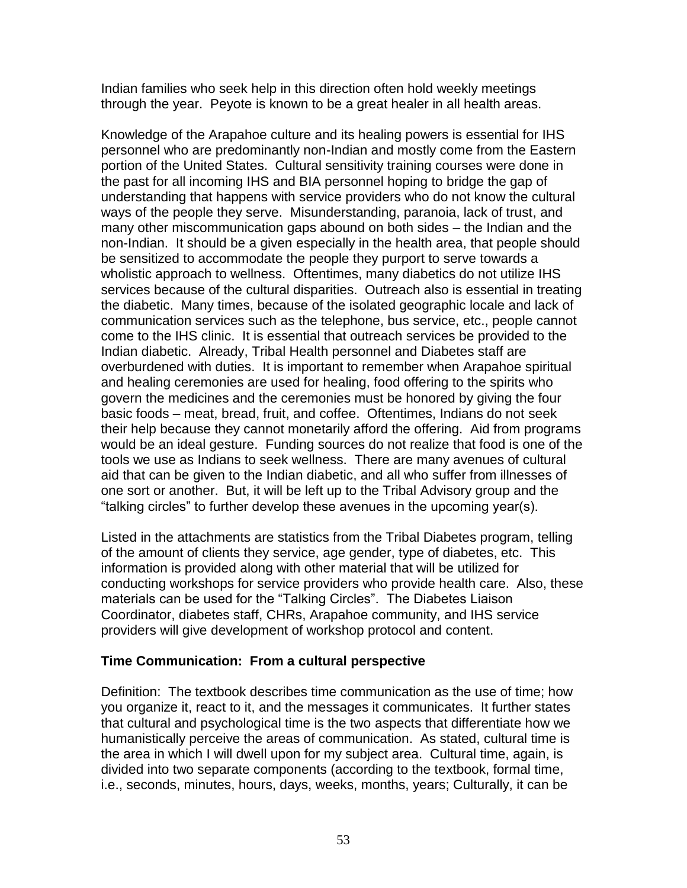Indian families who seek help in this direction often hold weekly meetings through the year. Peyote is known to be a great healer in all health areas.

Knowledge of the Arapahoe culture and its healing powers is essential for IHS personnel who are predominantly non-Indian and mostly come from the Eastern portion of the United States. Cultural sensitivity training courses were done in the past for all incoming IHS and BIA personnel hoping to bridge the gap of understanding that happens with service providers who do not know the cultural ways of the people they serve. Misunderstanding, paranoia, lack of trust, and many other miscommunication gaps abound on both sides – the Indian and the non-Indian. It should be a given especially in the health area, that people should be sensitized to accommodate the people they purport to serve towards a wholistic approach to wellness. Oftentimes, many diabetics do not utilize IHS services because of the cultural disparities. Outreach also is essential in treating the diabetic. Many times, because of the isolated geographic locale and lack of communication services such as the telephone, bus service, etc., people cannot come to the IHS clinic. It is essential that outreach services be provided to the Indian diabetic. Already, Tribal Health personnel and Diabetes staff are overburdened with duties. It is important to remember when Arapahoe spiritual and healing ceremonies are used for healing, food offering to the spirits who govern the medicines and the ceremonies must be honored by giving the four basic foods – meat, bread, fruit, and coffee. Oftentimes, Indians do not seek their help because they cannot monetarily afford the offering. Aid from programs would be an ideal gesture. Funding sources do not realize that food is one of the tools we use as Indians to seek wellness. There are many avenues of cultural aid that can be given to the Indian diabetic, and all who suffer from illnesses of one sort or another. But, it will be left up to the Tribal Advisory group and the "talking circles" to further develop these avenues in the upcoming year(s).

Listed in the attachments are statistics from the Tribal Diabetes program, telling of the amount of clients they service, age gender, type of diabetes, etc. This information is provided along with other material that will be utilized for conducting workshops for service providers who provide health care. Also, these materials can be used for the "Talking Circles". The Diabetes Liaison Coordinator, diabetes staff, CHRs, Arapahoe community, and IHS service providers will give development of workshop protocol and content.

## **Time Communication: From a cultural perspective**

Definition: The textbook describes time communication as the use of time; how you organize it, react to it, and the messages it communicates. It further states that cultural and psychological time is the two aspects that differentiate how we humanistically perceive the areas of communication. As stated, cultural time is the area in which I will dwell upon for my subject area. Cultural time, again, is divided into two separate components (according to the textbook, formal time, i.e., seconds, minutes, hours, days, weeks, months, years; Culturally, it can be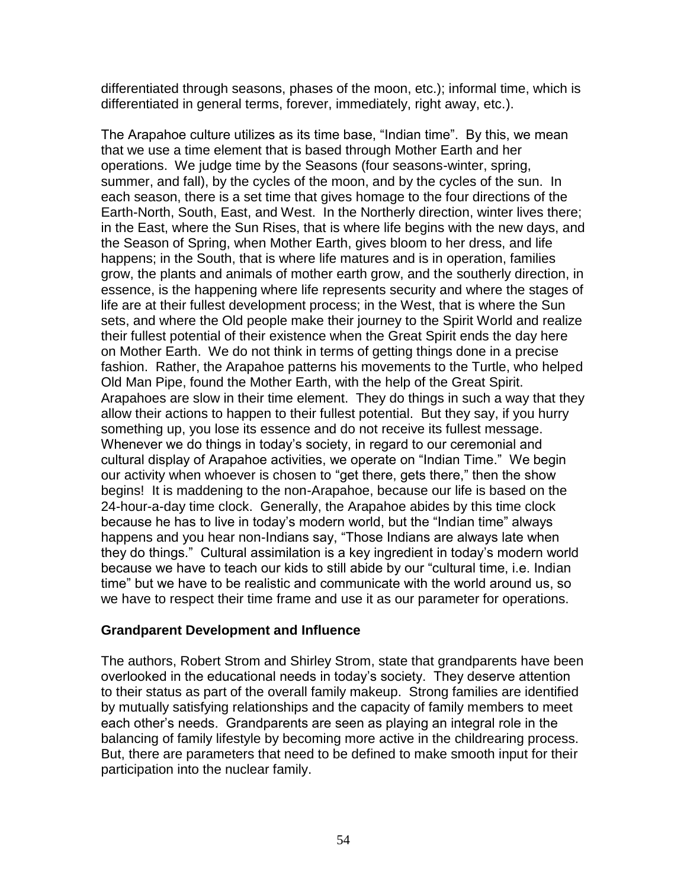differentiated through seasons, phases of the moon, etc.); informal time, which is differentiated in general terms, forever, immediately, right away, etc.).

The Arapahoe culture utilizes as its time base, "Indian time". By this, we mean that we use a time element that is based through Mother Earth and her operations. We judge time by the Seasons (four seasons-winter, spring, summer, and fall), by the cycles of the moon, and by the cycles of the sun. In each season, there is a set time that gives homage to the four directions of the Earth-North, South, East, and West. In the Northerly direction, winter lives there; in the East, where the Sun Rises, that is where life begins with the new days, and the Season of Spring, when Mother Earth, gives bloom to her dress, and life happens; in the South, that is where life matures and is in operation, families grow, the plants and animals of mother earth grow, and the southerly direction, in essence, is the happening where life represents security and where the stages of life are at their fullest development process; in the West, that is where the Sun sets, and where the Old people make their journey to the Spirit World and realize their fullest potential of their existence when the Great Spirit ends the day here on Mother Earth. We do not think in terms of getting things done in a precise fashion. Rather, the Arapahoe patterns his movements to the Turtle, who helped Old Man Pipe, found the Mother Earth, with the help of the Great Spirit. Arapahoes are slow in their time element. They do things in such a way that they allow their actions to happen to their fullest potential. But they say, if you hurry something up, you lose its essence and do not receive its fullest message. Whenever we do things in today's society, in regard to our ceremonial and cultural display of Arapahoe activities, we operate on "Indian Time." We begin our activity when whoever is chosen to "get there, gets there," then the show begins! It is maddening to the non-Arapahoe, because our life is based on the 24-hour-a-day time clock. Generally, the Arapahoe abides by this time clock because he has to live in today's modern world, but the "Indian time" always happens and you hear non-Indians say, "Those Indians are always late when they do things." Cultural assimilation is a key ingredient in today's modern world because we have to teach our kids to still abide by our "cultural time, i.e. Indian time" but we have to be realistic and communicate with the world around us, so we have to respect their time frame and use it as our parameter for operations.

#### **Grandparent Development and Influence**

The authors, Robert Strom and Shirley Strom, state that grandparents have been overlooked in the educational needs in today's society. They deserve attention to their status as part of the overall family makeup. Strong families are identified by mutually satisfying relationships and the capacity of family members to meet each other's needs. Grandparents are seen as playing an integral role in the balancing of family lifestyle by becoming more active in the childrearing process. But, there are parameters that need to be defined to make smooth input for their participation into the nuclear family.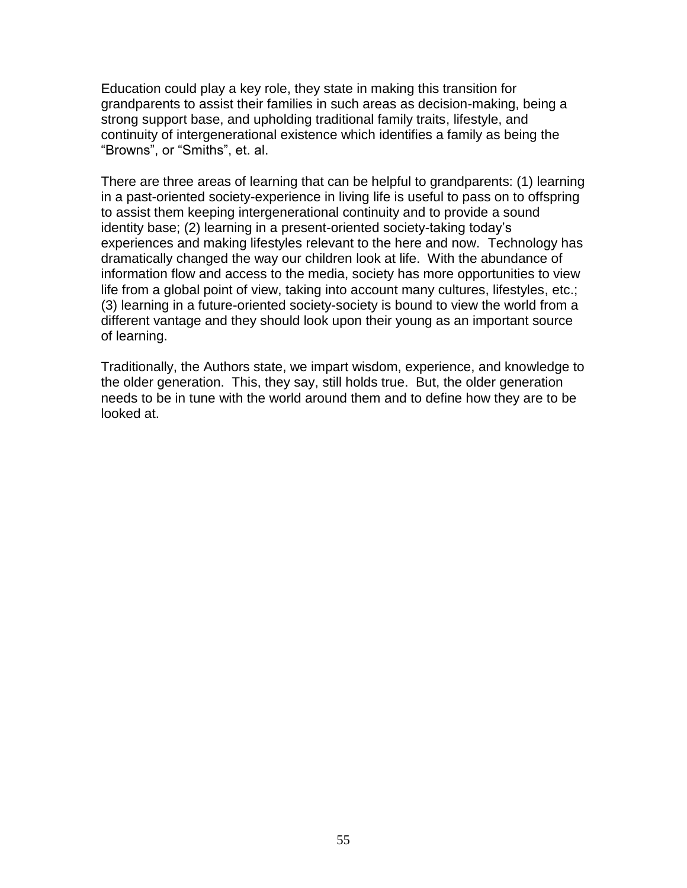Education could play a key role, they state in making this transition for grandparents to assist their families in such areas as decision-making, being a strong support base, and upholding traditional family traits, lifestyle, and continuity of intergenerational existence which identifies a family as being the "Browns", or "Smiths", et. al.

There are three areas of learning that can be helpful to grandparents: (1) learning in a past-oriented society-experience in living life is useful to pass on to offspring to assist them keeping intergenerational continuity and to provide a sound identity base; (2) learning in a present-oriented society-taking today's experiences and making lifestyles relevant to the here and now. Technology has dramatically changed the way our children look at life. With the abundance of information flow and access to the media, society has more opportunities to view life from a global point of view, taking into account many cultures, lifestyles, etc.; (3) learning in a future-oriented society-society is bound to view the world from a different vantage and they should look upon their young as an important source of learning.

Traditionally, the Authors state, we impart wisdom, experience, and knowledge to the older generation. This, they say, still holds true. But, the older generation needs to be in tune with the world around them and to define how they are to be looked at.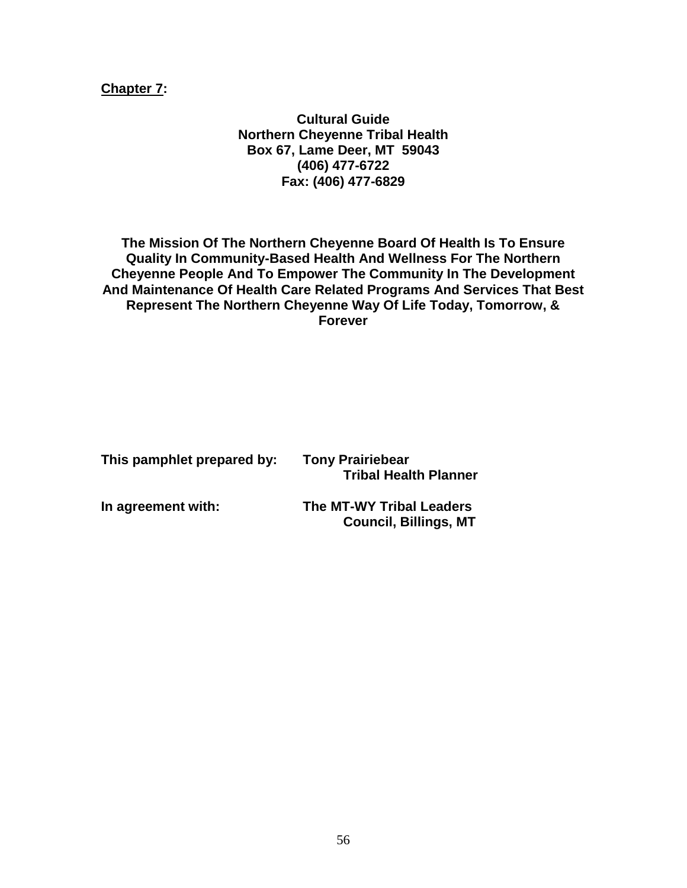**Chapter 7:**

**Cultural Guide Northern Cheyenne Tribal Health Box 67, Lame Deer, MT 59043 (406) 477-6722 Fax: (406) 477-6829**

**The Mission Of The Northern Cheyenne Board Of Health Is To Ensure Quality In Community-Based Health And Wellness For The Northern Cheyenne People And To Empower The Community In The Development And Maintenance Of Health Care Related Programs And Services That Best Represent The Northern Cheyenne Way Of Life Today, Tomorrow, & Forever**

| This pamphlet prepared by: | <b>Tony Prairiebear</b><br><b>Tribal Health Planner</b> |
|----------------------------|---------------------------------------------------------|
|                            |                                                         |

**In agreement with: The MT-WY Tribal Leaders Council, Billings, MT**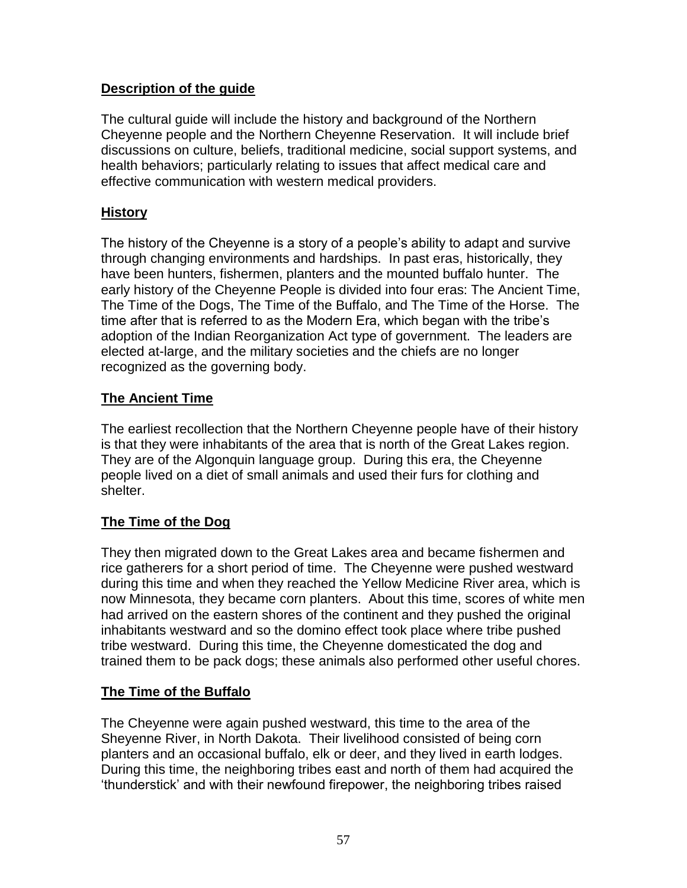## **Description of the guide**

The cultural guide will include the history and background of the Northern Cheyenne people and the Northern Cheyenne Reservation. It will include brief discussions on culture, beliefs, traditional medicine, social support systems, and health behaviors; particularly relating to issues that affect medical care and effective communication with western medical providers.

# **History**

The history of the Cheyenne is a story of a people's ability to adapt and survive through changing environments and hardships. In past eras, historically, they have been hunters, fishermen, planters and the mounted buffalo hunter. The early history of the Cheyenne People is divided into four eras: The Ancient Time, The Time of the Dogs, The Time of the Buffalo, and The Time of the Horse. The time after that is referred to as the Modern Era, which began with the tribe's adoption of the Indian Reorganization Act type of government. The leaders are elected at-large, and the military societies and the chiefs are no longer recognized as the governing body.

# **The Ancient Time**

The earliest recollection that the Northern Cheyenne people have of their history is that they were inhabitants of the area that is north of the Great Lakes region. They are of the Algonquin language group. During this era, the Cheyenne people lived on a diet of small animals and used their furs for clothing and shelter.

# **The Time of the Dog**

They then migrated down to the Great Lakes area and became fishermen and rice gatherers for a short period of time. The Cheyenne were pushed westward during this time and when they reached the Yellow Medicine River area, which is now Minnesota, they became corn planters. About this time, scores of white men had arrived on the eastern shores of the continent and they pushed the original inhabitants westward and so the domino effect took place where tribe pushed tribe westward. During this time, the Cheyenne domesticated the dog and trained them to be pack dogs; these animals also performed other useful chores.

## **The Time of the Buffalo**

The Cheyenne were again pushed westward, this time to the area of the Sheyenne River, in North Dakota. Their livelihood consisted of being corn planters and an occasional buffalo, elk or deer, and they lived in earth lodges. During this time, the neighboring tribes east and north of them had acquired the 'thunderstick' and with their newfound firepower, the neighboring tribes raised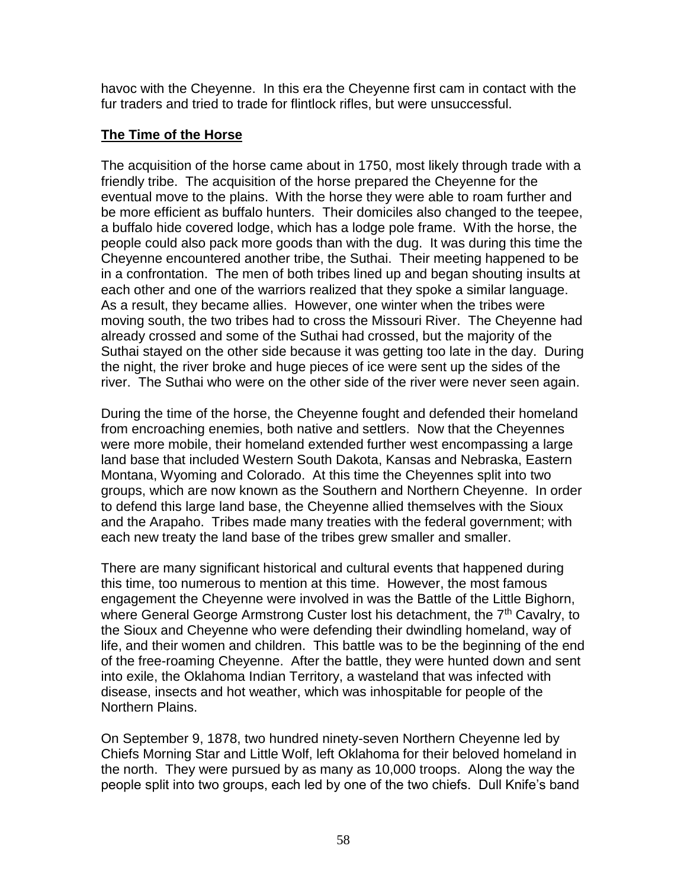havoc with the Cheyenne. In this era the Cheyenne first cam in contact with the fur traders and tried to trade for flintlock rifles, but were unsuccessful.

## **The Time of the Horse**

The acquisition of the horse came about in 1750, most likely through trade with a friendly tribe. The acquisition of the horse prepared the Cheyenne for the eventual move to the plains. With the horse they were able to roam further and be more efficient as buffalo hunters. Their domiciles also changed to the teepee, a buffalo hide covered lodge, which has a lodge pole frame. With the horse, the people could also pack more goods than with the dug. It was during this time the Cheyenne encountered another tribe, the Suthai. Their meeting happened to be in a confrontation. The men of both tribes lined up and began shouting insults at each other and one of the warriors realized that they spoke a similar language. As a result, they became allies. However, one winter when the tribes were moving south, the two tribes had to cross the Missouri River. The Cheyenne had already crossed and some of the Suthai had crossed, but the majority of the Suthai stayed on the other side because it was getting too late in the day. During the night, the river broke and huge pieces of ice were sent up the sides of the river. The Suthai who were on the other side of the river were never seen again.

During the time of the horse, the Cheyenne fought and defended their homeland from encroaching enemies, both native and settlers. Now that the Cheyennes were more mobile, their homeland extended further west encompassing a large land base that included Western South Dakota, Kansas and Nebraska, Eastern Montana, Wyoming and Colorado. At this time the Cheyennes split into two groups, which are now known as the Southern and Northern Cheyenne. In order to defend this large land base, the Cheyenne allied themselves with the Sioux and the Arapaho. Tribes made many treaties with the federal government; with each new treaty the land base of the tribes grew smaller and smaller.

There are many significant historical and cultural events that happened during this time, too numerous to mention at this time. However, the most famous engagement the Cheyenne were involved in was the Battle of the Little Bighorn, where General George Armstrong Custer lost his detachment, the 7<sup>th</sup> Cavalry, to the Sioux and Cheyenne who were defending their dwindling homeland, way of life, and their women and children. This battle was to be the beginning of the end of the free-roaming Cheyenne. After the battle, they were hunted down and sent into exile, the Oklahoma Indian Territory, a wasteland that was infected with disease, insects and hot weather, which was inhospitable for people of the Northern Plains.

On September 9, 1878, two hundred ninety-seven Northern Cheyenne led by Chiefs Morning Star and Little Wolf, left Oklahoma for their beloved homeland in the north. They were pursued by as many as 10,000 troops. Along the way the people split into two groups, each led by one of the two chiefs. Dull Knife's band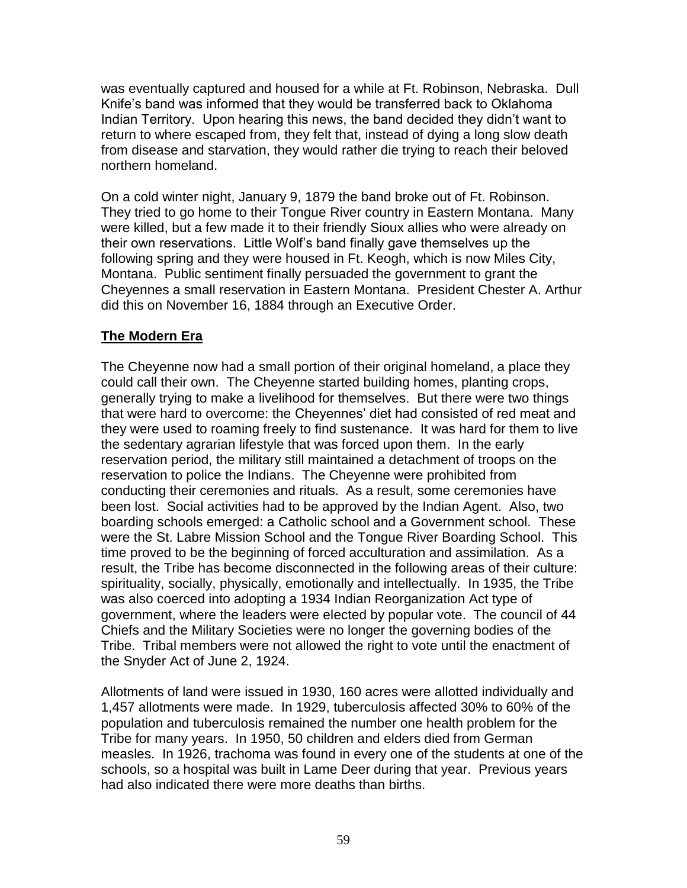was eventually captured and housed for a while at Ft. Robinson, Nebraska. Dull Knife's band was informed that they would be transferred back to Oklahoma Indian Territory. Upon hearing this news, the band decided they didn't want to return to where escaped from, they felt that, instead of dying a long slow death from disease and starvation, they would rather die trying to reach their beloved northern homeland.

On a cold winter night, January 9, 1879 the band broke out of Ft. Robinson. They tried to go home to their Tongue River country in Eastern Montana. Many were killed, but a few made it to their friendly Sioux allies who were already on their own reservations. Little Wolf's band finally gave themselves up the following spring and they were housed in Ft. Keogh, which is now Miles City, Montana. Public sentiment finally persuaded the government to grant the Cheyennes a small reservation in Eastern Montana. President Chester A. Arthur did this on November 16, 1884 through an Executive Order.

# **The Modern Era**

The Cheyenne now had a small portion of their original homeland, a place they could call their own. The Cheyenne started building homes, planting crops, generally trying to make a livelihood for themselves. But there were two things that were hard to overcome: the Cheyennes' diet had consisted of red meat and they were used to roaming freely to find sustenance. It was hard for them to live the sedentary agrarian lifestyle that was forced upon them. In the early reservation period, the military still maintained a detachment of troops on the reservation to police the Indians. The Cheyenne were prohibited from conducting their ceremonies and rituals. As a result, some ceremonies have been lost. Social activities had to be approved by the Indian Agent. Also, two boarding schools emerged: a Catholic school and a Government school. These were the St. Labre Mission School and the Tongue River Boarding School. This time proved to be the beginning of forced acculturation and assimilation. As a result, the Tribe has become disconnected in the following areas of their culture: spirituality, socially, physically, emotionally and intellectually. In 1935, the Tribe was also coerced into adopting a 1934 Indian Reorganization Act type of government, where the leaders were elected by popular vote. The council of 44 Chiefs and the Military Societies were no longer the governing bodies of the Tribe. Tribal members were not allowed the right to vote until the enactment of the Snyder Act of June 2, 1924.

Allotments of land were issued in 1930, 160 acres were allotted individually and 1,457 allotments were made. In 1929, tuberculosis affected 30% to 60% of the population and tuberculosis remained the number one health problem for the Tribe for many years. In 1950, 50 children and elders died from German measles. In 1926, trachoma was found in every one of the students at one of the schools, so a hospital was built in Lame Deer during that year. Previous years had also indicated there were more deaths than births.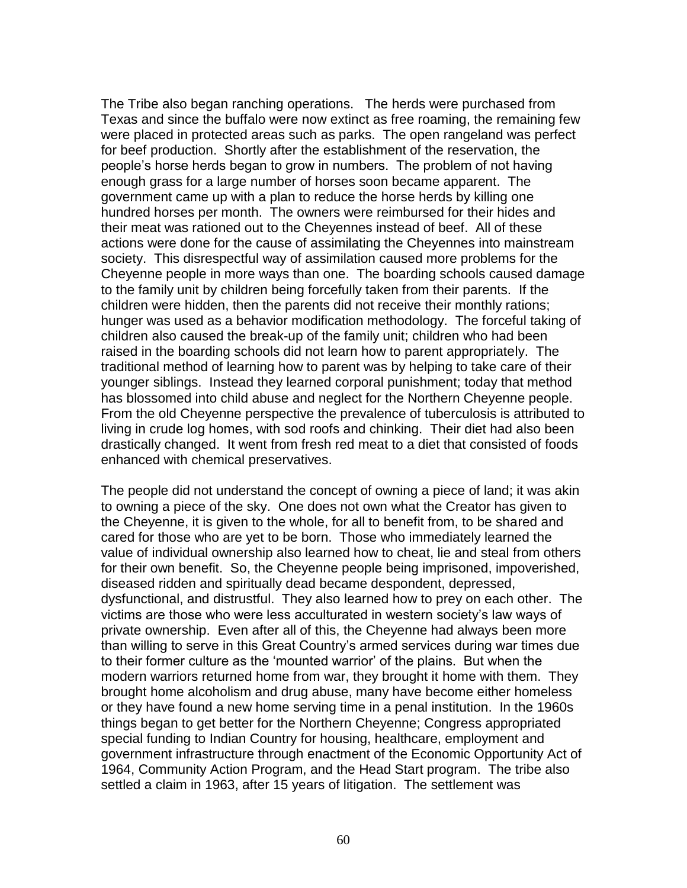The Tribe also began ranching operations. The herds were purchased from Texas and since the buffalo were now extinct as free roaming, the remaining few were placed in protected areas such as parks. The open rangeland was perfect for beef production. Shortly after the establishment of the reservation, the people's horse herds began to grow in numbers. The problem of not having enough grass for a large number of horses soon became apparent. The government came up with a plan to reduce the horse herds by killing one hundred horses per month. The owners were reimbursed for their hides and their meat was rationed out to the Cheyennes instead of beef. All of these actions were done for the cause of assimilating the Cheyennes into mainstream society. This disrespectful way of assimilation caused more problems for the Cheyenne people in more ways than one. The boarding schools caused damage to the family unit by children being forcefully taken from their parents. If the children were hidden, then the parents did not receive their monthly rations; hunger was used as a behavior modification methodology. The forceful taking of children also caused the break-up of the family unit; children who had been raised in the boarding schools did not learn how to parent appropriately. The traditional method of learning how to parent was by helping to take care of their younger siblings. Instead they learned corporal punishment; today that method has blossomed into child abuse and neglect for the Northern Cheyenne people. From the old Cheyenne perspective the prevalence of tuberculosis is attributed to living in crude log homes, with sod roofs and chinking. Their diet had also been drastically changed. It went from fresh red meat to a diet that consisted of foods enhanced with chemical preservatives.

The people did not understand the concept of owning a piece of land; it was akin to owning a piece of the sky. One does not own what the Creator has given to the Cheyenne, it is given to the whole, for all to benefit from, to be shared and cared for those who are yet to be born. Those who immediately learned the value of individual ownership also learned how to cheat, lie and steal from others for their own benefit. So, the Cheyenne people being imprisoned, impoverished, diseased ridden and spiritually dead became despondent, depressed, dysfunctional, and distrustful. They also learned how to prey on each other. The victims are those who were less acculturated in western society's law ways of private ownership. Even after all of this, the Cheyenne had always been more than willing to serve in this Great Country's armed services during war times due to their former culture as the 'mounted warrior' of the plains. But when the modern warriors returned home from war, they brought it home with them. They brought home alcoholism and drug abuse, many have become either homeless or they have found a new home serving time in a penal institution. In the 1960s things began to get better for the Northern Cheyenne; Congress appropriated special funding to Indian Country for housing, healthcare, employment and government infrastructure through enactment of the Economic Opportunity Act of 1964, Community Action Program, and the Head Start program. The tribe also settled a claim in 1963, after 15 years of litigation. The settlement was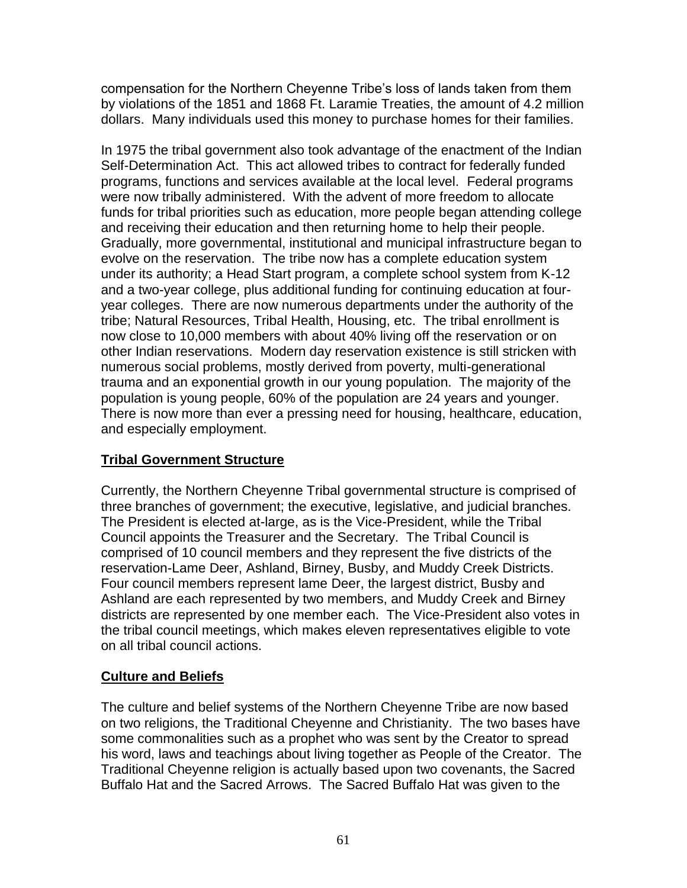compensation for the Northern Cheyenne Tribe's loss of lands taken from them by violations of the 1851 and 1868 Ft. Laramie Treaties, the amount of 4.2 million dollars. Many individuals used this money to purchase homes for their families.

In 1975 the tribal government also took advantage of the enactment of the Indian Self-Determination Act. This act allowed tribes to contract for federally funded programs, functions and services available at the local level. Federal programs were now tribally administered. With the advent of more freedom to allocate funds for tribal priorities such as education, more people began attending college and receiving their education and then returning home to help their people. Gradually, more governmental, institutional and municipal infrastructure began to evolve on the reservation. The tribe now has a complete education system under its authority; a Head Start program, a complete school system from K-12 and a two-year college, plus additional funding for continuing education at fouryear colleges. There are now numerous departments under the authority of the tribe; Natural Resources, Tribal Health, Housing, etc. The tribal enrollment is now close to 10,000 members with about 40% living off the reservation or on other Indian reservations. Modern day reservation existence is still stricken with numerous social problems, mostly derived from poverty, multi-generational trauma and an exponential growth in our young population. The majority of the population is young people, 60% of the population are 24 years and younger. There is now more than ever a pressing need for housing, healthcare, education, and especially employment.

# **Tribal Government Structure**

Currently, the Northern Cheyenne Tribal governmental structure is comprised of three branches of government; the executive, legislative, and judicial branches. The President is elected at-large, as is the Vice-President, while the Tribal Council appoints the Treasurer and the Secretary. The Tribal Council is comprised of 10 council members and they represent the five districts of the reservation-Lame Deer, Ashland, Birney, Busby, and Muddy Creek Districts. Four council members represent lame Deer, the largest district, Busby and Ashland are each represented by two members, and Muddy Creek and Birney districts are represented by one member each. The Vice-President also votes in the tribal council meetings, which makes eleven representatives eligible to vote on all tribal council actions.

## **Culture and Beliefs**

The culture and belief systems of the Northern Cheyenne Tribe are now based on two religions, the Traditional Cheyenne and Christianity. The two bases have some commonalities such as a prophet who was sent by the Creator to spread his word, laws and teachings about living together as People of the Creator. The Traditional Cheyenne religion is actually based upon two covenants, the Sacred Buffalo Hat and the Sacred Arrows. The Sacred Buffalo Hat was given to the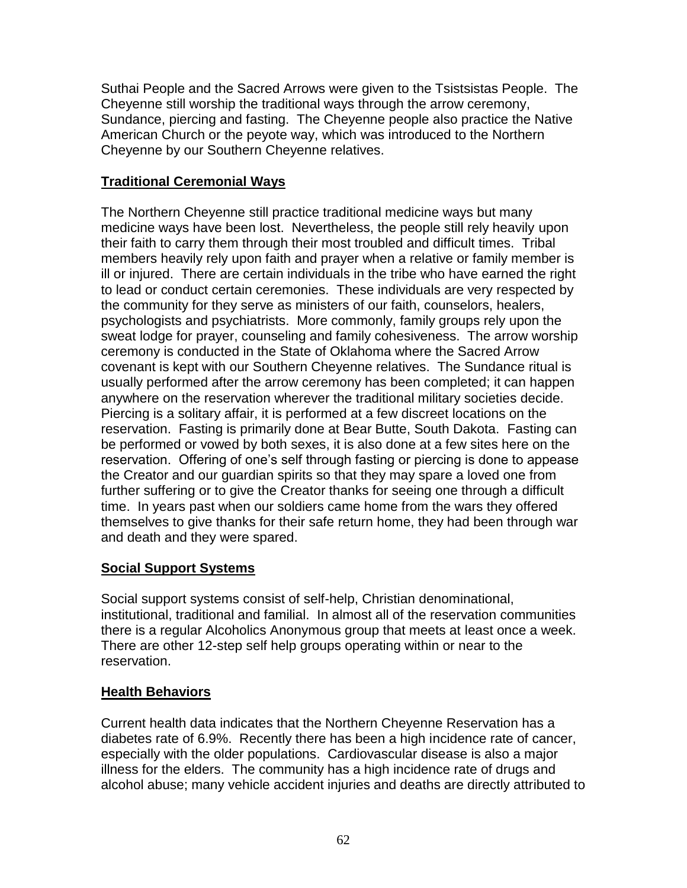Suthai People and the Sacred Arrows were given to the Tsistsistas People. The Cheyenne still worship the traditional ways through the arrow ceremony, Sundance, piercing and fasting. The Cheyenne people also practice the Native American Church or the peyote way, which was introduced to the Northern Cheyenne by our Southern Cheyenne relatives.

# **Traditional Ceremonial Ways**

The Northern Cheyenne still practice traditional medicine ways but many medicine ways have been lost. Nevertheless, the people still rely heavily upon their faith to carry them through their most troubled and difficult times. Tribal members heavily rely upon faith and prayer when a relative or family member is ill or injured. There are certain individuals in the tribe who have earned the right to lead or conduct certain ceremonies. These individuals are very respected by the community for they serve as ministers of our faith, counselors, healers, psychologists and psychiatrists. More commonly, family groups rely upon the sweat lodge for prayer, counseling and family cohesiveness. The arrow worship ceremony is conducted in the State of Oklahoma where the Sacred Arrow covenant is kept with our Southern Cheyenne relatives. The Sundance ritual is usually performed after the arrow ceremony has been completed; it can happen anywhere on the reservation wherever the traditional military societies decide. Piercing is a solitary affair, it is performed at a few discreet locations on the reservation. Fasting is primarily done at Bear Butte, South Dakota. Fasting can be performed or vowed by both sexes, it is also done at a few sites here on the reservation. Offering of one's self through fasting or piercing is done to appease the Creator and our guardian spirits so that they may spare a loved one from further suffering or to give the Creator thanks for seeing one through a difficult time. In years past when our soldiers came home from the wars they offered themselves to give thanks for their safe return home, they had been through war and death and they were spared.

## **Social Support Systems**

Social support systems consist of self-help, Christian denominational, institutional, traditional and familial. In almost all of the reservation communities there is a regular Alcoholics Anonymous group that meets at least once a week. There are other 12-step self help groups operating within or near to the reservation.

## **Health Behaviors**

Current health data indicates that the Northern Cheyenne Reservation has a diabetes rate of 6.9%. Recently there has been a high incidence rate of cancer, especially with the older populations. Cardiovascular disease is also a major illness for the elders. The community has a high incidence rate of drugs and alcohol abuse; many vehicle accident injuries and deaths are directly attributed to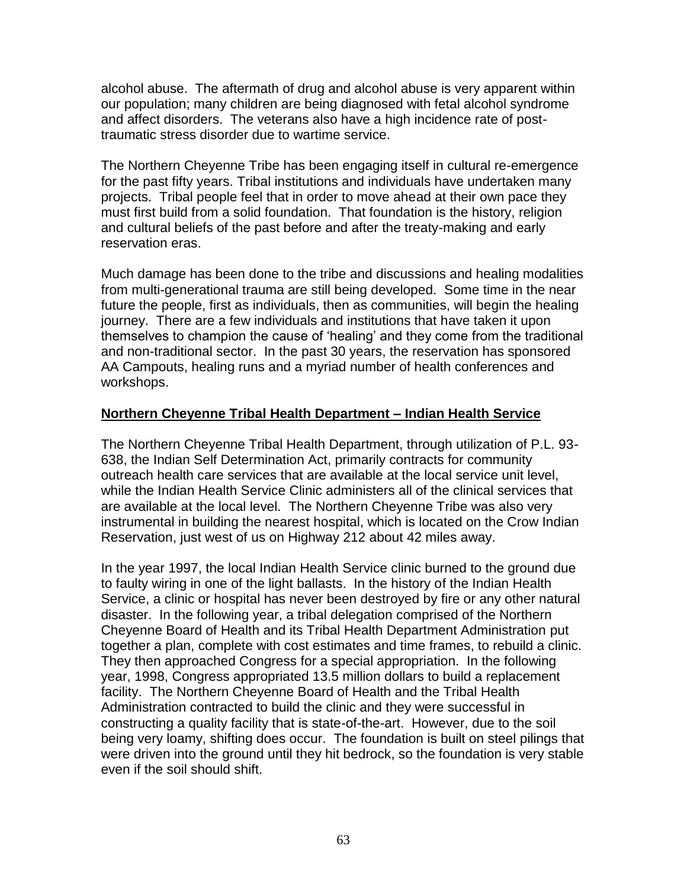alcohol abuse. The aftermath of drug and alcohol abuse is very apparent within our population; many children are being diagnosed with fetal alcohol syndrome and affect disorders. The veterans also have a high incidence rate of posttraumatic stress disorder due to wartime service.

The Northern Cheyenne Tribe has been engaging itself in cultural re-emergence for the past fifty years. Tribal institutions and individuals have undertaken many projects. Tribal people feel that in order to move ahead at their own pace they must first build from a solid foundation. That foundation is the history, religion and cultural beliefs of the past before and after the treaty-making and early reservation eras.

Much damage has been done to the tribe and discussions and healing modalities from multi-generational trauma are still being developed. Some time in the near future the people, first as individuals, then as communities, will begin the healing journey. There are a few individuals and institutions that have taken it upon themselves to champion the cause of 'healing' and they come from the traditional and non-traditional sector. In the past 30 years, the reservation has sponsored AA Campouts, healing runs and a myriad number of health conferences and workshops.

## **Northern Cheyenne Tribal Health Department – Indian Health Service**

The Northern Cheyenne Tribal Health Department, through utilization of P.L. 93- 638, the Indian Self Determination Act, primarily contracts for community outreach health care services that are available at the local service unit level, while the Indian Health Service Clinic administers all of the clinical services that are available at the local level. The Northern Cheyenne Tribe was also very instrumental in building the nearest hospital, which is located on the Crow Indian Reservation, just west of us on Highway 212 about 42 miles away.

In the year 1997, the local Indian Health Service clinic burned to the ground due to faulty wiring in one of the light ballasts. In the history of the Indian Health Service, a clinic or hospital has never been destroyed by fire or any other natural disaster. In the following year, a tribal delegation comprised of the Northern Cheyenne Board of Health and its Tribal Health Department Administration put together a plan, complete with cost estimates and time frames, to rebuild a clinic. They then approached Congress for a special appropriation. In the following year, 1998, Congress appropriated 13.5 million dollars to build a replacement facility. The Northern Cheyenne Board of Health and the Tribal Health Administration contracted to build the clinic and they were successful in constructing a quality facility that is state-of-the-art. However, due to the soil being very loamy, shifting does occur. The foundation is built on steel pilings that were driven into the ground until they hit bedrock, so the foundation is very stable even if the soil should shift.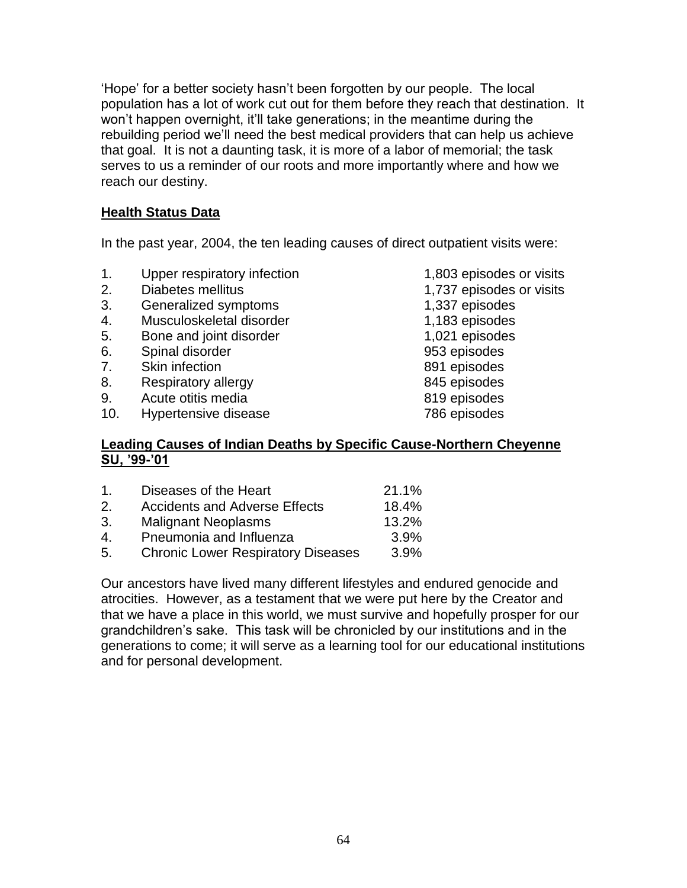'Hope' for a better society hasn't been forgotten by our people. The local population has a lot of work cut out for them before they reach that destination. It won't happen overnight, it'll take generations; in the meantime during the rebuilding period we'll need the best medical providers that can help us achieve that goal. It is not a daunting task, it is more of a labor of memorial; the task serves to us a reminder of our roots and more importantly where and how we reach our destiny.

## **Health Status Data**

In the past year, 2004, the ten leading causes of direct outpatient visits were:

- 1. Upper respiratory infection 1,803 episodes or visits
- 2. Diabetes mellitus 1,737 episodes or visits
- 3. Generalized symptoms 1,337 episodes
- 4. Musculoskeletal disorder 1,183 episodes
- 5. Bone and joint disorder 1,021 episodes
- 6. Spinal disorder 953 episodes
- 7. Skin infection 891 episodes
- 8. Respiratory allergy 845 episodes
- 
- 9. Acute otitis media 819 episodes 10. Hypertensive disease

#### **Leading Causes of Indian Deaths by Specific Cause-Northern Cheyenne SU, '99-'01**

| 1                           | Diseases of the Heart                     | 21.1% |
|-----------------------------|-------------------------------------------|-------|
| $\mathcal{P}_{\mathcal{C}}$ | <b>Accidents and Adverse Effects</b>      | 18.4% |
| 3.                          | <b>Malignant Neoplasms</b>                | 13.2% |
| $\mathbf{4}$                | Pneumonia and Influenza                   | 3.9%  |
| 5.                          | <b>Chronic Lower Respiratory Diseases</b> | 3.9%  |

Our ancestors have lived many different lifestyles and endured genocide and atrocities. However, as a testament that we were put here by the Creator and that we have a place in this world, we must survive and hopefully prosper for our grandchildren's sake. This task will be chronicled by our institutions and in the generations to come; it will serve as a learning tool for our educational institutions and for personal development.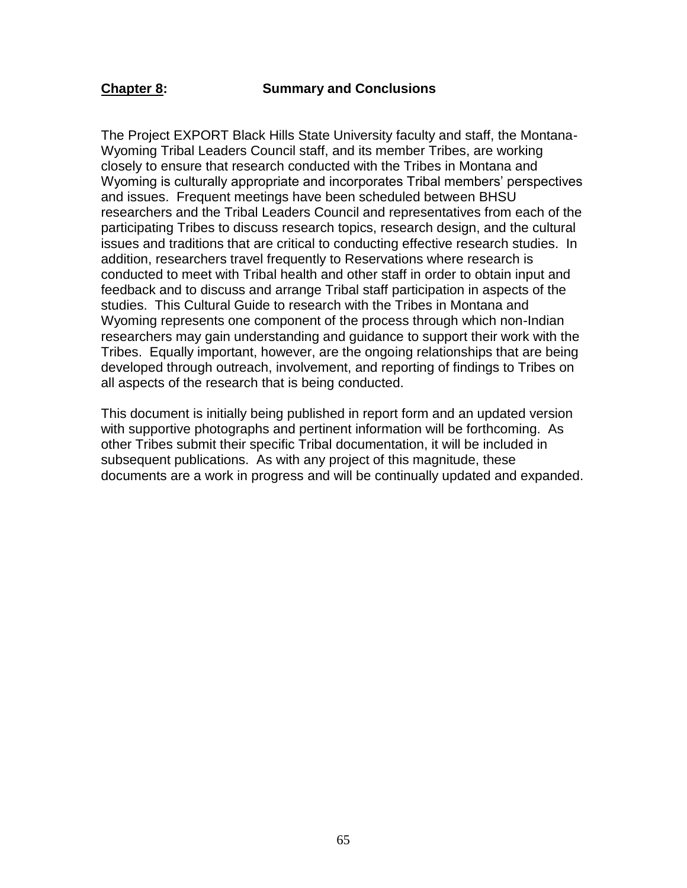The Project EXPORT Black Hills State University faculty and staff, the Montana-Wyoming Tribal Leaders Council staff, and its member Tribes, are working closely to ensure that research conducted with the Tribes in Montana and Wyoming is culturally appropriate and incorporates Tribal members' perspectives and issues. Frequent meetings have been scheduled between BHSU researchers and the Tribal Leaders Council and representatives from each of the participating Tribes to discuss research topics, research design, and the cultural issues and traditions that are critical to conducting effective research studies. In addition, researchers travel frequently to Reservations where research is conducted to meet with Tribal health and other staff in order to obtain input and feedback and to discuss and arrange Tribal staff participation in aspects of the studies. This Cultural Guide to research with the Tribes in Montana and Wyoming represents one component of the process through which non-Indian researchers may gain understanding and guidance to support their work with the Tribes. Equally important, however, are the ongoing relationships that are being developed through outreach, involvement, and reporting of findings to Tribes on all aspects of the research that is being conducted.

This document is initially being published in report form and an updated version with supportive photographs and pertinent information will be forthcoming. As other Tribes submit their specific Tribal documentation, it will be included in subsequent publications. As with any project of this magnitude, these documents are a work in progress and will be continually updated and expanded.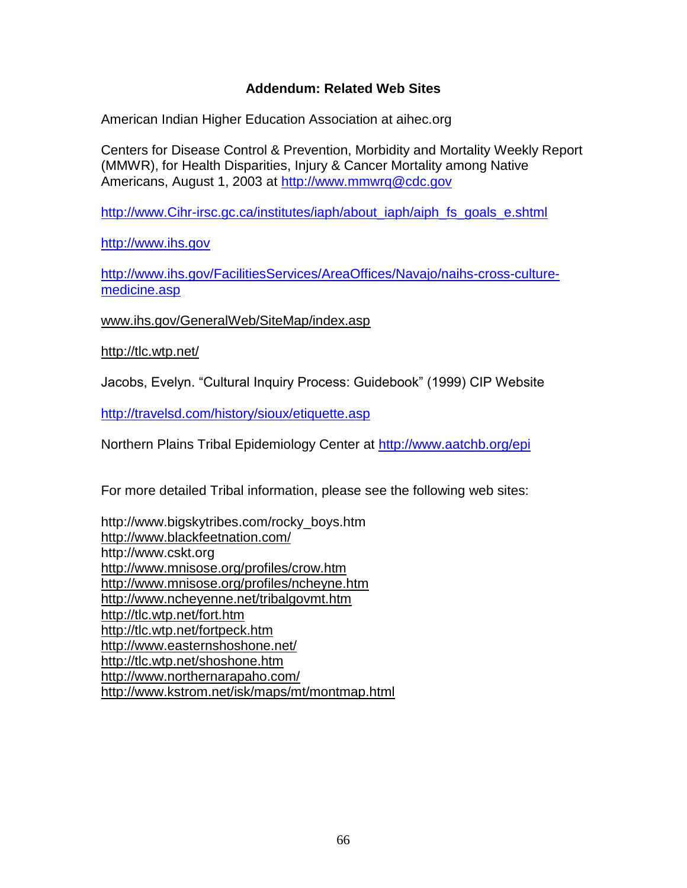## **Addendum: Related Web Sites**

American Indian Higher Education Association at aihec.org

Centers for Disease Control & Prevention, Morbidity and Mortality Weekly Report (MMWR), for Health Disparities, Injury & Cancer Mortality among Native Americans, August 1, 2003 at [http://www.mmwrq@cdc.gov](http://www.mmwrq@cdc.gov/)

[http://www.Cihr-irsc.gc.ca/institutes/iaph/about\\_iaph/aiph\\_fs\\_goals\\_e.shtml](http://www.cihr-irsc.gc.ca/institutes/iaph/about_iaph/aiph_fs_goals_e.shtml)

[http://www.ihs.gov](http://www.ihs.gov/)

[http://www.ihs.gov/FacilitiesServices/AreaOffices/Navajo/naihs-cross-culture](http://www.ihs.gov/FacilitiesServices/AreaOffices/Navajo/naihs-cross-culture-medicine.asp)[medicine.asp](http://www.ihs.gov/FacilitiesServices/AreaOffices/Navajo/naihs-cross-culture-medicine.asp)

www.ihs.gov/GeneralWeb/SiteMap/index.asp

<http://tlc.wtp.net/>

Jacobs, Evelyn. "Cultural Inquiry Process: Guidebook" (1999) CIP Website

<http://travelsd.com/history/sioux/etiquette.asp>

Northern Plains Tribal Epidemiology Center at<http://www.aatchb.org/epi>

For more detailed Tribal information, please see the following web sites:

http://www.bigskytribes.com/rocky\_boys.htm <http://www.blackfeetnation.com/> http://www.cskt.org <http://www.mnisose.org/profiles/crow.htm> <http://www.mnisose.org/profiles/ncheyne.htm> <http://www.ncheyenne.net/tribalgovmt.htm> <http://tlc.wtp.net/fort.htm> <http://tlc.wtp.net/fortpeck.htm> <http://www.easternshoshone.net/> <http://tlc.wtp.net/shoshone.htm> <http://www.northernarapaho.com/> http://www.kstrom.net/isk/maps/mt/montmap.html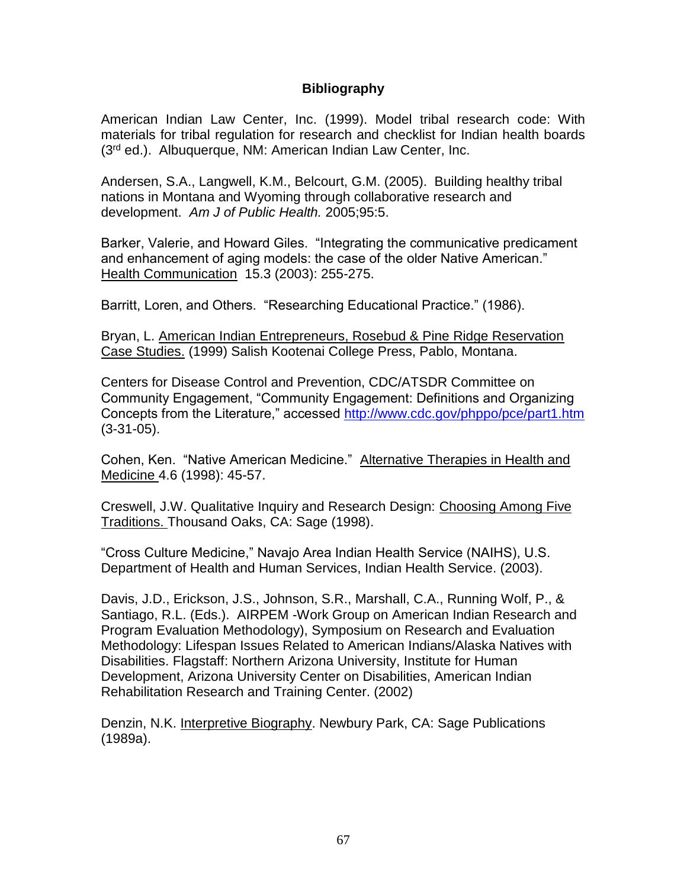#### **Bibliography**

American Indian Law Center, Inc. (1999). Model tribal research code: With materials for tribal regulation for research and checklist for Indian health boards (3<sup>rd</sup> ed.). Albuquerque, NM: American Indian Law Center, Inc.

Andersen, S.A., Langwell, K.M., Belcourt, G.M. (2005). Building healthy tribal nations in Montana and Wyoming through collaborative research and development. *Am J of Public Health.* 2005;95:5.

Barker, Valerie, and Howard Giles. "Integrating the communicative predicament and enhancement of aging models: the case of the older Native American." Health Communication 15.3 (2003): 255-275.

Barritt, Loren, and Others. "Researching Educational Practice." (1986).

Bryan, L. American Indian Entrepreneurs, Rosebud & Pine Ridge Reservation Case Studies. (1999) Salish Kootenai College Press, Pablo, Montana.

Centers for Disease Control and Prevention, CDC/ATSDR Committee on Community Engagement, "Community Engagement: Definitions and Organizing Concepts from the Literature," accessed<http://www.cdc.gov/phppo/pce/part1.htm> (3-31-05).

Cohen, Ken. "Native American Medicine." Alternative Therapies in Health and Medicine 4.6 (1998): 45-57.

Creswell, J.W. Qualitative Inquiry and Research Design: Choosing Among Five Traditions. Thousand Oaks, CA: Sage (1998).

"Cross Culture Medicine," Navajo Area Indian Health Service (NAIHS), U.S. Department of Health and Human Services, Indian Health Service. (2003).

Davis, J.D., Erickson, J.S., Johnson, S.R., Marshall, C.A., Running Wolf, P., & Santiago, R.L. (Eds.). AIRPEM -Work Group on American Indian Research and Program Evaluation Methodology), Symposium on Research and Evaluation Methodology: Lifespan Issues Related to American Indians/Alaska Natives with Disabilities. Flagstaff: Northern Arizona University, Institute for Human Development, Arizona University Center on Disabilities, American Indian Rehabilitation Research and Training Center. (2002)

Denzin, N.K. Interpretive Biography. Newbury Park, CA: Sage Publications (1989a).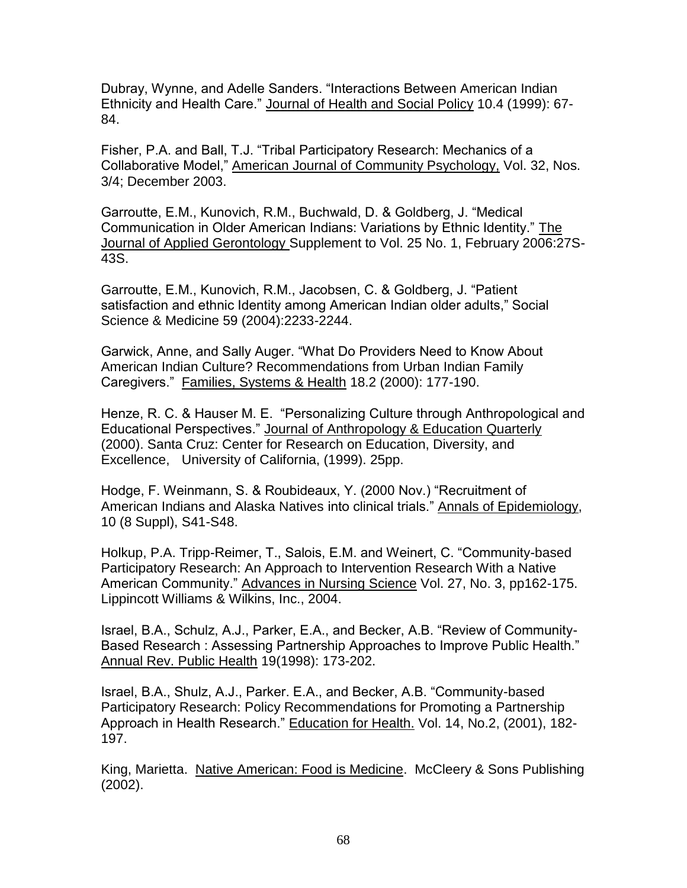Dubray, Wynne, and Adelle Sanders. "Interactions Between American Indian Ethnicity and Health Care." Journal of Health and Social Policy 10.4 (1999): 67- 84.

Fisher, P.A. and Ball, T.J. "Tribal Participatory Research: Mechanics of a Collaborative Model," American Journal of Community Psychology, Vol. 32, Nos. 3/4; December 2003.

Garroutte, E.M., Kunovich, R.M., Buchwald, D. & Goldberg, J. "Medical Communication in Older American Indians: Variations by Ethnic Identity." The Journal of Applied Gerontology Supplement to Vol. 25 No. 1, February 2006:27S-43S.

Garroutte, E.M., Kunovich, R.M., Jacobsen, C. & Goldberg, J. "Patient satisfaction and ethnic Identity among American Indian older adults," Social Science & Medicine 59 (2004):2233-2244.

Garwick, Anne, and Sally Auger. "What Do Providers Need to Know About American Indian Culture? Recommendations from Urban Indian Family Caregivers." Families, Systems & Health 18.2 (2000): 177-190.

Henze, R. C. & Hauser M. E. "Personalizing Culture through Anthropological and Educational Perspectives." Journal of Anthropology & Education Quarterly (2000). Santa Cruz: Center for Research on Education, Diversity, and Excellence, University of California, (1999). 25pp.

Hodge, F. Weinmann, S. & Roubideaux, Y. (2000 Nov.) "Recruitment of American Indians and Alaska Natives into clinical trials." Annals of Epidemiology, 10 (8 Suppl), S41-S48.

Holkup, P.A. Tripp-Reimer, T., Salois, E.M. and Weinert, C. "Community-based Participatory Research: An Approach to Intervention Research With a Native American Community." Advances in Nursing Science Vol. 27, No. 3, pp162-175. Lippincott Williams & Wilkins, Inc., 2004.

Israel, B.A., Schulz, A.J., Parker, E.A., and Becker, A.B. "Review of Community-Based Research : Assessing Partnership Approaches to Improve Public Health." Annual Rev. Public Health 19(1998): 173-202.

Israel, B.A., Shulz, A.J., Parker. E.A., and Becker, A.B. "Community-based Participatory Research: Policy Recommendations for Promoting a Partnership Approach in Health Research." Education for Health. Vol. 14, No.2, (2001), 182- 197.

King, Marietta. Native American: Food is Medicine. McCleery & Sons Publishing (2002).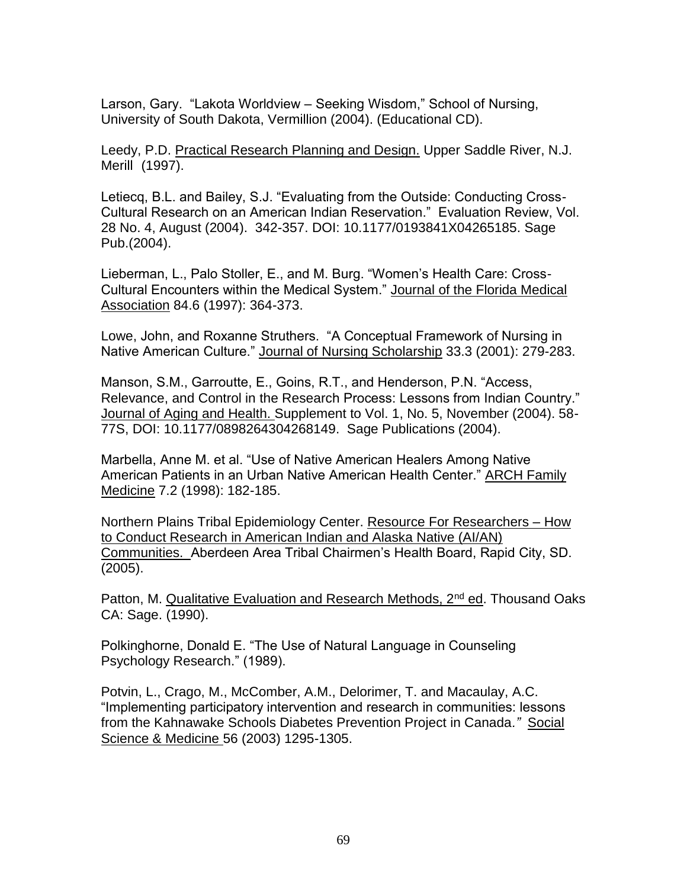Larson, Gary. "Lakota Worldview – Seeking Wisdom," School of Nursing, University of South Dakota, Vermillion (2004). (Educational CD).

Leedy, P.D. Practical Research Planning and Design. Upper Saddle River, N.J. Merill (1997).

Letiecq, B.L. and Bailey, S.J. "Evaluating from the Outside: Conducting Cross-Cultural Research on an American Indian Reservation." Evaluation Review, Vol. 28 No. 4, August (2004). 342-357. DOI: 10.1177/0193841X04265185. Sage Pub.(2004).

Lieberman, L., Palo Stoller, E., and M. Burg. "Women's Health Care: Cross-Cultural Encounters within the Medical System." Journal of the Florida Medical Association 84.6 (1997): 364-373.

Lowe, John, and Roxanne Struthers. "A Conceptual Framework of Nursing in Native American Culture." Journal of Nursing Scholarship 33.3 (2001): 279-283.

Manson, S.M., Garroutte, E., Goins, R.T., and Henderson, P.N. "Access, Relevance, and Control in the Research Process: Lessons from Indian Country." Journal of Aging and Health. Supplement to Vol. 1, No. 5, November (2004). 58- 77S, DOI: 10.1177/0898264304268149. Sage Publications (2004).

Marbella, Anne M. et al. "Use of Native American Healers Among Native American Patients in an Urban Native American Health Center." ARCH Family Medicine 7.2 (1998): 182-185.

Northern Plains Tribal Epidemiology Center. Resource For Researchers – How to Conduct Research in American Indian and Alaska Native (AI/AN) Communities. Aberdeen Area Tribal Chairmen's Health Board, Rapid City, SD. (2005).

Patton, M. Qualitative Evaluation and Research Methods, 2<sup>nd</sup> ed. Thousand Oaks CA: Sage. (1990).

Polkinghorne, Donald E. "The Use of Natural Language in Counseling Psychology Research." (1989).

Potvin, L., Crago, M., McComber, A.M., Delorimer, T. and Macaulay, A.C. "Implementing participatory intervention and research in communities: lessons from the Kahnawake Schools Diabetes Prevention Project in Canada*."* Social Science & Medicine 56 (2003) 1295-1305.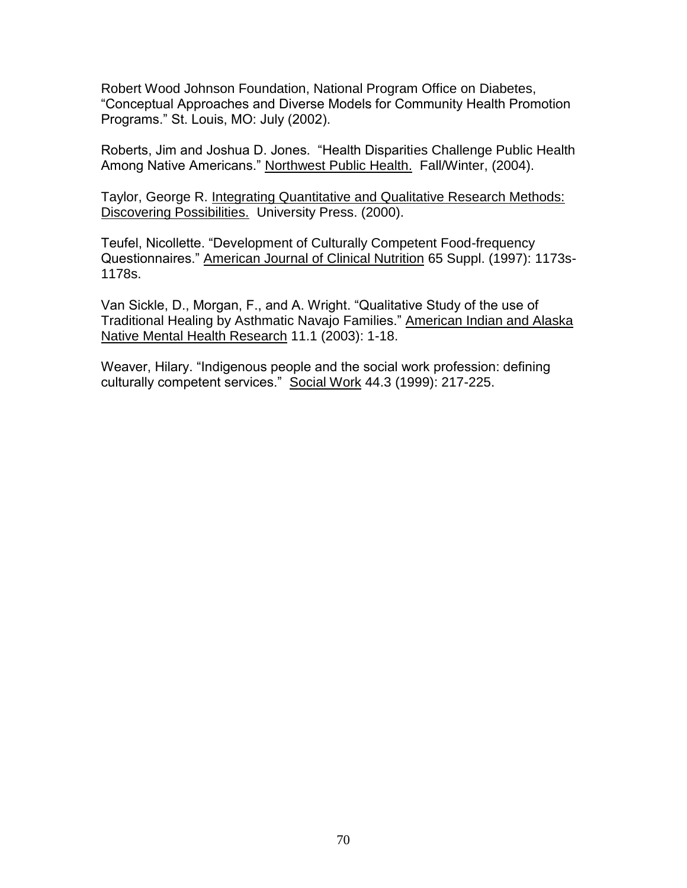Robert Wood Johnson Foundation, National Program Office on Diabetes, "Conceptual Approaches and Diverse Models for Community Health Promotion Programs." St. Louis, MO: July (2002).

Roberts, Jim and Joshua D. Jones. "Health Disparities Challenge Public Health Among Native Americans." Northwest Public Health. Fall/Winter, (2004).

Taylor, George R. Integrating Quantitative and Qualitative Research Methods: Discovering Possibilities. University Press. (2000).

Teufel, Nicollette. "Development of Culturally Competent Food-frequency Questionnaires." American Journal of Clinical Nutrition 65 Suppl. (1997): 1173s-1178s.

Van Sickle, D., Morgan, F., and A. Wright. "Qualitative Study of the use of Traditional Healing by Asthmatic Navajo Families." American Indian and Alaska Native Mental Health Research 11.1 (2003): 1-18.

Weaver, Hilary. "Indigenous people and the social work profession: defining culturally competent services." Social Work 44.3 (1999): 217-225.